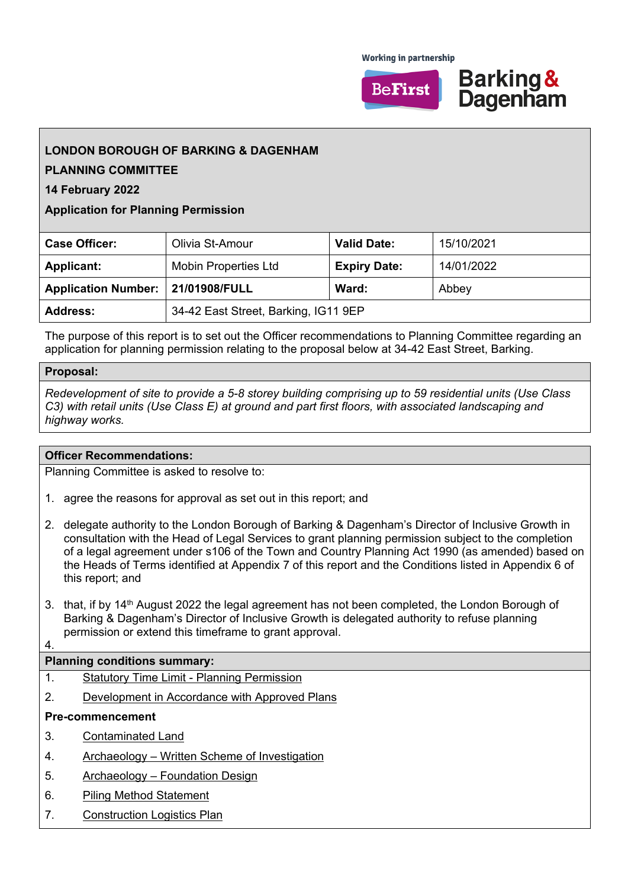**Working in partnership** 





# **LONDON BOROUGH OF BARKING & DAGENHAM**

## **PLANNING COMMITTEE**

**14 February 2022**

## **Application for Planning Permission**

| <b>Case Officer:</b>              | Olivia St-Amour                      | <b>Valid Date:</b>  | 15/10/2021 |
|-----------------------------------|--------------------------------------|---------------------|------------|
| <b>Applicant:</b>                 | <b>Mobin Properties Ltd</b>          | <b>Expiry Date:</b> | 14/01/2022 |
| Application Number: 21/01908/FULL |                                      | Ward:               | Abbey      |
| <b>Address:</b>                   | 34-42 East Street, Barking, IG11 9EP |                     |            |

The purpose of this report is to set out the Officer recommendations to Planning Committee regarding an application for planning permission relating to the proposal below at 34-42 East Street, Barking.

## **Proposal:**

*Redevelopment of site to provide a 5-8 storey building comprising up to 59 residential units (Use Class C3) with retail units (Use Class E) at ground and part first floors, with associated landscaping and highway works.*

## **Officer Recommendations:**

Planning Committee is asked to resolve to:

- 1. agree the reasons for approval as set out in this report; and
- 2. delegate authority to the London Borough of Barking & Dagenham's Director of Inclusive Growth in consultation with the Head of Legal Services to grant planning permission subject to the completion of a legal agreement under s106 of the Town and Country Planning Act 1990 (as amended) based on the Heads of Terms identified at Appendix 7 of this report and the Conditions listed in Appendix 6 of this report; and
- 3. that, if by 14<sup>th</sup> August 2022 the legal agreement has not been completed, the London Borough of Barking & Dagenham's Director of Inclusive Growth is delegated authority to refuse planning permission or extend this timeframe to grant approval.

#### 4.

## **Planning conditions summary:**

- 1. Statutory Time Limit Planning Permission
- 2. Development in Accordance with Approved Plans

## **Pre-commencement**

- 3. Contaminated Land
- 4. Archaeology Written Scheme of Investigation
- 5. Archaeology Foundation Design
- 6. Piling Method Statement
- 7. Construction Logistics Plan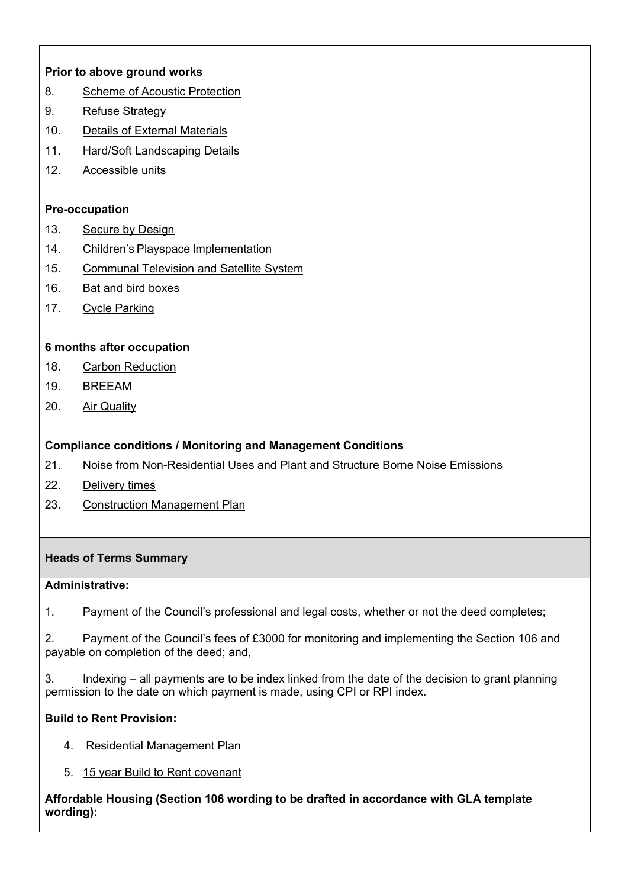## **Prior to above ground works**

- 8. Scheme of Acoustic Protection
- 9. Refuse Strategy
- 10. Details of External Materials
- 11. Hard/Soft Landscaping Details
- 12. Accessible units

## **Pre-occupation**

- 13. Secure by Design
- 14. Children's Playspace Implementation
- 15. Communal Television and Satellite System
- 16. Bat and bird boxes
- 17. Cycle Parking

## **6 months after occupation**

- 18. Carbon Reduction
- 19. BREEAM
- 20. Air Quality

## **Compliance conditions / Monitoring and Management Conditions**

- 21. Noise from Non-Residential Uses and Plant and Structure Borne Noise Emissions
- 22. Delivery times
- 23. Construction Management Plan

## **Heads of Terms Summary**

## **Administrative:**

1. Payment of the Council's professional and legal costs, whether or not the deed completes;

2. Payment of the Council's fees of £3000 for monitoring and implementing the Section 106 and payable on completion of the deed; and,

3. Indexing – all payments are to be index linked from the date of the decision to grant planning permission to the date on which payment is made, using CPI or RPI index.

# **Build to Rent Provision:**

- 4. Residential Management Plan
- 5. 15 year Build to Rent covenant

**Affordable Housing (Section 106 wording to be drafted in accordance with GLA template wording):**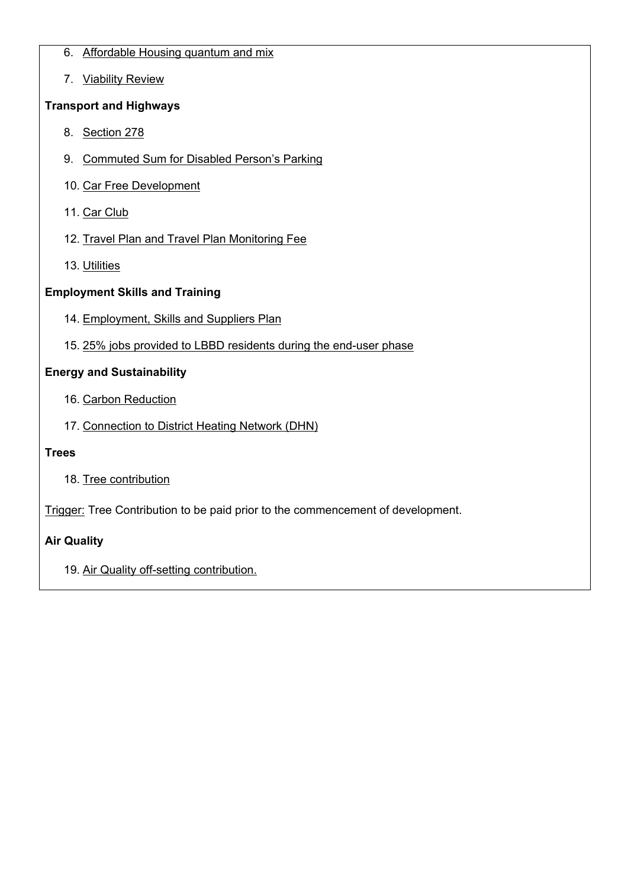- 6. Affordable Housing quantum and mix
- 7. Viability Review

# **Transport and Highways**

- 8. Section 278
- 9. Commuted Sum for Disabled Person's Parking
- 10. Car Free Development
- 11. Car Club
- 12. Travel Plan and Travel Plan Monitoring Fee
- 13. Utilities

# **Employment Skills and Training**

- 14. Employment, Skills and Suppliers Plan
- 15. 25% jobs provided to LBBD residents during the end-user phase

# **Energy and Sustainability**

- 16. Carbon Reduction
- 17. Connection to District Heating Network (DHN)

# **Trees**

18. Tree contribution

Trigger: Tree Contribution to be paid prior to the commencement of development.

# **Air Quality**

19. Air Quality off-setting contribution.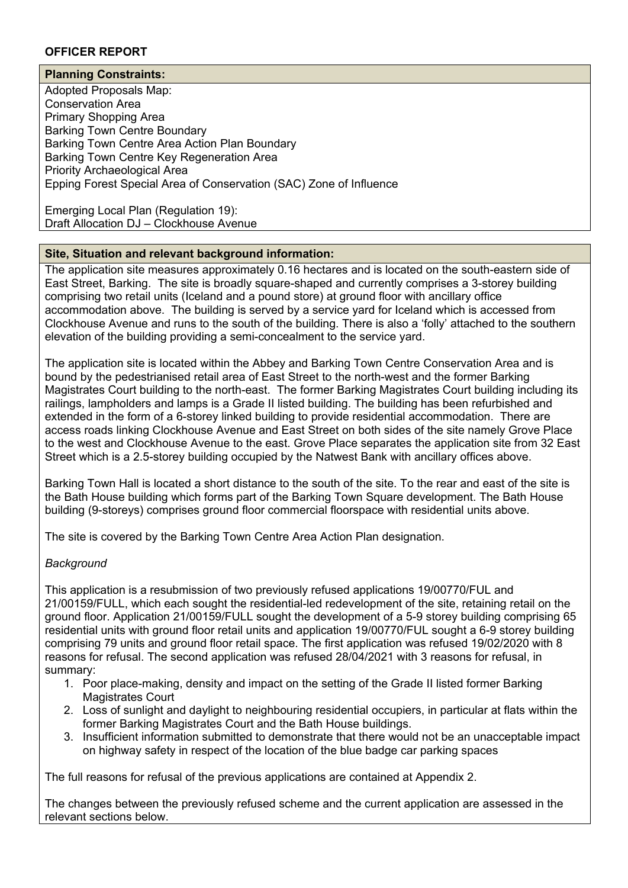## **OFFICER REPORT**

## **Planning Constraints:**

Adopted Proposals Map: Conservation Area Primary Shopping Area Barking Town Centre Boundary Barking Town Centre Area Action Plan Boundary Barking Town Centre Key Regeneration Area Priority Archaeological Area Epping Forest Special Area of Conservation (SAC) Zone of Influence

Emerging Local Plan (Regulation 19): Draft Allocation DJ – Clockhouse Avenue

## **Site, Situation and relevant background information:**

The application site measures approximately 0.16 hectares and is located on the south-eastern side of East Street, Barking. The site is broadly square-shaped and currently comprises a 3-storey building comprising two retail units (Iceland and a pound store) at ground floor with ancillary office accommodation above. The building is served by a service yard for Iceland which is accessed from Clockhouse Avenue and runs to the south of the building. There is also a 'folly' attached to the southern elevation of the building providing a semi-concealment to the service yard.

The application site is located within the Abbey and Barking Town Centre Conservation Area and is bound by the pedestrianised retail area of East Street to the north-west and the former Barking Magistrates Court building to the north-east. The former Barking Magistrates Court building including its railings, lampholders and lamps is a Grade II listed building. The building has been refurbished and extended in the form of a 6-storey linked building to provide residential accommodation. There are access roads linking Clockhouse Avenue and East Street on both sides of the site namely Grove Place to the west and Clockhouse Avenue to the east. Grove Place separates the application site from 32 East Street which is a 2.5-storey building occupied by the Natwest Bank with ancillary offices above.

Barking Town Hall is located a short distance to the south of the site. To the rear and east of the site is the Bath House building which forms part of the Barking Town Square development. The Bath House building (9-storeys) comprises ground floor commercial floorspace with residential units above.

The site is covered by the Barking Town Centre Area Action Plan designation.

## *Background*

This application is a resubmission of two previously refused applications 19/00770/FUL and 21/00159/FULL, which each sought the residential-led redevelopment of the site, retaining retail on the ground floor. Application 21/00159/FULL sought the development of a 5-9 storey building comprising 65 residential units with ground floor retail units and application 19/00770/FUL sought a 6-9 storey building comprising 79 units and ground floor retail space. The first application was refused 19/02/2020 with 8 reasons for refusal. The second application was refused 28/04/2021 with 3 reasons for refusal, in summary:

- 1. Poor place-making, density and impact on the setting of the Grade II listed former Barking Magistrates Court
- 2. Loss of sunlight and daylight to neighbouring residential occupiers, in particular at flats within the former Barking Magistrates Court and the Bath House buildings.
- 3. Insufficient information submitted to demonstrate that there would not be an unacceptable impact on highway safety in respect of the location of the blue badge car parking spaces

The full reasons for refusal of the previous applications are contained at Appendix 2.

The changes between the previously refused scheme and the current application are assessed in the relevant sections below.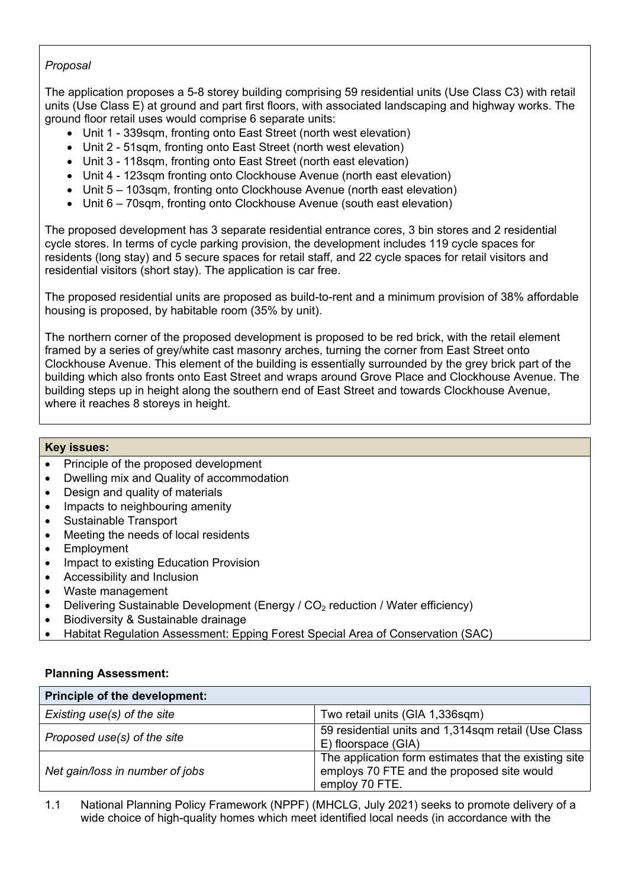## *Proposal*

The application proposes a 5-8 storey building comprising 59 residential units (Use Class C3) with retail units (Use Class E) at ground and part first floors, with associated landscaping and highway works. The ground floor retail uses would comprise 6 separate units:

- Unit 1 339sqm, fronting onto East Street (north west elevation)
- Unit 2 51sqm, fronting onto East Street (north west elevation)
- Unit 3 118sqm, fronting onto East Street (north east elevation)
- Unit 4 123sqm fronting onto Clockhouse Avenue (north east elevation)
- Unit 5 103sqm, fronting onto Clockhouse Avenue (north east elevation)
- Unit 6 70sqm, fronting onto Clockhouse Avenue (south east elevation)

The proposed development has 3 separate residential entrance cores, 3 bin stores and 2 residential cycle stores. In terms of cycle parking provision, the development includes 119 cycle spaces for residents (long stay) and 5 secure spaces for retail staff, and 22 cycle spaces for retail visitors and residential visitors (short stay). The application is car free.

The proposed residential units are proposed as build-to-rent and a minimum provision of 38% affordable housing is proposed, by habitable room (35% by unit).

The northern corner of the proposed development is proposed to be red brick, with the retail element framed by a series of grey/white cast masonry arches, turning the corner from East Street onto Clockhouse Avenue. This element of the building is essentially surrounded by the grey brick part of the building which also fronts onto East Street and wraps around Grove Place and Clockhouse Avenue. The building steps up in height along the southern end of East Street and towards Clockhouse Avenue, where it reaches 8 storeys in height.

## **Key issues:**

- Principle of the proposed development
- Dwelling mix and Quality of accommodation
- Design and quality of materials
- Impacts to neighbouring amenity
- Sustainable Transport
- Meeting the needs of local residents
- Employment
- Impact to existing Education Provision
- Accessibility and Inclusion
- Waste management
- Delivering Sustainable Development (Energy /  $CO<sub>2</sub>$  reduction / Water efficiency)
- Biodiversity & Sustainable drainage
- Habitat Regulation Assessment: Epping Forest Special Area of Conservation (SAC)

#### **Planning Assessment:**

| Principle of the development:   |                                                                                                                       |
|---------------------------------|-----------------------------------------------------------------------------------------------------------------------|
| Existing use(s) of the site     | Two retail units (GIA 1,336sqm)                                                                                       |
| Proposed use(s) of the site     | 59 residential units and 1,314sqm retail (Use Class<br>E) floorspace (GIA)                                            |
| Net gain/loss in number of jobs | The application form estimates that the existing site<br>employs 70 FTE and the proposed site would<br>employ 70 FTE. |

1.1 National Planning Policy Framework (NPPF) (MHCLG, July 2021) seeks to promote delivery of a wide choice of high-quality homes which meet identified local needs (in accordance with the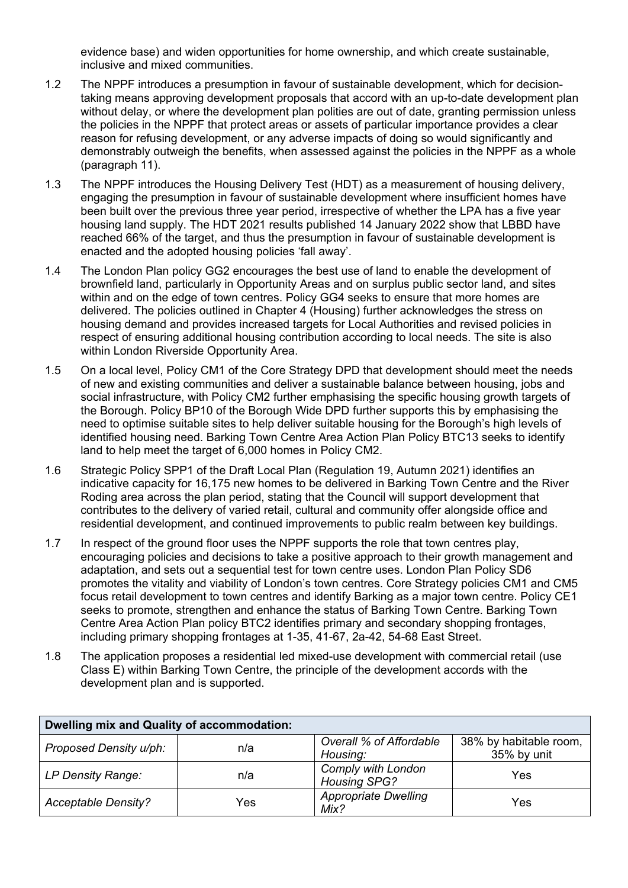evidence base) and widen opportunities for home ownership, and which create sustainable, inclusive and mixed communities.

- 1.2 The NPPF introduces a presumption in favour of sustainable development, which for decisiontaking means approving development proposals that accord with an up-to-date development plan without delay, or where the development plan polities are out of date, granting permission unless the policies in the NPPF that protect areas or assets of particular importance provides a clear reason for refusing development, or any adverse impacts of doing so would significantly and demonstrably outweigh the benefits, when assessed against the policies in the NPPF as a whole (paragraph 11).
- 1.3 The NPPF introduces the Housing Delivery Test (HDT) as a measurement of housing delivery, engaging the presumption in favour of sustainable development where insufficient homes have been built over the previous three year period, irrespective of whether the LPA has a five year housing land supply. The HDT 2021 results published 14 January 2022 show that LBBD have reached 66% of the target, and thus the presumption in favour of sustainable development is enacted and the adopted housing policies 'fall away'.
- 1.4 The London Plan policy GG2 encourages the best use of land to enable the development of brownfield land, particularly in Opportunity Areas and on surplus public sector land, and sites within and on the edge of town centres. Policy GG4 seeks to ensure that more homes are delivered. The policies outlined in Chapter 4 (Housing) further acknowledges the stress on housing demand and provides increased targets for Local Authorities and revised policies in respect of ensuring additional housing contribution according to local needs. The site is also within London Riverside Opportunity Area.
- 1.5 On a local level, Policy CM1 of the Core Strategy DPD that development should meet the needs of new and existing communities and deliver a sustainable balance between housing, jobs and social infrastructure, with Policy CM2 further emphasising the specific housing growth targets of the Borough. Policy BP10 of the Borough Wide DPD further supports this by emphasising the need to optimise suitable sites to help deliver suitable housing for the Borough's high levels of identified housing need. Barking Town Centre Area Action Plan Policy BTC13 seeks to identify land to help meet the target of 6,000 homes in Policy CM2.
- 1.6 Strategic Policy SPP1 of the Draft Local Plan (Regulation 19, Autumn 2021) identifies an indicative capacity for 16,175 new homes to be delivered in Barking Town Centre and the River Roding area across the plan period, stating that the Council will support development that contributes to the delivery of varied retail, cultural and community offer alongside office and residential development, and continued improvements to public realm between key buildings.
- 1.7 In respect of the ground floor uses the NPPF supports the role that town centres play, encouraging policies and decisions to take a positive approach to their growth management and adaptation, and sets out a sequential test for town centre uses. London Plan Policy SD6 promotes the vitality and viability of London's town centres. Core Strategy policies CM1 and CM5 focus retail development to town centres and identify Barking as a major town centre. Policy CE1 seeks to promote, strengthen and enhance the status of Barking Town Centre. Barking Town Centre Area Action Plan policy BTC2 identifies primary and secondary shopping frontages, including primary shopping frontages at 1-35, 41-67, 2a-42, 54-68 East Street.
- 1.8 The application proposes a residential led mixed-use development with commercial retail (use Class E) within Barking Town Centre, the principle of the development accords with the development plan and is supported.

| Dwelling mix and Quality of accommodation: |     |                                           |                                       |
|--------------------------------------------|-----|-------------------------------------------|---------------------------------------|
| Proposed Density u/ph:                     | n/a | Overall % of Affordable<br>Housing:       | 38% by habitable room,<br>35% by unit |
| LP Density Range:                          | n/a | Comply with London<br><b>Housing SPG?</b> | Yes                                   |
| <b>Acceptable Density?</b>                 | Yes | <b>Appropriate Dwelling</b><br>Mix?       | Yes                                   |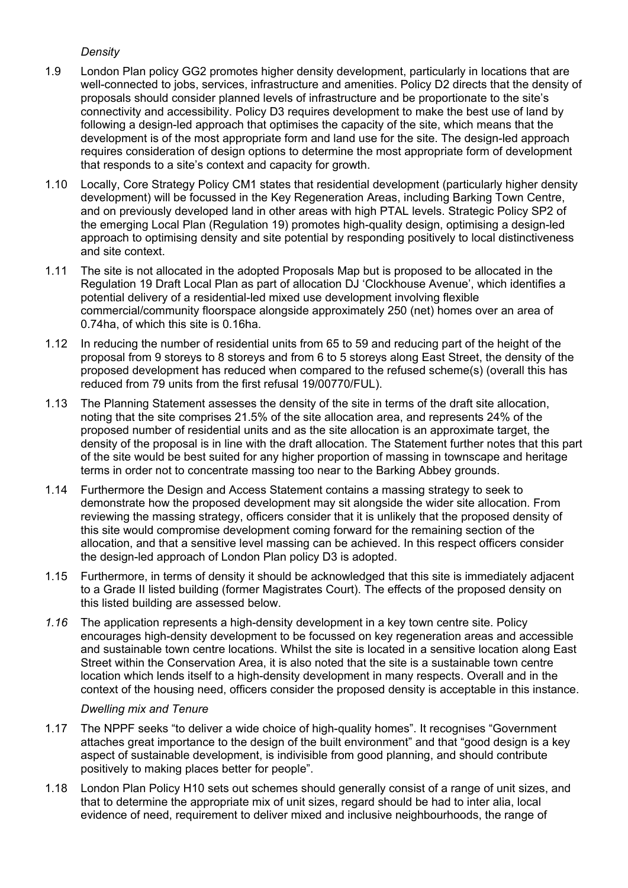## *Density*

- 1.9 London Plan policy GG2 promotes higher density development, particularly in locations that are well-connected to jobs, services, infrastructure and amenities. Policy D2 directs that the density of proposals should consider planned levels of infrastructure and be proportionate to the site's connectivity and accessibility. Policy D3 requires development to make the best use of land by following a design-led approach that optimises the capacity of the site, which means that the development is of the most appropriate form and land use for the site. The design-led approach requires consideration of design options to determine the most appropriate form of development that responds to a site's context and capacity for growth.
- 1.10 Locally, Core Strategy Policy CM1 states that residential development (particularly higher density development) will be focussed in the Key Regeneration Areas, including Barking Town Centre, and on previously developed land in other areas with high PTAL levels. Strategic Policy SP2 of the emerging Local Plan (Regulation 19) promotes high-quality design, optimising a design-led approach to optimising density and site potential by responding positively to local distinctiveness and site context.
- 1.11 The site is not allocated in the adopted Proposals Map but is proposed to be allocated in the Regulation 19 Draft Local Plan as part of allocation DJ 'Clockhouse Avenue', which identifies a potential delivery of a residential-led mixed use development involving flexible commercial/community floorspace alongside approximately 250 (net) homes over an area of 0.74ha, of which this site is 0.16ha.
- 1.12 In reducing the number of residential units from 65 to 59 and reducing part of the height of the proposal from 9 storeys to 8 storeys and from 6 to 5 storeys along East Street, the density of the proposed development has reduced when compared to the refused scheme(s) (overall this has reduced from 79 units from the first refusal 19/00770/FUL).
- 1.13 The Planning Statement assesses the density of the site in terms of the draft site allocation, noting that the site comprises 21.5% of the site allocation area, and represents 24% of the proposed number of residential units and as the site allocation is an approximate target, the density of the proposal is in line with the draft allocation. The Statement further notes that this part of the site would be best suited for any higher proportion of massing in townscape and heritage terms in order not to concentrate massing too near to the Barking Abbey grounds.
- 1.14 Furthermore the Design and Access Statement contains a massing strategy to seek to demonstrate how the proposed development may sit alongside the wider site allocation. From reviewing the massing strategy, officers consider that it is unlikely that the proposed density of this site would compromise development coming forward for the remaining section of the allocation, and that a sensitive level massing can be achieved. In this respect officers consider the design-led approach of London Plan policy D3 is adopted.
- 1.15 Furthermore, in terms of density it should be acknowledged that this site is immediately adjacent to a Grade II listed building (former Magistrates Court). The effects of the proposed density on this listed building are assessed below.
- *1.16* The application represents a high-density development in a key town centre site. Policy encourages high-density development to be focussed on key regeneration areas and accessible and sustainable town centre locations. Whilst the site is located in a sensitive location along East Street within the Conservation Area, it is also noted that the site is a sustainable town centre location which lends itself to a high-density development in many respects. Overall and in the context of the housing need, officers consider the proposed density is acceptable in this instance.

## *Dwelling mix and Tenure*

- 1.17 The NPPF seeks "to deliver a wide choice of high-quality homes". It recognises "Government attaches great importance to the design of the built environment" and that "good design is a key aspect of sustainable development, is indivisible from good planning, and should contribute positively to making places better for people".
- 1.18 London Plan Policy H10 sets out schemes should generally consist of a range of unit sizes, and that to determine the appropriate mix of unit sizes, regard should be had to inter alia, local evidence of need, requirement to deliver mixed and inclusive neighbourhoods, the range of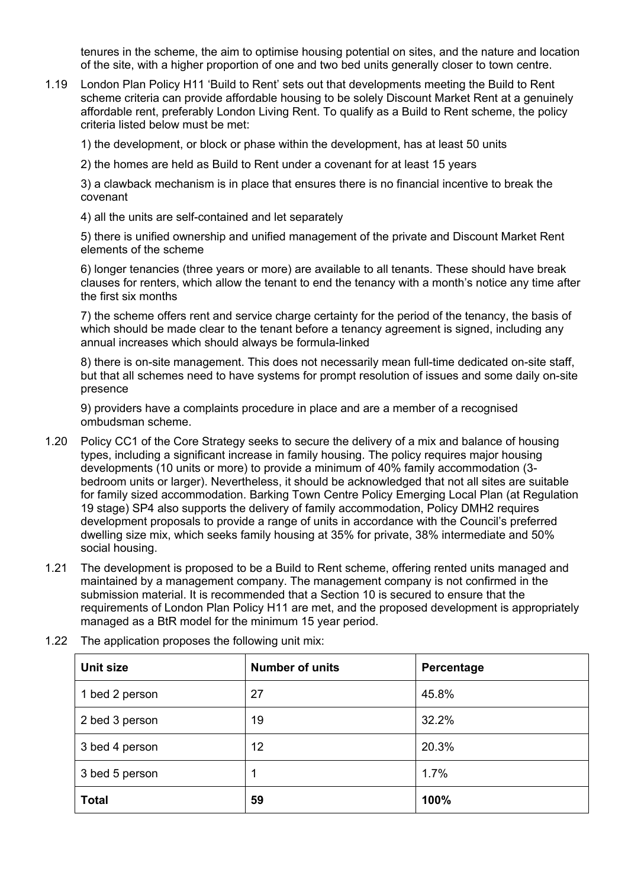tenures in the scheme, the aim to optimise housing potential on sites, and the nature and location of the site, with a higher proportion of one and two bed units generally closer to town centre.

1.19 London Plan Policy H11 'Build to Rent' sets out that developments meeting the Build to Rent scheme criteria can provide affordable housing to be solely Discount Market Rent at a genuinely affordable rent, preferably London Living Rent. To qualify as a Build to Rent scheme, the policy criteria listed below must be met:

1) the development, or block or phase within the development, has at least 50 units

2) the homes are held as Build to Rent under a covenant for at least 15 years

3) a clawback mechanism is in place that ensures there is no financial incentive to break the covenant

4) all the units are self-contained and let separately

5) there is unified ownership and unified management of the private and Discount Market Rent elements of the scheme

6) longer tenancies (three years or more) are available to all tenants. These should have break clauses for renters, which allow the tenant to end the tenancy with a month's notice any time after the first six months

7) the scheme offers rent and service charge certainty for the period of the tenancy, the basis of which should be made clear to the tenant before a tenancy agreement is signed, including any annual increases which should always be formula-linked

8) there is on-site management. This does not necessarily mean full-time dedicated on-site staff, but that all schemes need to have systems for prompt resolution of issues and some daily on-site presence

9) providers have a complaints procedure in place and are a member of a recognised ombudsman scheme.

- 1.20 Policy CC1 of the Core Strategy seeks to secure the delivery of a mix and balance of housing types, including a significant increase in family housing. The policy requires major housing developments (10 units or more) to provide a minimum of 40% family accommodation (3 bedroom units or larger). Nevertheless, it should be acknowledged that not all sites are suitable for family sized accommodation. Barking Town Centre Policy Emerging Local Plan (at Regulation 19 stage) SP4 also supports the delivery of family accommodation, Policy DMH2 requires development proposals to provide a range of units in accordance with the Council's preferred dwelling size mix, which seeks family housing at 35% for private, 38% intermediate and 50% social housing.
- 1.21 The development is proposed to be a Build to Rent scheme, offering rented units managed and maintained by a management company. The management company is not confirmed in the submission material. It is recommended that a Section 10 is secured to ensure that the requirements of London Plan Policy H11 are met, and the proposed development is appropriately managed as a BtR model for the minimum 15 year period.

| Unit size      | <b>Number of units</b> | Percentage |
|----------------|------------------------|------------|
| 1 bed 2 person | 27                     | 45.8%      |
| 2 bed 3 person | 19                     | 32.2%      |
| 3 bed 4 person | 12                     | 20.3%      |
| 3 bed 5 person |                        | 1.7%       |
| <b>Total</b>   | 59                     | 100%       |

1.22 The application proposes the following unit mix: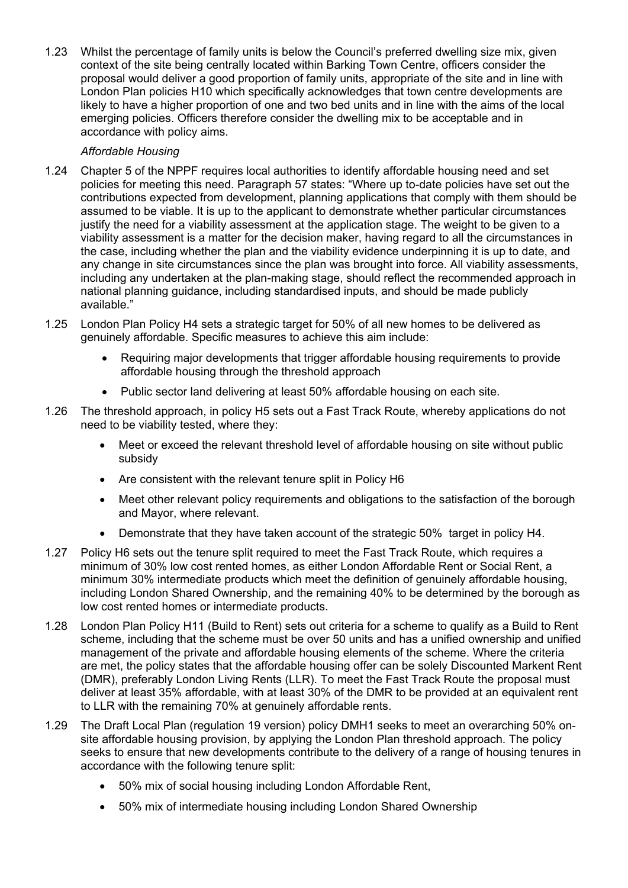1.23 Whilst the percentage of family units is below the Council's preferred dwelling size mix, given context of the site being centrally located within Barking Town Centre, officers consider the proposal would deliver a good proportion of family units, appropriate of the site and in line with London Plan policies H10 which specifically acknowledges that town centre developments are likely to have a higher proportion of one and two bed units and in line with the aims of the local emerging policies. Officers therefore consider the dwelling mix to be acceptable and in accordance with policy aims.

## *Affordable Housing*

- 1.24 Chapter 5 of the NPPF requires local authorities to identify affordable housing need and set policies for meeting this need. Paragraph 57 states: "Where up to-date policies have set out the contributions expected from development, planning applications that comply with them should be assumed to be viable. It is up to the applicant to demonstrate whether particular circumstances justify the need for a viability assessment at the application stage. The weight to be given to a viability assessment is a matter for the decision maker, having regard to all the circumstances in the case, including whether the plan and the viability evidence underpinning it is up to date, and any change in site circumstances since the plan was brought into force. All viability assessments, including any undertaken at the plan-making stage, should reflect the recommended approach in national planning guidance, including standardised inputs, and should be made publicly available."
- 1.25 London Plan Policy H4 sets a strategic target for 50% of all new homes to be delivered as genuinely affordable. Specific measures to achieve this aim include:
	- Requiring major developments that trigger affordable housing requirements to provide affordable housing through the threshold approach
	- Public sector land delivering at least 50% affordable housing on each site.
- 1.26 The threshold approach, in policy H5 sets out a Fast Track Route, whereby applications do not need to be viability tested, where they:
	- Meet or exceed the relevant threshold level of affordable housing on site without public subsidy
	- Are consistent with the relevant tenure split in Policy H6
	- Meet other relevant policy requirements and obligations to the satisfaction of the borough and Mayor, where relevant.
	- Demonstrate that they have taken account of the strategic 50% target in policy H4.
- 1.27 Policy H6 sets out the tenure split required to meet the Fast Track Route, which requires a minimum of 30% low cost rented homes, as either London Affordable Rent or Social Rent, a minimum 30% intermediate products which meet the definition of genuinely affordable housing, including London Shared Ownership, and the remaining 40% to be determined by the borough as low cost rented homes or intermediate products.
- 1.28 London Plan Policy H11 (Build to Rent) sets out criteria for a scheme to qualify as a Build to Rent scheme, including that the scheme must be over 50 units and has a unified ownership and unified management of the private and affordable housing elements of the scheme. Where the criteria are met, the policy states that the affordable housing offer can be solely Discounted Markent Rent (DMR), preferably London Living Rents (LLR). To meet the Fast Track Route the proposal must deliver at least 35% affordable, with at least 30% of the DMR to be provided at an equivalent rent to LLR with the remaining 70% at genuinely affordable rents.
- 1.29 The Draft Local Plan (regulation 19 version) policy DMH1 seeks to meet an overarching 50% onsite affordable housing provision, by applying the London Plan threshold approach. The policy seeks to ensure that new developments contribute to the delivery of a range of housing tenures in accordance with the following tenure split:
	- 50% mix of social housing including London Affordable Rent,
	- 50% mix of intermediate housing including London Shared Ownership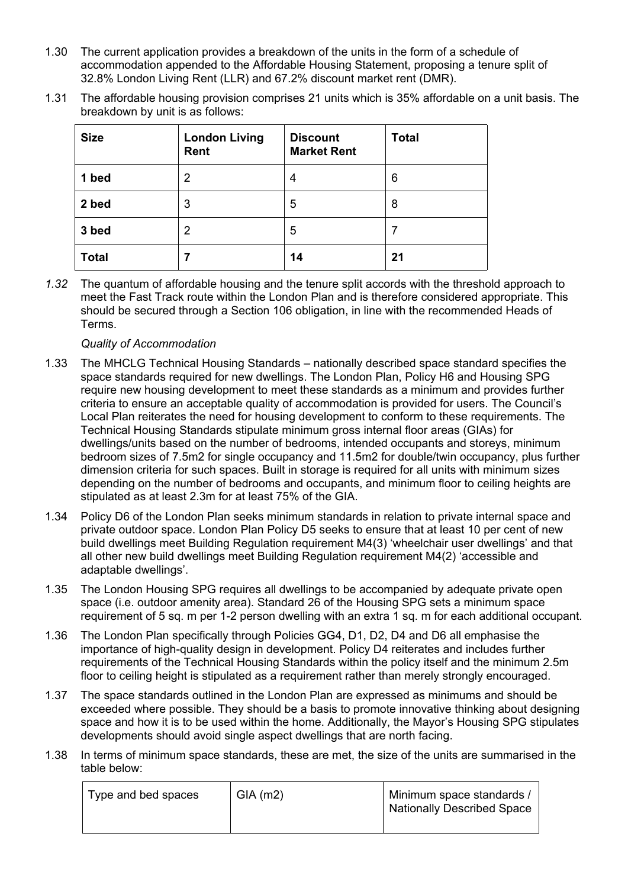- 1.30 The current application provides a breakdown of the units in the form of a schedule of accommodation appended to the Affordable Housing Statement, proposing a tenure split of 32.8% London Living Rent (LLR) and 67.2% discount market rent (DMR).
- 1.31 The affordable housing provision comprises 21 units which is 35% affordable on a unit basis. The breakdown by unit is as follows:

| <b>Size</b>  | <b>London Living</b><br>Rent | <b>Discount</b><br><b>Market Rent</b> | <b>Total</b> |
|--------------|------------------------------|---------------------------------------|--------------|
| 1 bed        | 2                            | 4                                     | 6            |
| 2 bed        | 3                            | 5                                     | 8            |
| 3 bed        | $\overline{2}$               | 5                                     | 7            |
| <b>Total</b> |                              | 14                                    | 21           |

*1.32* The quantum of affordable housing and the tenure split accords with the threshold approach to meet the Fast Track route within the London Plan and is therefore considered appropriate. This should be secured through a Section 106 obligation, in line with the recommended Heads of Terms.

## *Quality of Accommodation*

- 1.33 The MHCLG Technical Housing Standards nationally described space standard specifies the space standards required for new dwellings. The London Plan, Policy H6 and Housing SPG require new housing development to meet these standards as a minimum and provides further criteria to ensure an acceptable quality of accommodation is provided for users. The Council's Local Plan reiterates the need for housing development to conform to these requirements. The Technical Housing Standards stipulate minimum gross internal floor areas (GIAs) for dwellings/units based on the number of bedrooms, intended occupants and storeys, minimum bedroom sizes of 7.5m2 for single occupancy and 11.5m2 for double/twin occupancy, plus further dimension criteria for such spaces. Built in storage is required for all units with minimum sizes depending on the number of bedrooms and occupants, and minimum floor to ceiling heights are stipulated as at least 2.3m for at least 75% of the GIA.
- 1.34 Policy D6 of the London Plan seeks minimum standards in relation to private internal space and private outdoor space. London Plan Policy D5 seeks to ensure that at least 10 per cent of new build dwellings meet Building Regulation requirement M4(3) 'wheelchair user dwellings' and that all other new build dwellings meet Building Regulation requirement M4(2) 'accessible and adaptable dwellings'.
- 1.35 The London Housing SPG requires all dwellings to be accompanied by adequate private open space (i.e. outdoor amenity area). Standard 26 of the Housing SPG sets a minimum space requirement of 5 sq. m per 1-2 person dwelling with an extra 1 sq. m for each additional occupant.
- 1.36 The London Plan specifically through Policies GG4, D1, D2, D4 and D6 all emphasise the importance of high-quality design in development. Policy D4 reiterates and includes further requirements of the Technical Housing Standards within the policy itself and the minimum 2.5m floor to ceiling height is stipulated as a requirement rather than merely strongly encouraged.
- 1.37 The space standards outlined in the London Plan are expressed as minimums and should be exceeded where possible. They should be a basis to promote innovative thinking about designing space and how it is to be used within the home. Additionally, the Mayor's Housing SPG stipulates developments should avoid single aspect dwellings that are north facing.
- 1.38 In terms of minimum space standards, these are met, the size of the units are summarised in the table below:

| Type and bed spaces | GIA(m2) | Minimum space standards /<br>  Nationally Described Space |
|---------------------|---------|-----------------------------------------------------------|
|                     |         |                                                           |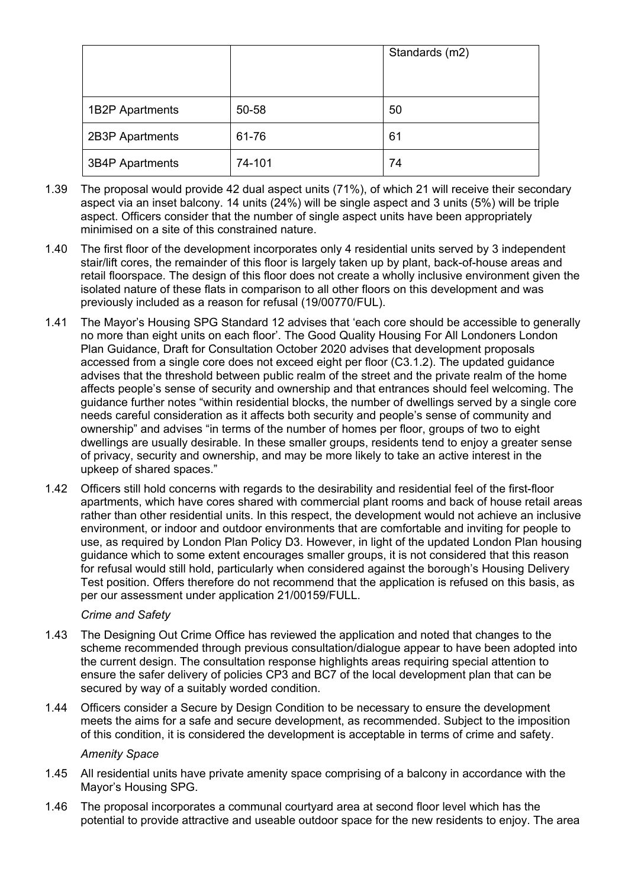|                        |        | Standards (m2) |
|------------------------|--------|----------------|
| 1B2P Apartments        | 50-58  | 50             |
| 2B3P Apartments        | 61-76  | 61             |
| <b>3B4P Apartments</b> | 74-101 | 74             |

- 1.39 The proposal would provide 42 dual aspect units (71%), of which 21 will receive their secondary aspect via an inset balcony. 14 units (24%) will be single aspect and 3 units (5%) will be triple aspect. Officers consider that the number of single aspect units have been appropriately minimised on a site of this constrained nature.
- 1.40 The first floor of the development incorporates only 4 residential units served by 3 independent stair/lift cores, the remainder of this floor is largely taken up by plant, back-of-house areas and retail floorspace. The design of this floor does not create a wholly inclusive environment given the isolated nature of these flats in comparison to all other floors on this development and was previously included as a reason for refusal (19/00770/FUL).
- 1.41 The Mayor's Housing SPG Standard 12 advises that 'each core should be accessible to generally no more than eight units on each floor'. The Good Quality Housing For All Londoners London Plan Guidance, Draft for Consultation October 2020 advises that development proposals accessed from a single core does not exceed eight per floor (C3.1.2). The updated guidance advises that the threshold between public realm of the street and the private realm of the home affects people's sense of security and ownership and that entrances should feel welcoming. The guidance further notes "within residential blocks, the number of dwellings served by a single core needs careful consideration as it affects both security and people's sense of community and ownership" and advises "in terms of the number of homes per floor, groups of two to eight dwellings are usually desirable. In these smaller groups, residents tend to enjoy a greater sense of privacy, security and ownership, and may be more likely to take an active interest in the upkeep of shared spaces."
- 1.42 Officers still hold concerns with regards to the desirability and residential feel of the first-floor apartments, which have cores shared with commercial plant rooms and back of house retail areas rather than other residential units. In this respect, the development would not achieve an inclusive environment, or indoor and outdoor environments that are comfortable and inviting for people to use, as required by London Plan Policy D3. However, in light of the updated London Plan housing guidance which to some extent encourages smaller groups, it is not considered that this reason for refusal would still hold, particularly when considered against the borough's Housing Delivery Test position. Offers therefore do not recommend that the application is refused on this basis, as per our assessment under application 21/00159/FULL.

## *Crime and Safety*

- 1.43 The Designing Out Crime Office has reviewed the application and noted that changes to the scheme recommended through previous consultation/dialogue appear to have been adopted into the current design. The consultation response highlights areas requiring special attention to ensure the safer delivery of policies CP3 and BC7 of the local development plan that can be secured by way of a suitably worded condition.
- 1.44 Officers consider a Secure by Design Condition to be necessary to ensure the development meets the aims for a safe and secure development, as recommended. Subject to the imposition of this condition, it is considered the development is acceptable in terms of crime and safety.

#### *Amenity Space*

- 1.45 All residential units have private amenity space comprising of a balcony in accordance with the Mayor's Housing SPG.
- 1.46 The proposal incorporates a communal courtyard area at second floor level which has the potential to provide attractive and useable outdoor space for the new residents to enjoy. The area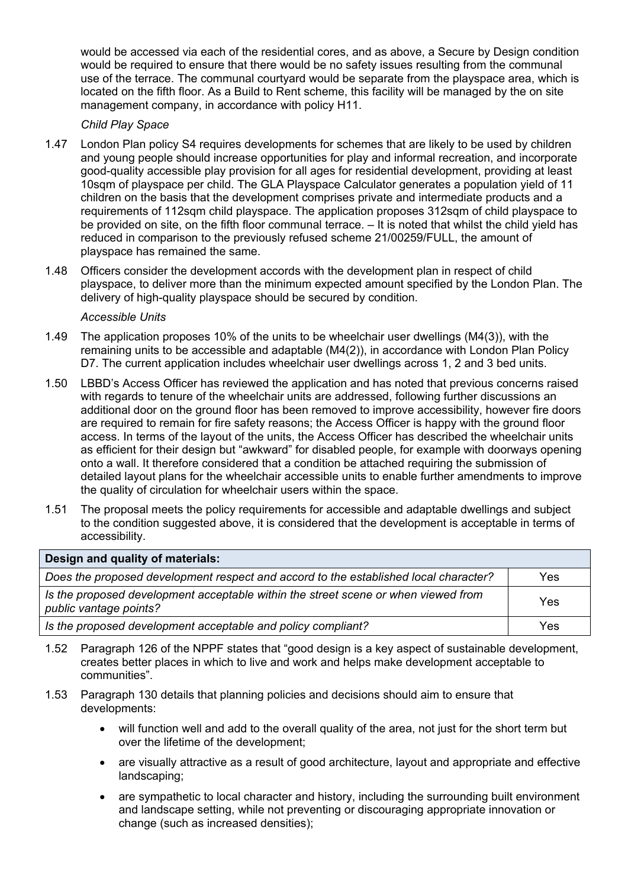would be accessed via each of the residential cores, and as above, a Secure by Design condition would be required to ensure that there would be no safety issues resulting from the communal use of the terrace. The communal courtyard would be separate from the playspace area, which is located on the fifth floor. As a Build to Rent scheme, this facility will be managed by the on site management company, in accordance with policy H11.

## *Child Play Space*

- 1.47 London Plan policy S4 requires developments for schemes that are likely to be used by children and young people should increase opportunities for play and informal recreation, and incorporate good-quality accessible play provision for all ages for residential development, providing at least 10sqm of playspace per child. The GLA Playspace Calculator generates a population yield of 11 children on the basis that the development comprises private and intermediate products and a requirements of 112sqm child playspace. The application proposes 312sqm of child playspace to be provided on site, on the fifth floor communal terrace. – It is noted that whilst the child yield has reduced in comparison to the previously refused scheme 21/00259/FULL, the amount of playspace has remained the same.
- 1.48 Officers consider the development accords with the development plan in respect of child playspace, to deliver more than the minimum expected amount specified by the London Plan. The delivery of high-quality playspace should be secured by condition.

## *Accessible Units*

- 1.49 The application proposes 10% of the units to be wheelchair user dwellings (M4(3)), with the remaining units to be accessible and adaptable (M4(2)), in accordance with London Plan Policy D7. The current application includes wheelchair user dwellings across 1, 2 and 3 bed units.
- 1.50 LBBD's Access Officer has reviewed the application and has noted that previous concerns raised with regards to tenure of the wheelchair units are addressed, following further discussions an additional door on the ground floor has been removed to improve accessibility, however fire doors are required to remain for fire safety reasons; the Access Officer is happy with the ground floor access. In terms of the layout of the units, the Access Officer has described the wheelchair units as efficient for their design but "awkward" for disabled people, for example with doorways opening onto a wall. It therefore considered that a condition be attached requiring the submission of detailed layout plans for the wheelchair accessible units to enable further amendments to improve the quality of circulation for wheelchair users within the space.
- 1.51 The proposal meets the policy requirements for accessible and adaptable dwellings and subject to the condition suggested above, it is considered that the development is acceptable in terms of accessibility.

| Design and quality of materials:                                                                             |     |
|--------------------------------------------------------------------------------------------------------------|-----|
| Does the proposed development respect and accord to the established local character?                         | Yes |
| Is the proposed development acceptable within the street scene or when viewed from<br>public vantage points? | Yes |
| Is the proposed development acceptable and policy compliant?                                                 | Yes |

- 1.52 Paragraph 126 of the NPPF states that "good design is a key aspect of sustainable development, creates better places in which to live and work and helps make development acceptable to communities".
- 1.53 Paragraph 130 details that planning policies and decisions should aim to ensure that developments:
	- will function well and add to the overall quality of the area, not just for the short term but over the lifetime of the development;
	- are visually attractive as a result of good architecture, layout and appropriate and effective landscaping;
	- are sympathetic to local character and history, including the surrounding built environment and landscape setting, while not preventing or discouraging appropriate innovation or change (such as increased densities);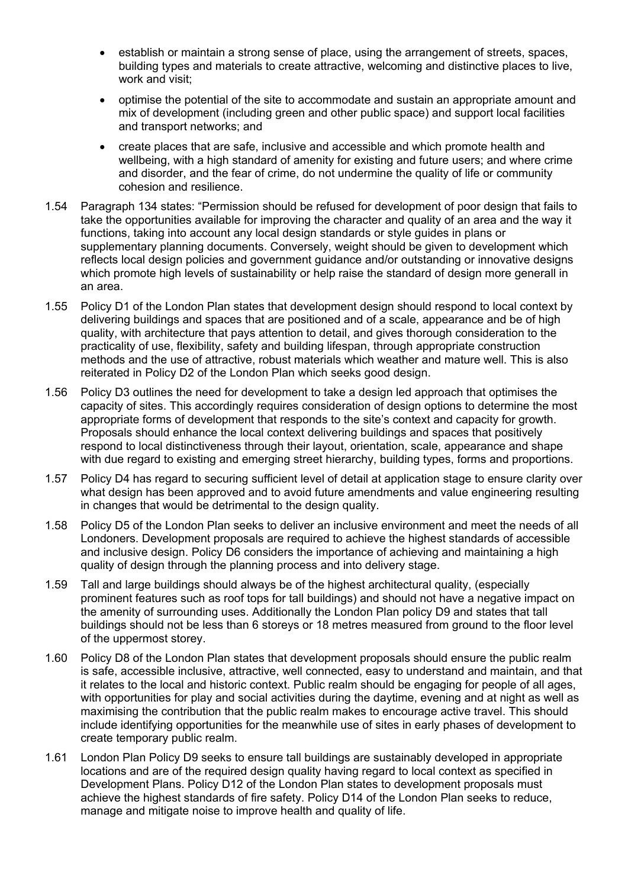- establish or maintain a strong sense of place, using the arrangement of streets, spaces, building types and materials to create attractive, welcoming and distinctive places to live, work and visit;
- optimise the potential of the site to accommodate and sustain an appropriate amount and mix of development (including green and other public space) and support local facilities and transport networks; and
- create places that are safe, inclusive and accessible and which promote health and wellbeing, with a high standard of amenity for existing and future users; and where crime and disorder, and the fear of crime, do not undermine the quality of life or community cohesion and resilience.
- 1.54 Paragraph 134 states: "Permission should be refused for development of poor design that fails to take the opportunities available for improving the character and quality of an area and the way it functions, taking into account any local design standards or style guides in plans or supplementary planning documents. Conversely, weight should be given to development which reflects local design policies and government guidance and/or outstanding or innovative designs which promote high levels of sustainability or help raise the standard of design more generall in an area.
- 1.55 Policy D1 of the London Plan states that development design should respond to local context by delivering buildings and spaces that are positioned and of a scale, appearance and be of high quality, with architecture that pays attention to detail, and gives thorough consideration to the practicality of use, flexibility, safety and building lifespan, through appropriate construction methods and the use of attractive, robust materials which weather and mature well. This is also reiterated in Policy D2 of the London Plan which seeks good design.
- 1.56 Policy D3 outlines the need for development to take a design led approach that optimises the capacity of sites. This accordingly requires consideration of design options to determine the most appropriate forms of development that responds to the site's context and capacity for growth. Proposals should enhance the local context delivering buildings and spaces that positively respond to local distinctiveness through their layout, orientation, scale, appearance and shape with due regard to existing and emerging street hierarchy, building types, forms and proportions.
- 1.57 Policy D4 has regard to securing sufficient level of detail at application stage to ensure clarity over what design has been approved and to avoid future amendments and value engineering resulting in changes that would be detrimental to the design quality.
- 1.58 Policy D5 of the London Plan seeks to deliver an inclusive environment and meet the needs of all Londoners. Development proposals are required to achieve the highest standards of accessible and inclusive design. Policy D6 considers the importance of achieving and maintaining a high quality of design through the planning process and into delivery stage.
- 1.59 Tall and large buildings should always be of the highest architectural quality, (especially prominent features such as roof tops for tall buildings) and should not have a negative impact on the amenity of surrounding uses. Additionally the London Plan policy D9 and states that tall buildings should not be less than 6 storeys or 18 metres measured from ground to the floor level of the uppermost storey.
- 1.60 Policy D8 of the London Plan states that development proposals should ensure the public realm is safe, accessible inclusive, attractive, well connected, easy to understand and maintain, and that it relates to the local and historic context. Public realm should be engaging for people of all ages, with opportunities for play and social activities during the daytime, evening and at night as well as maximising the contribution that the public realm makes to encourage active travel. This should include identifying opportunities for the meanwhile use of sites in early phases of development to create temporary public realm.
- 1.61 London Plan Policy D9 seeks to ensure tall buildings are sustainably developed in appropriate locations and are of the required design quality having regard to local context as specified in Development Plans. Policy D12 of the London Plan states to development proposals must achieve the highest standards of fire safety. Policy D14 of the London Plan seeks to reduce, manage and mitigate noise to improve health and quality of life.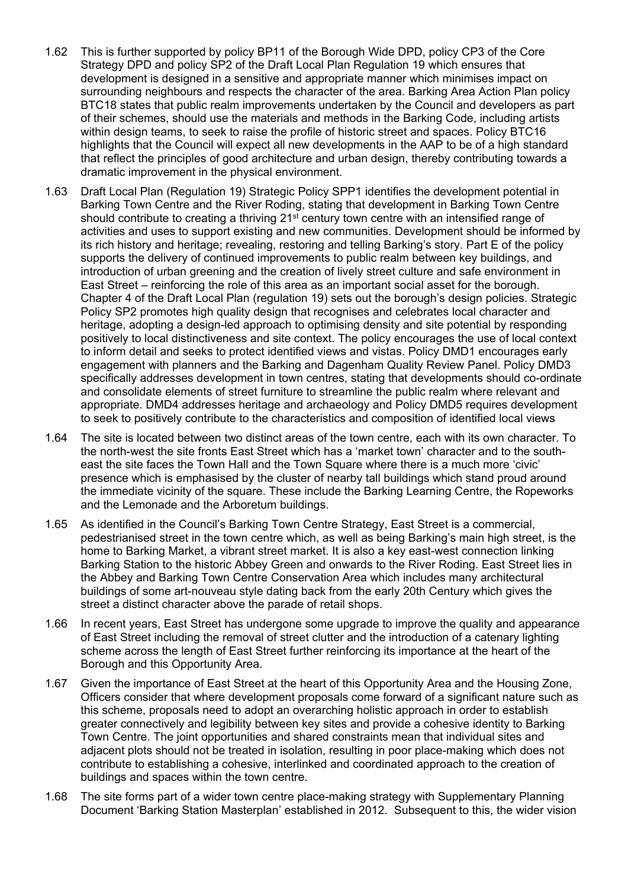- 1.62 This is further supported by policy BP11 of the Borough Wide DPD, policy CP3 of the Core Strategy DPD and policy SP2 of the Draft Local Plan Regulation 19 which ensures that development is designed in a sensitive and appropriate manner which minimises impact on surrounding neighbours and respects the character of the area. Barking Area Action Plan policy BTC18 states that public realm improvements undertaken by the Council and developers as part of their schemes, should use the materials and methods in the Barking Code, including artists within design teams, to seek to raise the profile of historic street and spaces. Policy BTC16 highlights that the Council will expect all new developments in the AAP to be of a high standard that reflect the principles of good architecture and urban design, thereby contributing towards a dramatic improvement in the physical environment.
- 1.63 Draft Local Plan (Regulation 19) Strategic Policy SPP1 identifies the development potential in Barking Town Centre and the River Roding, stating that development in Barking Town Centre should contribute to creating a thriving 21<sup>st</sup> century town centre with an intensified range of activities and uses to support existing and new communities. Development should be informed by its rich history and heritage; revealing, restoring and telling Barking's story. Part E of the policy supports the delivery of continued improvements to public realm between key buildings, and introduction of urban greening and the creation of lively street culture and safe environment in East Street – reinforcing the role of this area as an important social asset for the borough. Chapter 4 of the Draft Local Plan (regulation 19) sets out the borough's design policies. Strategic Policy SP2 promotes high quality design that recognises and celebrates local character and heritage, adopting a design-led approach to optimising density and site potential by responding positively to local distinctiveness and site context. The policy encourages the use of local context to inform detail and seeks to protect identified views and vistas. Policy DMD1 encourages early engagement with planners and the Barking and Dagenham Quality Review Panel. Policy DMD3 specifically addresses development in town centres, stating that developments should co-ordinate and consolidate elements of street furniture to streamline the public realm where relevant and appropriate. DMD4 addresses heritage and archaeology and Policy DMD5 requires development to seek to positively contribute to the characteristics and composition of identified local views
- 1.64 The site is located between two distinct areas of the town centre, each with its own character. To the north-west the site fronts East Street which has a 'market town' character and to the southeast the site faces the Town Hall and the Town Square where there is a much more 'civic' presence which is emphasised by the cluster of nearby tall buildings which stand proud around the immediate vicinity of the square. These include the Barking Learning Centre, the Ropeworks and the Lemonade and the Arboretum buildings.
- 1.65 As identified in the Council's Barking Town Centre Strategy, East Street is a commercial, pedestrianised street in the town centre which, as well as being Barking's main high street, is the home to Barking Market, a vibrant street market. It is also a key east-west connection linking Barking Station to the historic Abbey Green and onwards to the River Roding. East Street lies in the Abbey and Barking Town Centre Conservation Area which includes many architectural buildings of some art-nouveau style dating back from the early 20th Century which gives the street a distinct character above the parade of retail shops.
- 1.66 In recent years, East Street has undergone some upgrade to improve the quality and appearance of East Street including the removal of street clutter and the introduction of a catenary lighting scheme across the length of East Street further reinforcing its importance at the heart of the Borough and this Opportunity Area.
- 1.67 Given the importance of East Street at the heart of this Opportunity Area and the Housing Zone, Officers consider that where development proposals come forward of a significant nature such as this scheme, proposals need to adopt an overarching holistic approach in order to establish greater connectively and legibility between key sites and provide a cohesive identity to Barking Town Centre. The joint opportunities and shared constraints mean that individual sites and adjacent plots should not be treated in isolation, resulting in poor place-making which does not contribute to establishing a cohesive, interlinked and coordinated approach to the creation of buildings and spaces within the town centre.
- 1.68 The site forms part of a wider town centre place-making strategy with Supplementary Planning Document 'Barking Station Masterplan' established in 2012. Subsequent to this, the wider vision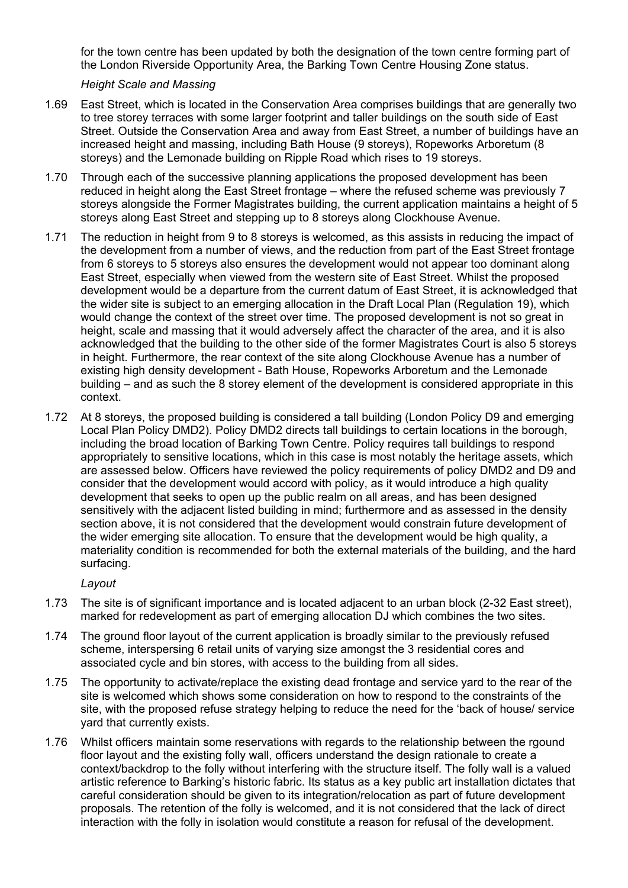for the town centre has been updated by both the designation of the town centre forming part of the London Riverside Opportunity Area, the Barking Town Centre Housing Zone status.

### *Height Scale and Massing*

- 1.69 East Street, which is located in the Conservation Area comprises buildings that are generally two to tree storey terraces with some larger footprint and taller buildings on the south side of East Street. Outside the Conservation Area and away from East Street, a number of buildings have an increased height and massing, including Bath House (9 storeys), Ropeworks Arboretum (8 storeys) and the Lemonade building on Ripple Road which rises to 19 storeys.
- 1.70 Through each of the successive planning applications the proposed development has been reduced in height along the East Street frontage – where the refused scheme was previously 7 storeys alongside the Former Magistrates building, the current application maintains a height of 5 storeys along East Street and stepping up to 8 storeys along Clockhouse Avenue.
- 1.71 The reduction in height from 9 to 8 storeys is welcomed, as this assists in reducing the impact of the development from a number of views, and the reduction from part of the East Street frontage from 6 storeys to 5 storeys also ensures the development would not appear too dominant along East Street, especially when viewed from the western site of East Street. Whilst the proposed development would be a departure from the current datum of East Street, it is acknowledged that the wider site is subject to an emerging allocation in the Draft Local Plan (Regulation 19), which would change the context of the street over time. The proposed development is not so great in height, scale and massing that it would adversely affect the character of the area, and it is also acknowledged that the building to the other side of the former Magistrates Court is also 5 storeys in height. Furthermore, the rear context of the site along Clockhouse Avenue has a number of existing high density development - Bath House, Ropeworks Arboretum and the Lemonade building – and as such the 8 storey element of the development is considered appropriate in this context.
- 1.72 At 8 storeys, the proposed building is considered a tall building (London Policy D9 and emerging Local Plan Policy DMD2). Policy DMD2 directs tall buildings to certain locations in the borough, including the broad location of Barking Town Centre. Policy requires tall buildings to respond appropriately to sensitive locations, which in this case is most notably the heritage assets, which are assessed below. Officers have reviewed the policy requirements of policy DMD2 and D9 and consider that the development would accord with policy, as it would introduce a high quality development that seeks to open up the public realm on all areas, and has been designed sensitively with the adjacent listed building in mind; furthermore and as assessed in the density section above, it is not considered that the development would constrain future development of the wider emerging site allocation. To ensure that the development would be high quality, a materiality condition is recommended for both the external materials of the building, and the hard surfacing.

*Layout*

- 1.73 The site is of significant importance and is located adjacent to an urban block (2-32 East street), marked for redevelopment as part of emerging allocation DJ which combines the two sites.
- 1.74 The ground floor layout of the current application is broadly similar to the previously refused scheme, interspersing 6 retail units of varying size amongst the 3 residential cores and associated cycle and bin stores, with access to the building from all sides.
- 1.75 The opportunity to activate/replace the existing dead frontage and service yard to the rear of the site is welcomed which shows some consideration on how to respond to the constraints of the site, with the proposed refuse strategy helping to reduce the need for the 'back of house/ service yard that currently exists.
- 1.76 Whilst officers maintain some reservations with regards to the relationship between the rgound floor layout and the existing folly wall, officers understand the design rationale to create a context/backdrop to the folly without interfering with the structure itself. The folly wall is a valued artistic reference to Barking's historic fabric. Its status as a key public art installation dictates that careful consideration should be given to its integration/relocation as part of future development proposals. The retention of the folly is welcomed, and it is not considered that the lack of direct interaction with the folly in isolation would constitute a reason for refusal of the development.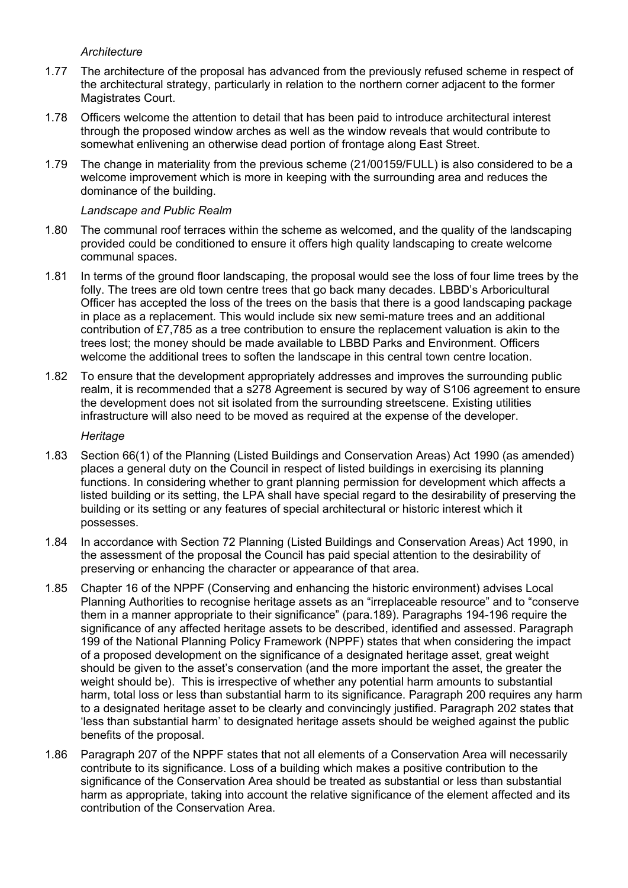## *Architecture*

- 1.77 The architecture of the proposal has advanced from the previously refused scheme in respect of the architectural strategy, particularly in relation to the northern corner adjacent to the former Magistrates Court.
- 1.78 Officers welcome the attention to detail that has been paid to introduce architectural interest through the proposed window arches as well as the window reveals that would contribute to somewhat enlivening an otherwise dead portion of frontage along East Street.
- 1.79 The change in materiality from the previous scheme (21/00159/FULL) is also considered to be a welcome improvement which is more in keeping with the surrounding area and reduces the dominance of the building.

## *Landscape and Public Realm*

- 1.80 The communal roof terraces within the scheme as welcomed, and the quality of the landscaping provided could be conditioned to ensure it offers high quality landscaping to create welcome communal spaces.
- 1.81 In terms of the ground floor landscaping, the proposal would see the loss of four lime trees by the folly. The trees are old town centre trees that go back many decades. LBBD's Arboricultural Officer has accepted the loss of the trees on the basis that there is a good landscaping package in place as a replacement. This would include six new semi-mature trees and an additional contribution of £7,785 as a tree contribution to ensure the replacement valuation is akin to the trees lost; the money should be made available to LBBD Parks and Environment. Officers welcome the additional trees to soften the landscape in this central town centre location.
- 1.82 To ensure that the development appropriately addresses and improves the surrounding public realm, it is recommended that a s278 Agreement is secured by way of S106 agreement to ensure the development does not sit isolated from the surrounding streetscene. Existing utilities infrastructure will also need to be moved as required at the expense of the developer.

## *Heritage*

- 1.83 Section 66(1) of the Planning (Listed Buildings and Conservation Areas) Act 1990 (as amended) places a general duty on the Council in respect of listed buildings in exercising its planning functions. In considering whether to grant planning permission for development which affects a listed building or its setting, the LPA shall have special regard to the desirability of preserving the building or its setting or any features of special architectural or historic interest which it possesses.
- 1.84 In accordance with Section 72 Planning (Listed Buildings and Conservation Areas) Act 1990, in the assessment of the proposal the Council has paid special attention to the desirability of preserving or enhancing the character or appearance of that area.
- 1.85 Chapter 16 of the NPPF (Conserving and enhancing the historic environment) advises Local Planning Authorities to recognise heritage assets as an "irreplaceable resource" and to "conserve them in a manner appropriate to their significance" (para.189). Paragraphs 194-196 require the significance of any affected heritage assets to be described, identified and assessed. Paragraph 199 of the National Planning Policy Framework (NPPF) states that when considering the impact of a proposed development on the significance of a designated heritage asset, great weight should be given to the asset's conservation (and the more important the asset, the greater the weight should be). This is irrespective of whether any potential harm amounts to substantial harm, total loss or less than substantial harm to its significance. Paragraph 200 requires any harm to a designated heritage asset to be clearly and convincingly justified. Paragraph 202 states that 'less than substantial harm' to designated heritage assets should be weighed against the public benefits of the proposal.
- 1.86 Paragraph 207 of the NPPF states that not all elements of a Conservation Area will necessarily contribute to its significance. Loss of a building which makes a positive contribution to the significance of the Conservation Area should be treated as substantial or less than substantial harm as appropriate, taking into account the relative significance of the element affected and its contribution of the Conservation Area.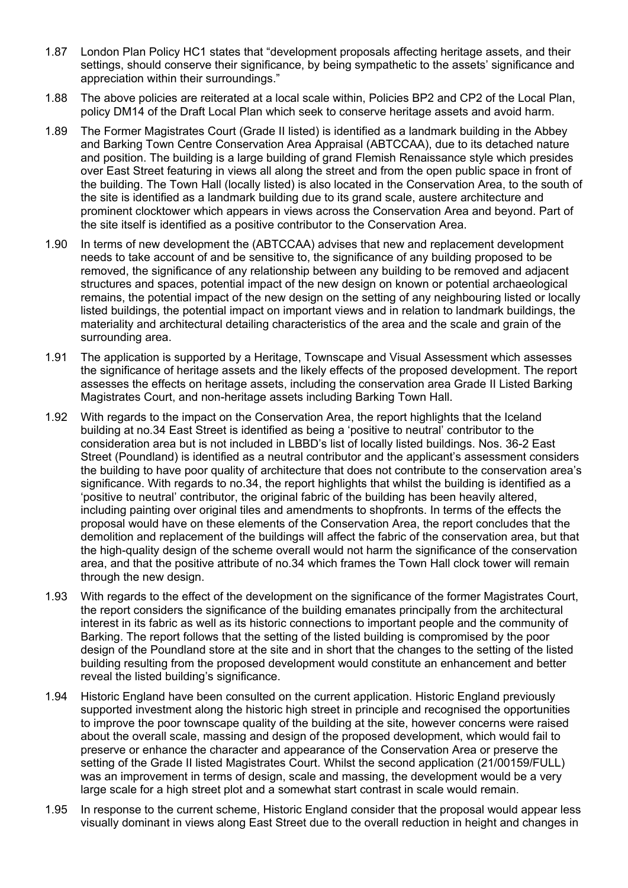- 1.87 London Plan Policy HC1 states that "development proposals affecting heritage assets, and their settings, should conserve their significance, by being sympathetic to the assets' significance and appreciation within their surroundings."
- 1.88 The above policies are reiterated at a local scale within, Policies BP2 and CP2 of the Local Plan, policy DM14 of the Draft Local Plan which seek to conserve heritage assets and avoid harm.
- 1.89 The Former Magistrates Court (Grade II listed) is identified as a landmark building in the Abbey and Barking Town Centre Conservation Area Appraisal (ABTCCAA), due to its detached nature and position. The building is a large building of grand Flemish Renaissance style which presides over East Street featuring in views all along the street and from the open public space in front of the building. The Town Hall (locally listed) is also located in the Conservation Area, to the south of the site is identified as a landmark building due to its grand scale, austere architecture and prominent clocktower which appears in views across the Conservation Area and beyond. Part of the site itself is identified as a positive contributor to the Conservation Area.
- 1.90 In terms of new development the (ABTCCAA) advises that new and replacement development needs to take account of and be sensitive to, the significance of any building proposed to be removed, the significance of any relationship between any building to be removed and adjacent structures and spaces, potential impact of the new design on known or potential archaeological remains, the potential impact of the new design on the setting of any neighbouring listed or locally listed buildings, the potential impact on important views and in relation to landmark buildings, the materiality and architectural detailing characteristics of the area and the scale and grain of the surrounding area.
- 1.91 The application is supported by a Heritage, Townscape and Visual Assessment which assesses the significance of heritage assets and the likely effects of the proposed development. The report assesses the effects on heritage assets, including the conservation area Grade II Listed Barking Magistrates Court, and non-heritage assets including Barking Town Hall.
- 1.92 With regards to the impact on the Conservation Area, the report highlights that the Iceland building at no.34 East Street is identified as being a 'positive to neutral' contributor to the consideration area but is not included in LBBD's list of locally listed buildings. Nos. 36-2 East Street (Poundland) is identified as a neutral contributor and the applicant's assessment considers the building to have poor quality of architecture that does not contribute to the conservation area's significance. With regards to no.34, the report highlights that whilst the building is identified as a 'positive to neutral' contributor, the original fabric of the building has been heavily altered, including painting over original tiles and amendments to shopfronts. In terms of the effects the proposal would have on these elements of the Conservation Area, the report concludes that the demolition and replacement of the buildings will affect the fabric of the conservation area, but that the high-quality design of the scheme overall would not harm the significance of the conservation area, and that the positive attribute of no.34 which frames the Town Hall clock tower will remain through the new design.
- 1.93 With regards to the effect of the development on the significance of the former Magistrates Court, the report considers the significance of the building emanates principally from the architectural interest in its fabric as well as its historic connections to important people and the community of Barking. The report follows that the setting of the listed building is compromised by the poor design of the Poundland store at the site and in short that the changes to the setting of the listed building resulting from the proposed development would constitute an enhancement and better reveal the listed building's significance.
- 1.94 Historic England have been consulted on the current application. Historic England previously supported investment along the historic high street in principle and recognised the opportunities to improve the poor townscape quality of the building at the site, however concerns were raised about the overall scale, massing and design of the proposed development, which would fail to preserve or enhance the character and appearance of the Conservation Area or preserve the setting of the Grade II listed Magistrates Court. Whilst the second application (21/00159/FULL) was an improvement in terms of design, scale and massing, the development would be a very large scale for a high street plot and a somewhat start contrast in scale would remain.
- 1.95 In response to the current scheme, Historic England consider that the proposal would appear less visually dominant in views along East Street due to the overall reduction in height and changes in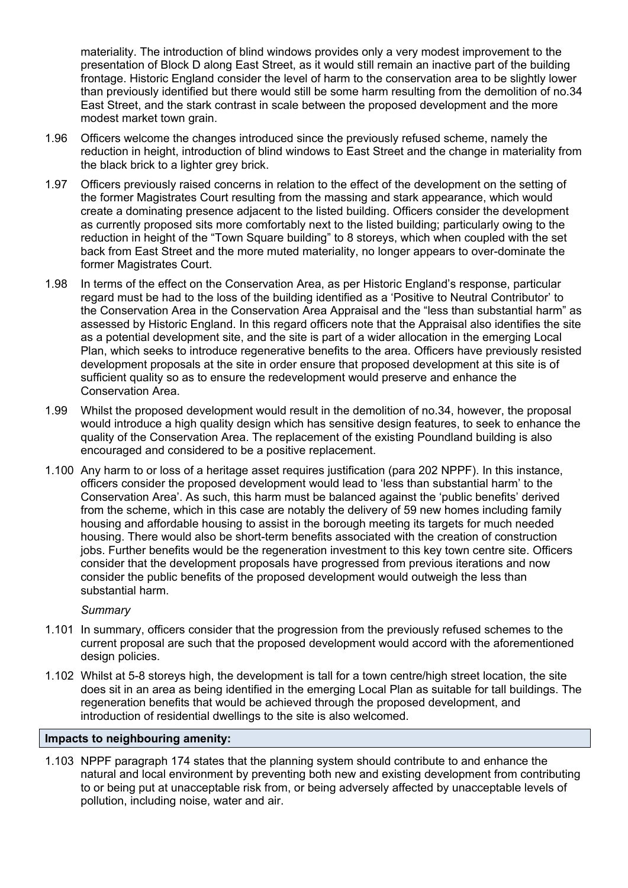materiality. The introduction of blind windows provides only a very modest improvement to the presentation of Block D along East Street, as it would still remain an inactive part of the building frontage. Historic England consider the level of harm to the conservation area to be slightly lower than previously identified but there would still be some harm resulting from the demolition of no.34 East Street, and the stark contrast in scale between the proposed development and the more modest market town grain.

- 1.96 Officers welcome the changes introduced since the previously refused scheme, namely the reduction in height, introduction of blind windows to East Street and the change in materiality from the black brick to a lighter grey brick.
- 1.97 Officers previously raised concerns in relation to the effect of the development on the setting of the former Magistrates Court resulting from the massing and stark appearance, which would create a dominating presence adjacent to the listed building. Officers consider the development as currently proposed sits more comfortably next to the listed building; particularly owing to the reduction in height of the "Town Square building" to 8 storeys, which when coupled with the set back from East Street and the more muted materiality, no longer appears to over-dominate the former Magistrates Court.
- 1.98 In terms of the effect on the Conservation Area, as per Historic England's response, particular regard must be had to the loss of the building identified as a 'Positive to Neutral Contributor' to the Conservation Area in the Conservation Area Appraisal and the "less than substantial harm" as assessed by Historic England. In this regard officers note that the Appraisal also identifies the site as a potential development site, and the site is part of a wider allocation in the emerging Local Plan, which seeks to introduce regenerative benefits to the area. Officers have previously resisted development proposals at the site in order ensure that proposed development at this site is of sufficient quality so as to ensure the redevelopment would preserve and enhance the Conservation Area.
- 1.99 Whilst the proposed development would result in the demolition of no.34, however, the proposal would introduce a high quality design which has sensitive design features, to seek to enhance the quality of the Conservation Area. The replacement of the existing Poundland building is also encouraged and considered to be a positive replacement.
- 1.100 Any harm to or loss of a heritage asset requires justification (para 202 NPPF). In this instance, officers consider the proposed development would lead to 'less than substantial harm' to the Conservation Area'. As such, this harm must be balanced against the 'public benefits' derived from the scheme, which in this case are notably the delivery of 59 new homes including family housing and affordable housing to assist in the borough meeting its targets for much needed housing. There would also be short-term benefits associated with the creation of construction jobs. Further benefits would be the regeneration investment to this key town centre site. Officers consider that the development proposals have progressed from previous iterations and now consider the public benefits of the proposed development would outweigh the less than substantial harm.

#### *Summary*

- 1.101 In summary, officers consider that the progression from the previously refused schemes to the current proposal are such that the proposed development would accord with the aforementioned design policies.
- 1.102 Whilst at 5-8 storeys high, the development is tall for a town centre/high street location, the site does sit in an area as being identified in the emerging Local Plan as suitable for tall buildings. The regeneration benefits that would be achieved through the proposed development, and introduction of residential dwellings to the site is also welcomed.

## **Impacts to neighbouring amenity:**

1.103 NPPF paragraph 174 states that the planning system should contribute to and enhance the natural and local environment by preventing both new and existing development from contributing to or being put at unacceptable risk from, or being adversely affected by unacceptable levels of pollution, including noise, water and air.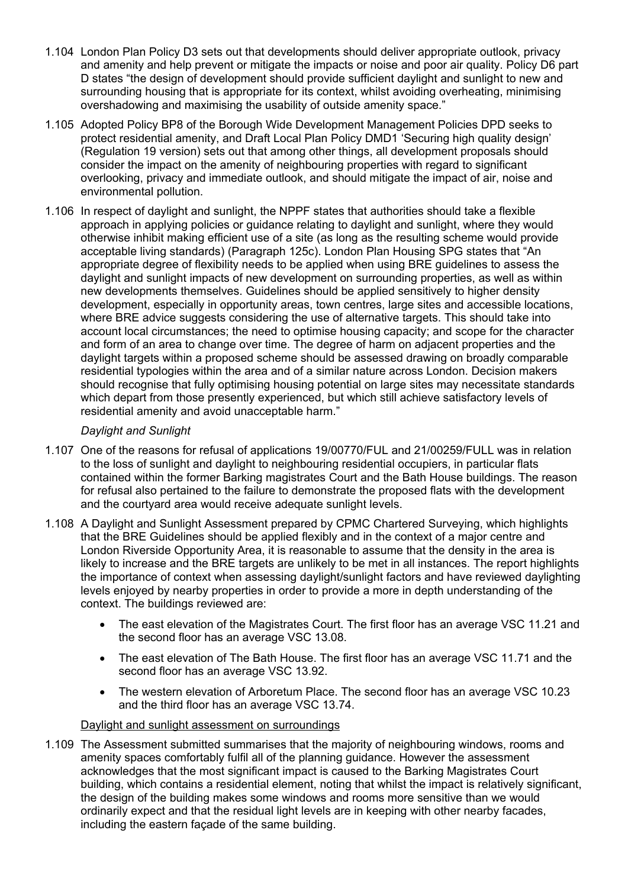- 1.104 London Plan Policy D3 sets out that developments should deliver appropriate outlook, privacy and amenity and help prevent or mitigate the impacts or noise and poor air quality. Policy D6 part D states "the design of development should provide sufficient daylight and sunlight to new and surrounding housing that is appropriate for its context, whilst avoiding overheating, minimising overshadowing and maximising the usability of outside amenity space."
- 1.105 Adopted Policy BP8 of the Borough Wide Development Management Policies DPD seeks to protect residential amenity, and Draft Local Plan Policy DMD1 'Securing high quality design' (Regulation 19 version) sets out that among other things, all development proposals should consider the impact on the amenity of neighbouring properties with regard to significant overlooking, privacy and immediate outlook, and should mitigate the impact of air, noise and environmental pollution.
- 1.106 In respect of daylight and sunlight, the NPPF states that authorities should take a flexible approach in applying policies or guidance relating to daylight and sunlight, where they would otherwise inhibit making efficient use of a site (as long as the resulting scheme would provide acceptable living standards) (Paragraph 125c). London Plan Housing SPG states that "An appropriate degree of flexibility needs to be applied when using BRE guidelines to assess the daylight and sunlight impacts of new development on surrounding properties, as well as within new developments themselves. Guidelines should be applied sensitively to higher density development, especially in opportunity areas, town centres, large sites and accessible locations, where BRE advice suggests considering the use of alternative targets. This should take into account local circumstances; the need to optimise housing capacity; and scope for the character and form of an area to change over time. The degree of harm on adjacent properties and the daylight targets within a proposed scheme should be assessed drawing on broadly comparable residential typologies within the area and of a similar nature across London. Decision makers should recognise that fully optimising housing potential on large sites may necessitate standards which depart from those presently experienced, but which still achieve satisfactory levels of residential amenity and avoid unacceptable harm."

## *Daylight and Sunlight*

- 1.107 One of the reasons for refusal of applications 19/00770/FUL and 21/00259/FULL was in relation to the loss of sunlight and daylight to neighbouring residential occupiers, in particular flats contained within the former Barking magistrates Court and the Bath House buildings. The reason for refusal also pertained to the failure to demonstrate the proposed flats with the development and the courtyard area would receive adequate sunlight levels.
- 1.108 A Daylight and Sunlight Assessment prepared by CPMC Chartered Surveying, which highlights that the BRE Guidelines should be applied flexibly and in the context of a major centre and London Riverside Opportunity Area, it is reasonable to assume that the density in the area is likely to increase and the BRE targets are unlikely to be met in all instances. The report highlights the importance of context when assessing daylight/sunlight factors and have reviewed daylighting levels enjoyed by nearby properties in order to provide a more in depth understanding of the context. The buildings reviewed are:
	- The east elevation of the Magistrates Court. The first floor has an average VSC 11.21 and the second floor has an average VSC 13.08.
	- The east elevation of The Bath House. The first floor has an average VSC 11.71 and the second floor has an average VSC 13.92.
	- The western elevation of Arboretum Place. The second floor has an average VSC 10.23 and the third floor has an average VSC 13.74.

## Daylight and sunlight assessment on surroundings

1.109 The Assessment submitted summarises that the majority of neighbouring windows, rooms and amenity spaces comfortably fulfil all of the planning guidance. However the assessment acknowledges that the most significant impact is caused to the Barking Magistrates Court building, which contains a residential element, noting that whilst the impact is relatively significant, the design of the building makes some windows and rooms more sensitive than we would ordinarily expect and that the residual light levels are in keeping with other nearby facades, including the eastern façade of the same building.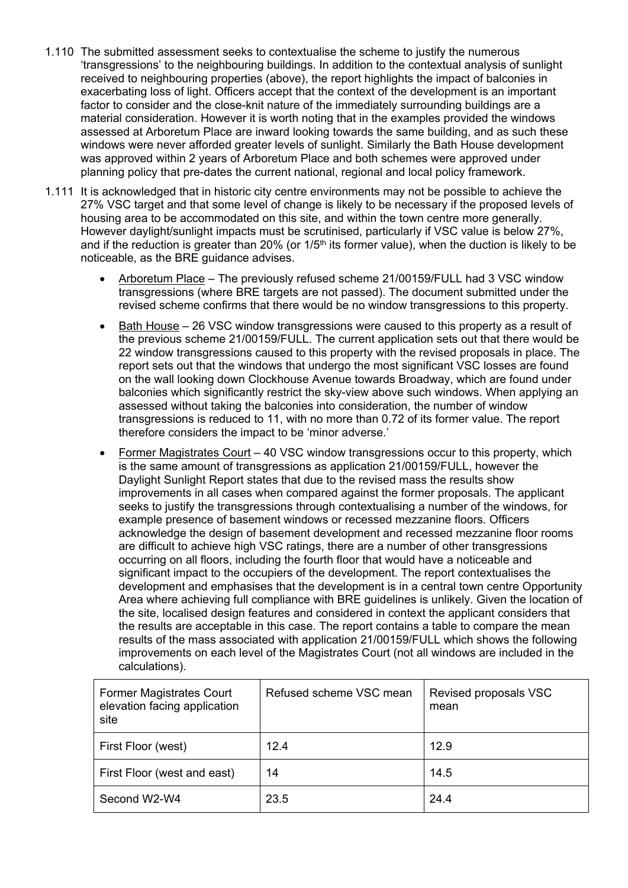- 1.110 The submitted assessment seeks to contextualise the scheme to justify the numerous 'transgressions' to the neighbouring buildings. In addition to the contextual analysis of sunlight received to neighbouring properties (above), the report highlights the impact of balconies in exacerbating loss of light. Officers accept that the context of the development is an important factor to consider and the close-knit nature of the immediately surrounding buildings are a material consideration. However it is worth noting that in the examples provided the windows assessed at Arboretum Place are inward looking towards the same building, and as such these windows were never afforded greater levels of sunlight. Similarly the Bath House development was approved within 2 years of Arboretum Place and both schemes were approved under planning policy that pre-dates the current national, regional and local policy framework.
- 1.111 It is acknowledged that in historic city centre environments may not be possible to achieve the 27% VSC target and that some level of change is likely to be necessary if the proposed levels of housing area to be accommodated on this site, and within the town centre more generally. However daylight/sunlight impacts must be scrutinised, particularly if VSC value is below 27%, and if the reduction is greater than 20% (or  $1/5<sup>th</sup>$  its former value), when the duction is likely to be noticeable, as the BRE guidance advises.
	- Arboretum Place The previously refused scheme 21/00159/FULL had 3 VSC window transgressions (where BRE targets are not passed). The document submitted under the revised scheme confirms that there would be no window transgressions to this property.
	- Bath House 26 VSC window transgressions were caused to this property as a result of the previous scheme 21/00159/FULL. The current application sets out that there would be 22 window transgressions caused to this property with the revised proposals in place. The report sets out that the windows that undergo the most significant VSC losses are found on the wall looking down Clockhouse Avenue towards Broadway, which are found under balconies which significantly restrict the sky-view above such windows. When applying an assessed without taking the balconies into consideration, the number of window transgressions is reduced to 11, with no more than 0.72 of its former value. The report therefore considers the impact to be 'minor adverse.'
	- Former Magistrates Court 40 VSC window transgressions occur to this property, which is the same amount of transgressions as application 21/00159/FULL, however the Daylight Sunlight Report states that due to the revised mass the results show improvements in all cases when compared against the former proposals. The applicant seeks to justify the transgressions through contextualising a number of the windows, for example presence of basement windows or recessed mezzanine floors. Officers acknowledge the design of basement development and recessed mezzanine floor rooms are difficult to achieve high VSC ratings, there are a number of other transgressions occurring on all floors, including the fourth floor that would have a noticeable and significant impact to the occupiers of the development. The report contextualises the development and emphasises that the development is in a central town centre Opportunity Area where achieving full compliance with BRE guidelines is unlikely. Given the location of the site, localised design features and considered in context the applicant considers that the results are acceptable in this case. The report contains a table to compare the mean results of the mass associated with application 21/00159/FULL which shows the following improvements on each level of the Magistrates Court (not all windows are included in the calculations).

| <b>Former Magistrates Court</b><br>elevation facing application<br>site | Refused scheme VSC mean | Revised proposals VSC<br>mean |
|-------------------------------------------------------------------------|-------------------------|-------------------------------|
| First Floor (west)                                                      | 12.4                    | 12.9                          |
| First Floor (west and east)                                             | 14                      | 14.5                          |
| Second W2-W4                                                            | 23.5                    | 24.4                          |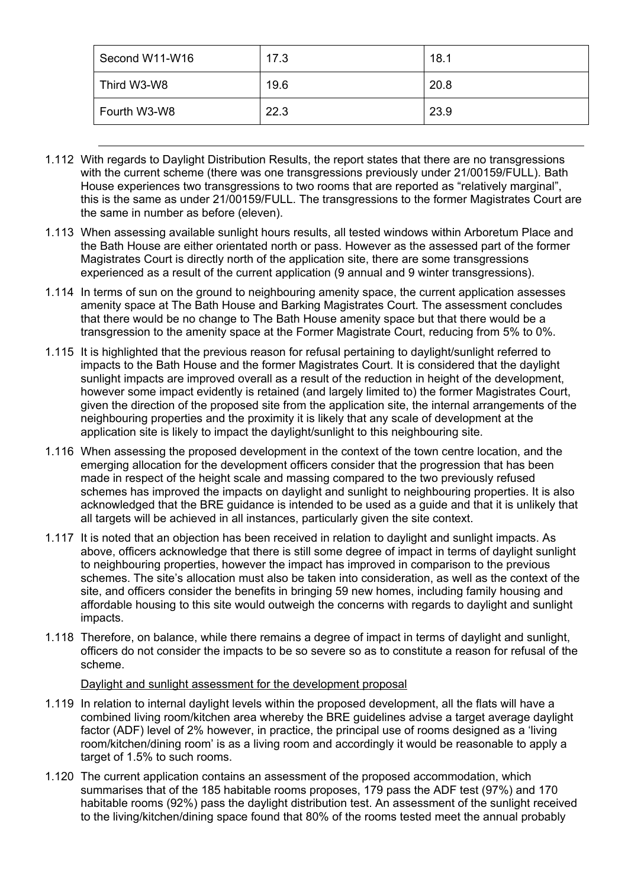| Second W11-W16 | 17.3 | 18.1 |
|----------------|------|------|
| Third W3-W8    | 19.6 | 20.8 |
| Fourth W3-W8   | 22.3 | 23.9 |

- 1.112 With regards to Daylight Distribution Results, the report states that there are no transgressions with the current scheme (there was one transgressions previously under 21/00159/FULL). Bath House experiences two transgressions to two rooms that are reported as "relatively marginal", this is the same as under 21/00159/FULL. The transgressions to the former Magistrates Court are the same in number as before (eleven).
- 1.113 When assessing available sunlight hours results, all tested windows within Arboretum Place and the Bath House are either orientated north or pass. However as the assessed part of the former Magistrates Court is directly north of the application site, there are some transgressions experienced as a result of the current application (9 annual and 9 winter transgressions).
- 1.114 In terms of sun on the ground to neighbouring amenity space, the current application assesses amenity space at The Bath House and Barking Magistrates Court. The assessment concludes that there would be no change to The Bath House amenity space but that there would be a transgression to the amenity space at the Former Magistrate Court, reducing from 5% to 0%.
- 1.115 It is highlighted that the previous reason for refusal pertaining to daylight/sunlight referred to impacts to the Bath House and the former Magistrates Court. It is considered that the daylight sunlight impacts are improved overall as a result of the reduction in height of the development, however some impact evidently is retained (and largely limited to) the former Magistrates Court, given the direction of the proposed site from the application site, the internal arrangements of the neighbouring properties and the proximity it is likely that any scale of development at the application site is likely to impact the daylight/sunlight to this neighbouring site.
- 1.116 When assessing the proposed development in the context of the town centre location, and the emerging allocation for the development officers consider that the progression that has been made in respect of the height scale and massing compared to the two previously refused schemes has improved the impacts on daylight and sunlight to neighbouring properties. It is also acknowledged that the BRE guidance is intended to be used as a guide and that it is unlikely that all targets will be achieved in all instances, particularly given the site context.
- 1.117 It is noted that an objection has been received in relation to daylight and sunlight impacts. As above, officers acknowledge that there is still some degree of impact in terms of daylight sunlight to neighbouring properties, however the impact has improved in comparison to the previous schemes. The site's allocation must also be taken into consideration, as well as the context of the site, and officers consider the benefits in bringing 59 new homes, including family housing and affordable housing to this site would outweigh the concerns with regards to daylight and sunlight impacts.
- 1.118 Therefore, on balance, while there remains a degree of impact in terms of daylight and sunlight, officers do not consider the impacts to be so severe so as to constitute a reason for refusal of the scheme.

## Daylight and sunlight assessment for the development proposal

- 1.119 In relation to internal daylight levels within the proposed development, all the flats will have a combined living room/kitchen area whereby the BRE guidelines advise a target average daylight factor (ADF) level of 2% however, in practice, the principal use of rooms designed as a 'living room/kitchen/dining room' is as a living room and accordingly it would be reasonable to apply a target of 1.5% to such rooms.
- 1.120 The current application contains an assessment of the proposed accommodation, which summarises that of the 185 habitable rooms proposes, 179 pass the ADF test (97%) and 170 habitable rooms (92%) pass the daylight distribution test. An assessment of the sunlight received to the living/kitchen/dining space found that 80% of the rooms tested meet the annual probably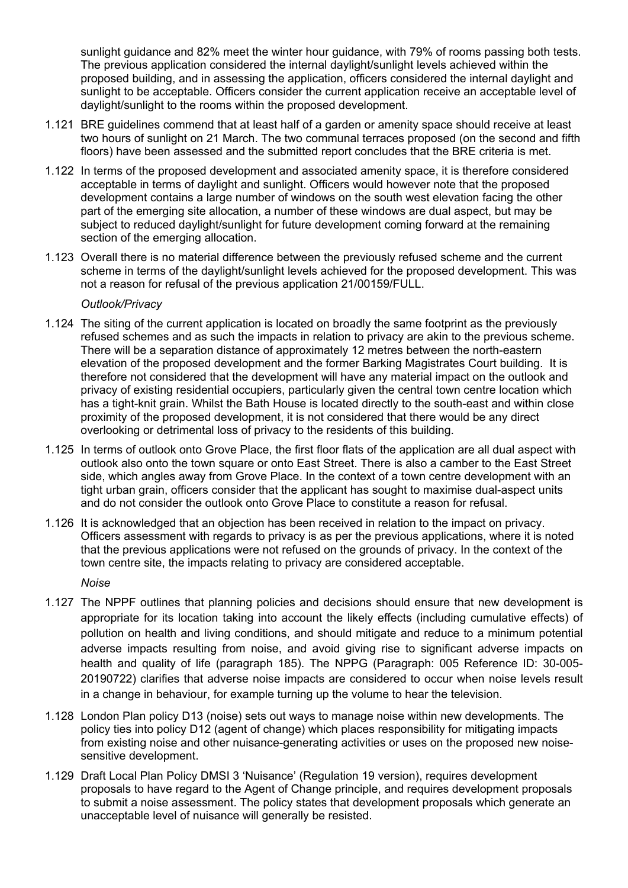sunlight guidance and 82% meet the winter hour guidance, with 79% of rooms passing both tests. The previous application considered the internal daylight/sunlight levels achieved within the proposed building, and in assessing the application, officers considered the internal daylight and sunlight to be acceptable. Officers consider the current application receive an acceptable level of daylight/sunlight to the rooms within the proposed development.

- 1.121 BRE guidelines commend that at least half of a garden or amenity space should receive at least two hours of sunlight on 21 March. The two communal terraces proposed (on the second and fifth floors) have been assessed and the submitted report concludes that the BRE criteria is met.
- 1.122 In terms of the proposed development and associated amenity space, it is therefore considered acceptable in terms of daylight and sunlight. Officers would however note that the proposed development contains a large number of windows on the south west elevation facing the other part of the emerging site allocation, a number of these windows are dual aspect, but may be subject to reduced daylight/sunlight for future development coming forward at the remaining section of the emerging allocation.
- 1.123 Overall there is no material difference between the previously refused scheme and the current scheme in terms of the daylight/sunlight levels achieved for the proposed development. This was not a reason for refusal of the previous application 21/00159/FULL.

#### *Outlook/Privacy*

- 1.124 The siting of the current application is located on broadly the same footprint as the previously refused schemes and as such the impacts in relation to privacy are akin to the previous scheme. There will be a separation distance of approximately 12 metres between the north-eastern elevation of the proposed development and the former Barking Magistrates Court building. It is therefore not considered that the development will have any material impact on the outlook and privacy of existing residential occupiers, particularly given the central town centre location which has a tight-knit grain. Whilst the Bath House is located directly to the south-east and within close proximity of the proposed development, it is not considered that there would be any direct overlooking or detrimental loss of privacy to the residents of this building.
- 1.125 In terms of outlook onto Grove Place, the first floor flats of the application are all dual aspect with outlook also onto the town square or onto East Street. There is also a camber to the East Street side, which angles away from Grove Place. In the context of a town centre development with an tight urban grain, officers consider that the applicant has sought to maximise dual-aspect units and do not consider the outlook onto Grove Place to constitute a reason for refusal.
- 1.126 It is acknowledged that an objection has been received in relation to the impact on privacy. Officers assessment with regards to privacy is as per the previous applications, where it is noted that the previous applications were not refused on the grounds of privacy. In the context of the town centre site, the impacts relating to privacy are considered acceptable.

*Noise*

- 1.127 The NPPF outlines that planning policies and decisions should ensure that new development is appropriate for its location taking into account the likely effects (including cumulative effects) of pollution on health and living conditions, and should mitigate and reduce to a minimum potential adverse impacts resulting from noise, and avoid giving rise to significant adverse impacts on health and quality of life (paragraph 185). The NPPG (Paragraph: 005 Reference ID: 30-005- 20190722) clarifies that adverse noise impacts are considered to occur when noise levels result in a change in behaviour, for example turning up the volume to hear the television.
- 1.128 London Plan policy D13 (noise) sets out ways to manage noise within new developments. The policy ties into policy D12 (agent of change) which places responsibility for mitigating impacts from existing noise and other nuisance-generating activities or uses on the proposed new noisesensitive development.
- 1.129 Draft Local Plan Policy DMSI 3 'Nuisance' (Regulation 19 version), requires development proposals to have regard to the Agent of Change principle, and requires development proposals to submit a noise assessment. The policy states that development proposals which generate an unacceptable level of nuisance will generally be resisted.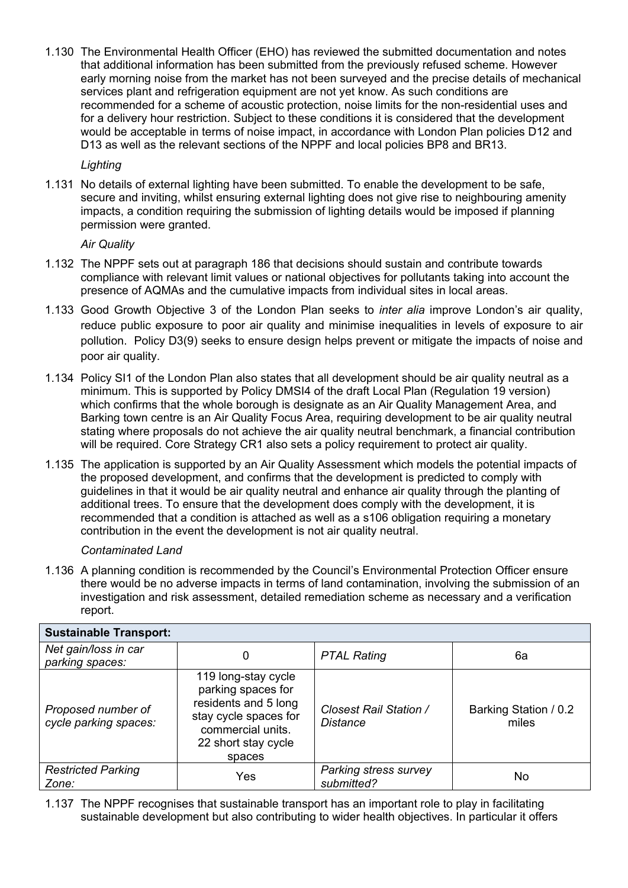1.130 The Environmental Health Officer (EHO) has reviewed the submitted documentation and notes that additional information has been submitted from the previously refused scheme. However early morning noise from the market has not been surveyed and the precise details of mechanical services plant and refrigeration equipment are not yet know. As such conditions are recommended for a scheme of acoustic protection, noise limits for the non-residential uses and for a delivery hour restriction. Subject to these conditions it is considered that the development would be acceptable in terms of noise impact, in accordance with London Plan policies D12 and D13 as well as the relevant sections of the NPPF and local policies BP8 and BR13.

*Lighting*

1.131 No details of external lighting have been submitted. To enable the development to be safe, secure and inviting, whilst ensuring external lighting does not give rise to neighbouring amenity impacts, a condition requiring the submission of lighting details would be imposed if planning permission were granted.

## *Air Quality*

- 1.132 The NPPF sets out at paragraph 186 that decisions should sustain and contribute towards compliance with relevant limit values or national objectives for pollutants taking into account the presence of AQMAs and the cumulative impacts from individual sites in local areas.
- 1.133 Good Growth Objective 3 of the London Plan seeks to *inter alia* improve London's air quality, reduce public exposure to poor air quality and minimise inequalities in levels of exposure to air pollution. Policy D3(9) seeks to ensure design helps prevent or mitigate the impacts of noise and poor air quality.
- 1.134 Policy SI1 of the London Plan also states that all development should be air quality neutral as a minimum. This is supported by Policy DMSI4 of the draft Local Plan (Regulation 19 version) which confirms that the whole borough is designate as an Air Quality Management Area, and Barking town centre is an Air Quality Focus Area, requiring development to be air quality neutral stating where proposals do not achieve the air quality neutral benchmark, a financial contribution will be required. Core Strategy CR1 also sets a policy requirement to protect air quality.
- 1.135 The application is supported by an Air Quality Assessment which models the potential impacts of the proposed development, and confirms that the development is predicted to comply with guidelines in that it would be air quality neutral and enhance air quality through the planting of additional trees. To ensure that the development does comply with the development, it is recommended that a condition is attached as well as a s106 obligation requiring a monetary contribution in the event the development is not air quality neutral.

## *Contaminated Land*

1.136 A planning condition is recommended by the Council's Environmental Protection Officer ensure there would be no adverse impacts in terms of land contamination, involving the submission of an investigation and risk assessment, detailed remediation scheme as necessary and a verification report.

| <b>Sustainable Transport:</b>               |                                                                                                                                                  |                                           |                                |
|---------------------------------------------|--------------------------------------------------------------------------------------------------------------------------------------------------|-------------------------------------------|--------------------------------|
| Net gain/loss in car<br>parking spaces:     | 0                                                                                                                                                | <b>PTAL Rating</b>                        | 6а                             |
| Proposed number of<br>cycle parking spaces: | 119 long-stay cycle<br>parking spaces for<br>residents and 5 long<br>stay cycle spaces for<br>commercial units.<br>22 short stay cycle<br>spaces | Closest Rail Station /<br><b>Distance</b> | Barking Station / 0.2<br>miles |
| <b>Restricted Parking</b><br>Zone:          | Yes                                                                                                                                              | Parking stress survey<br>submitted?       | No                             |

1.137 The NPPF recognises that sustainable transport has an important role to play in facilitating sustainable development but also contributing to wider health objectives. In particular it offers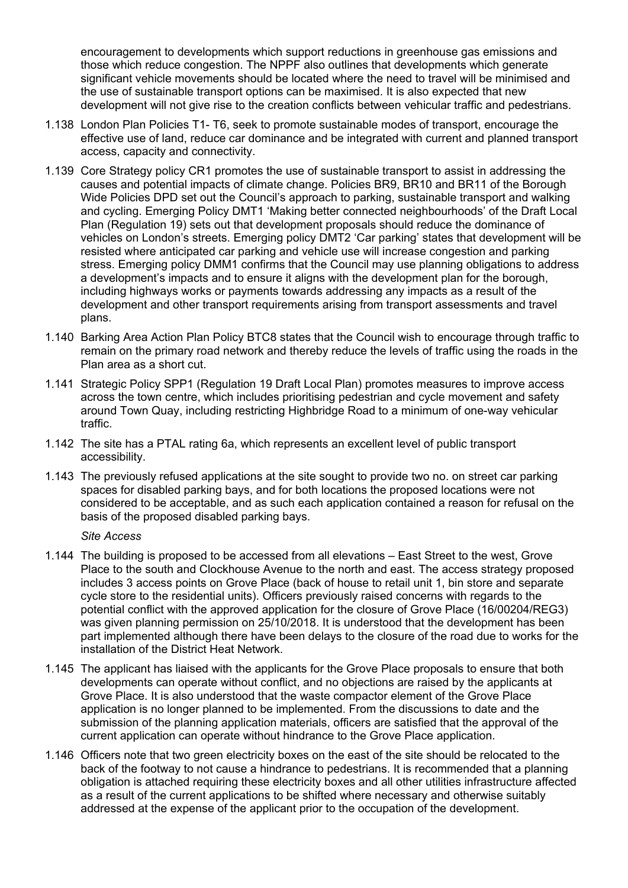encouragement to developments which support reductions in greenhouse gas emissions and those which reduce congestion. The NPPF also outlines that developments which generate significant vehicle movements should be located where the need to travel will be minimised and the use of sustainable transport options can be maximised. It is also expected that new development will not give rise to the creation conflicts between vehicular traffic and pedestrians.

- 1.138 London Plan Policies T1- T6, seek to promote sustainable modes of transport, encourage the effective use of land, reduce car dominance and be integrated with current and planned transport access, capacity and connectivity.
- 1.139 Core Strategy policy CR1 promotes the use of sustainable transport to assist in addressing the causes and potential impacts of climate change. Policies BR9, BR10 and BR11 of the Borough Wide Policies DPD set out the Council's approach to parking, sustainable transport and walking and cycling. Emerging Policy DMT1 'Making better connected neighbourhoods' of the Draft Local Plan (Regulation 19) sets out that development proposals should reduce the dominance of vehicles on London's streets. Emerging policy DMT2 'Car parking' states that development will be resisted where anticipated car parking and vehicle use will increase congestion and parking stress. Emerging policy DMM1 confirms that the Council may use planning obligations to address a development's impacts and to ensure it aligns with the development plan for the borough, including highways works or payments towards addressing any impacts as a result of the development and other transport requirements arising from transport assessments and travel plans.
- 1.140 Barking Area Action Plan Policy BTC8 states that the Council wish to encourage through traffic to remain on the primary road network and thereby reduce the levels of traffic using the roads in the Plan area as a short cut.
- 1.141 Strategic Policy SPP1 (Regulation 19 Draft Local Plan) promotes measures to improve access across the town centre, which includes prioritising pedestrian and cycle movement and safety around Town Quay, including restricting Highbridge Road to a minimum of one-way vehicular traffic.
- 1.142 The site has a PTAL rating 6a, which represents an excellent level of public transport accessibility.
- 1.143 The previously refused applications at the site sought to provide two no. on street car parking spaces for disabled parking bays, and for both locations the proposed locations were not considered to be acceptable, and as such each application contained a reason for refusal on the basis of the proposed disabled parking bays.

*Site Access*

- 1.144 The building is proposed to be accessed from all elevations East Street to the west, Grove Place to the south and Clockhouse Avenue to the north and east. The access strategy proposed includes 3 access points on Grove Place (back of house to retail unit 1, bin store and separate cycle store to the residential units). Officers previously raised concerns with regards to the potential conflict with the approved application for the closure of Grove Place (16/00204/REG3) was given planning permission on 25/10/2018. It is understood that the development has been part implemented although there have been delays to the closure of the road due to works for the installation of the District Heat Network.
- 1.145 The applicant has liaised with the applicants for the Grove Place proposals to ensure that both developments can operate without conflict, and no objections are raised by the applicants at Grove Place. It is also understood that the waste compactor element of the Grove Place application is no longer planned to be implemented. From the discussions to date and the submission of the planning application materials, officers are satisfied that the approval of the current application can operate without hindrance to the Grove Place application.
- 1.146 Officers note that two green electricity boxes on the east of the site should be relocated to the back of the footway to not cause a hindrance to pedestrians. It is recommended that a planning obligation is attached requiring these electricity boxes and all other utilities infrastructure affected as a result of the current applications to be shifted where necessary and otherwise suitably addressed at the expense of the applicant prior to the occupation of the development.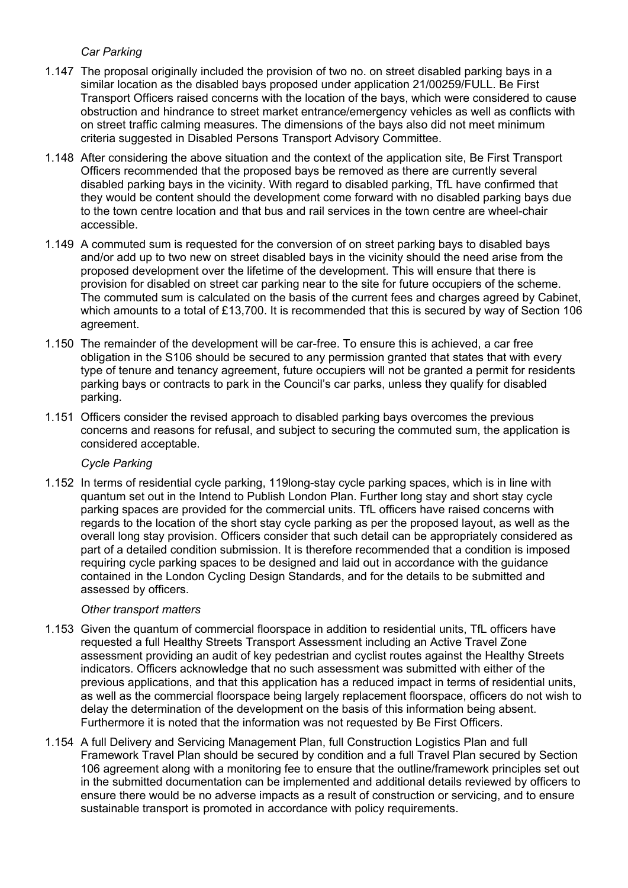## *Car Parking*

- 1.147 The proposal originally included the provision of two no. on street disabled parking bays in a similar location as the disabled bays proposed under application 21/00259/FULL. Be First Transport Officers raised concerns with the location of the bays, which were considered to cause obstruction and hindrance to street market entrance/emergency vehicles as well as conflicts with on street traffic calming measures. The dimensions of the bays also did not meet minimum criteria suggested in Disabled Persons Transport Advisory Committee.
- 1.148 After considering the above situation and the context of the application site, Be First Transport Officers recommended that the proposed bays be removed as there are currently several disabled parking bays in the vicinity. With regard to disabled parking, TfL have confirmed that they would be content should the development come forward with no disabled parking bays due to the town centre location and that bus and rail services in the town centre are wheel-chair accessible.
- 1.149 A commuted sum is requested for the conversion of on street parking bays to disabled bays and/or add up to two new on street disabled bays in the vicinity should the need arise from the proposed development over the lifetime of the development. This will ensure that there is provision for disabled on street car parking near to the site for future occupiers of the scheme. The commuted sum is calculated on the basis of the current fees and charges agreed by Cabinet, which amounts to a total of £13,700. It is recommended that this is secured by way of Section 106 agreement.
- 1.150 The remainder of the development will be car-free. To ensure this is achieved, a car free obligation in the S106 should be secured to any permission granted that states that with every type of tenure and tenancy agreement, future occupiers will not be granted a permit for residents parking bays or contracts to park in the Council's car parks, unless they qualify for disabled parking.
- 1.151 Officers consider the revised approach to disabled parking bays overcomes the previous concerns and reasons for refusal, and subject to securing the commuted sum, the application is considered acceptable.

## *Cycle Parking*

1.152 In terms of residential cycle parking, 119long-stay cycle parking spaces, which is in line with quantum set out in the Intend to Publish London Plan. Further long stay and short stay cycle parking spaces are provided for the commercial units. TfL officers have raised concerns with regards to the location of the short stay cycle parking as per the proposed layout, as well as the overall long stay provision. Officers consider that such detail can be appropriately considered as part of a detailed condition submission. It is therefore recommended that a condition is imposed requiring cycle parking spaces to be designed and laid out in accordance with the guidance contained in the London Cycling Design Standards, and for the details to be submitted and assessed by officers.

## *Other transport matters*

- 1.153 Given the quantum of commercial floorspace in addition to residential units, TfL officers have requested a full Healthy Streets Transport Assessment including an Active Travel Zone assessment providing an audit of key pedestrian and cyclist routes against the Healthy Streets indicators. Officers acknowledge that no such assessment was submitted with either of the previous applications, and that this application has a reduced impact in terms of residential units, as well as the commercial floorspace being largely replacement floorspace, officers do not wish to delay the determination of the development on the basis of this information being absent. Furthermore it is noted that the information was not requested by Be First Officers.
- 1.154 A full Delivery and Servicing Management Plan, full Construction Logistics Plan and full Framework Travel Plan should be secured by condition and a full Travel Plan secured by Section 106 agreement along with a monitoring fee to ensure that the outline/framework principles set out in the submitted documentation can be implemented and additional details reviewed by officers to ensure there would be no adverse impacts as a result of construction or servicing, and to ensure sustainable transport is promoted in accordance with policy requirements.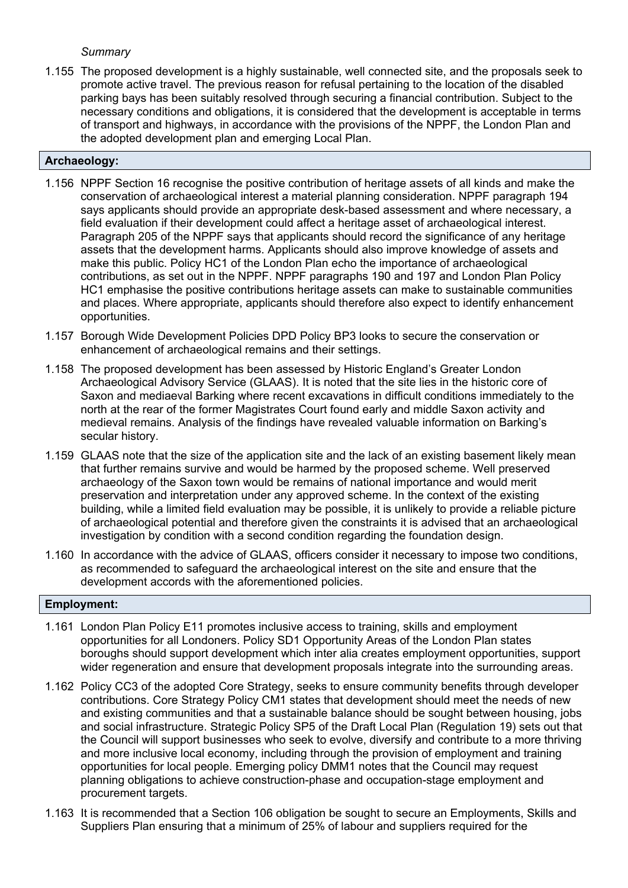## *Summary*

1.155 The proposed development is a highly sustainable, well connected site, and the proposals seek to promote active travel. The previous reason for refusal pertaining to the location of the disabled parking bays has been suitably resolved through securing a financial contribution. Subject to the necessary conditions and obligations, it is considered that the development is acceptable in terms of transport and highways, in accordance with the provisions of the NPPF, the London Plan and the adopted development plan and emerging Local Plan.

## **Archaeology:**

- 1.156 NPPF Section 16 recognise the positive contribution of heritage assets of all kinds and make the conservation of archaeological interest a material planning consideration. NPPF paragraph 194 says applicants should provide an appropriate desk-based assessment and where necessary, a field evaluation if their development could affect a heritage asset of archaeological interest. Paragraph 205 of the NPPF says that applicants should record the significance of any heritage assets that the development harms. Applicants should also improve knowledge of assets and make this public. Policy HC1 of the London Plan echo the importance of archaeological contributions, as set out in the NPPF. NPPF paragraphs 190 and 197 and London Plan Policy HC1 emphasise the positive contributions heritage assets can make to sustainable communities and places. Where appropriate, applicants should therefore also expect to identify enhancement opportunities.
- 1.157 Borough Wide Development Policies DPD Policy BP3 looks to secure the conservation or enhancement of archaeological remains and their settings.
- 1.158 The proposed development has been assessed by Historic England's Greater London Archaeological Advisory Service (GLAAS). It is noted that the site lies in the historic core of Saxon and mediaeval Barking where recent excavations in difficult conditions immediately to the north at the rear of the former Magistrates Court found early and middle Saxon activity and medieval remains. Analysis of the findings have revealed valuable information on Barking's secular history.
- 1.159 GLAAS note that the size of the application site and the lack of an existing basement likely mean that further remains survive and would be harmed by the proposed scheme. Well preserved archaeology of the Saxon town would be remains of national importance and would merit preservation and interpretation under any approved scheme. In the context of the existing building, while a limited field evaluation may be possible, it is unlikely to provide a reliable picture of archaeological potential and therefore given the constraints it is advised that an archaeological investigation by condition with a second condition regarding the foundation design.
- 1.160 In accordance with the advice of GLAAS, officers consider it necessary to impose two conditions, as recommended to safeguard the archaeological interest on the site and ensure that the development accords with the aforementioned policies.

## **Employment:**

- 1.161 London Plan Policy E11 promotes inclusive access to training, skills and employment opportunities for all Londoners. Policy SD1 Opportunity Areas of the London Plan states boroughs should support development which inter alia creates employment opportunities, support wider regeneration and ensure that development proposals integrate into the surrounding areas.
- 1.162 Policy CC3 of the adopted Core Strategy, seeks to ensure community benefits through developer contributions. Core Strategy Policy CM1 states that development should meet the needs of new and existing communities and that a sustainable balance should be sought between housing, jobs and social infrastructure. Strategic Policy SP5 of the Draft Local Plan (Regulation 19) sets out that the Council will support businesses who seek to evolve, diversify and contribute to a more thriving and more inclusive local economy, including through the provision of employment and training opportunities for local people. Emerging policy DMM1 notes that the Council may request planning obligations to achieve construction-phase and occupation-stage employment and procurement targets.
- 1.163 It is recommended that a Section 106 obligation be sought to secure an Employments, Skills and Suppliers Plan ensuring that a minimum of 25% of labour and suppliers required for the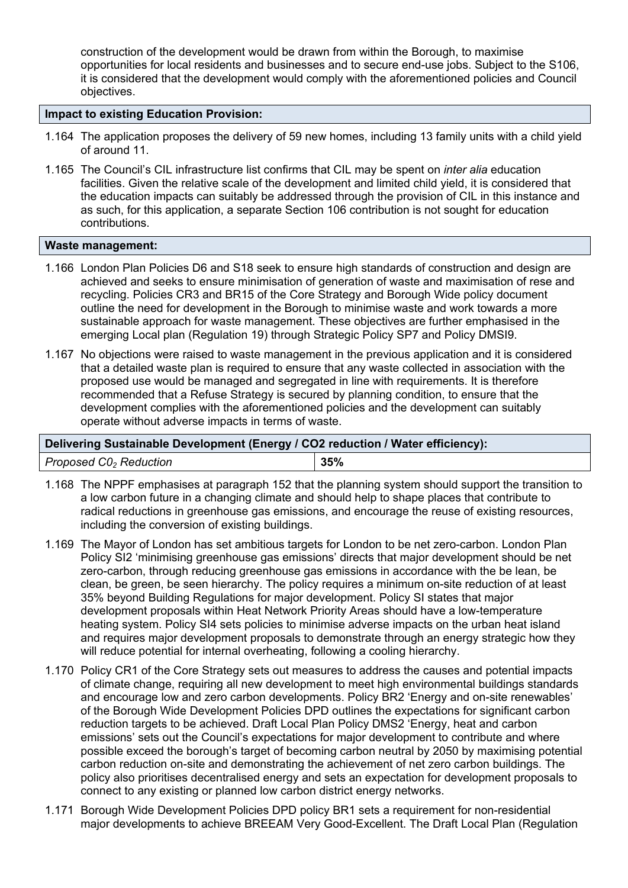construction of the development would be drawn from within the Borough, to maximise opportunities for local residents and businesses and to secure end-use jobs. Subject to the S106, it is considered that the development would comply with the aforementioned policies and Council objectives.

### **Impact to existing Education Provision:**

- 1.164 The application proposes the delivery of 59 new homes, including 13 family units with a child yield of around 11.
- 1.165 The Council's CIL infrastructure list confirms that CIL may be spent on *inter alia* education facilities. Given the relative scale of the development and limited child yield, it is considered that the education impacts can suitably be addressed through the provision of CIL in this instance and as such, for this application, a separate Section 106 contribution is not sought for education contributions.

#### **Waste management:**

- 1.166 London Plan Policies D6 and S18 seek to ensure high standards of construction and design are achieved and seeks to ensure minimisation of generation of waste and maximisation of rese and recycling. Policies CR3 and BR15 of the Core Strategy and Borough Wide policy document outline the need for development in the Borough to minimise waste and work towards a more sustainable approach for waste management. These objectives are further emphasised in the emerging Local plan (Regulation 19) through Strategic Policy SP7 and Policy DMSI9.
- 1.167 No objections were raised to waste management in the previous application and it is considered that a detailed waste plan is required to ensure that any waste collected in association with the proposed use would be managed and segregated in line with requirements. It is therefore recommended that a Refuse Strategy is secured by planning condition, to ensure that the development complies with the aforementioned policies and the development can suitably operate without adverse impacts in terms of waste.

## **Delivering Sustainable Development (Energy / CO2 reduction / Water efficiency):**

| Proposed $CO2$ Reduction | 35% |
|--------------------------|-----|
|                          |     |

- 1.168 The NPPF emphasises at paragraph 152 that the planning system should support the transition to a low carbon future in a changing climate and should help to shape places that contribute to radical reductions in greenhouse gas emissions, and encourage the reuse of existing resources, including the conversion of existing buildings.
- 1.169 The Mayor of London has set ambitious targets for London to be net zero-carbon. London Plan Policy SI2 'minimising greenhouse gas emissions' directs that major development should be net zero-carbon, through reducing greenhouse gas emissions in accordance with the be lean, be clean, be green, be seen hierarchy. The policy requires a minimum on-site reduction of at least 35% beyond Building Regulations for major development. Policy SI states that major development proposals within Heat Network Priority Areas should have a low-temperature heating system. Policy SI4 sets policies to minimise adverse impacts on the urban heat island and requires major development proposals to demonstrate through an energy strategic how they will reduce potential for internal overheating, following a cooling hierarchy.
- 1.170 Policy CR1 of the Core Strategy sets out measures to address the causes and potential impacts of climate change, requiring all new development to meet high environmental buildings standards and encourage low and zero carbon developments. Policy BR2 'Energy and on-site renewables' of the Borough Wide Development Policies DPD outlines the expectations for significant carbon reduction targets to be achieved. Draft Local Plan Policy DMS2 'Energy, heat and carbon emissions' sets out the Council's expectations for major development to contribute and where possible exceed the borough's target of becoming carbon neutral by 2050 by maximising potential carbon reduction on-site and demonstrating the achievement of net zero carbon buildings. The policy also prioritises decentralised energy and sets an expectation for development proposals to connect to any existing or planned low carbon district energy networks.
- 1.171 Borough Wide Development Policies DPD policy BR1 sets a requirement for non-residential major developments to achieve BREEAM Very Good-Excellent. The Draft Local Plan (Regulation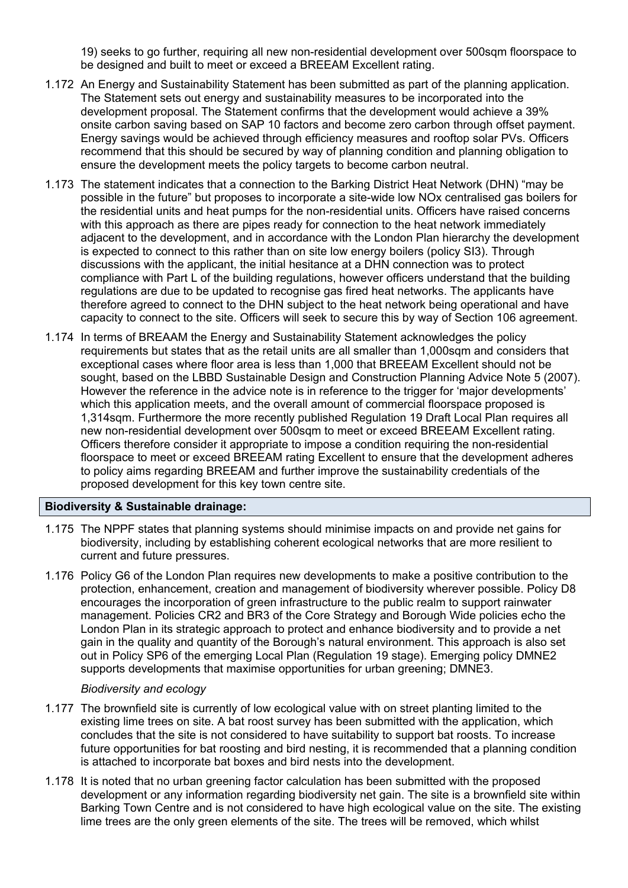19) seeks to go further, requiring all new non-residential development over 500sqm floorspace to be designed and built to meet or exceed a BREEAM Excellent rating.

- 1.172 An Energy and Sustainability Statement has been submitted as part of the planning application. The Statement sets out energy and sustainability measures to be incorporated into the development proposal. The Statement confirms that the development would achieve a 39% onsite carbon saving based on SAP 10 factors and become zero carbon through offset payment. Energy savings would be achieved through efficiency measures and rooftop solar PVs. Officers recommend that this should be secured by way of planning condition and planning obligation to ensure the development meets the policy targets to become carbon neutral.
- 1.173 The statement indicates that a connection to the Barking District Heat Network (DHN) "may be possible in the future" but proposes to incorporate a site-wide low NOx centralised gas boilers for the residential units and heat pumps for the non-residential units. Officers have raised concerns with this approach as there are pipes ready for connection to the heat network immediately adjacent to the development, and in accordance with the London Plan hierarchy the development is expected to connect to this rather than on site low energy boilers (policy SI3). Through discussions with the applicant, the initial hesitance at a DHN connection was to protect compliance with Part L of the building regulations, however officers understand that the building regulations are due to be updated to recognise gas fired heat networks. The applicants have therefore agreed to connect to the DHN subject to the heat network being operational and have capacity to connect to the site. Officers will seek to secure this by way of Section 106 agreement.
- 1.174 In terms of BREAAM the Energy and Sustainability Statement acknowledges the policy requirements but states that as the retail units are all smaller than 1,000sqm and considers that exceptional cases where floor area is less than 1,000 that BREEAM Excellent should not be sought, based on the LBBD Sustainable Design and Construction Planning Advice Note 5 (2007). However the reference in the advice note is in reference to the trigger for 'major developments' which this application meets, and the overall amount of commercial floorspace proposed is 1,314sqm. Furthermore the more recently published Regulation 19 Draft Local Plan requires all new non-residential development over 500sqm to meet or exceed BREEAM Excellent rating. Officers therefore consider it appropriate to impose a condition requiring the non-residential floorspace to meet or exceed BREEAM rating Excellent to ensure that the development adheres to policy aims regarding BREEAM and further improve the sustainability credentials of the proposed development for this key town centre site.

#### **Biodiversity & Sustainable drainage:**

- 1.175 The NPPF states that planning systems should minimise impacts on and provide net gains for biodiversity, including by establishing coherent ecological networks that are more resilient to current and future pressures.
- 1.176 Policy G6 of the London Plan requires new developments to make a positive contribution to the protection, enhancement, creation and management of biodiversity wherever possible. Policy D8 encourages the incorporation of green infrastructure to the public realm to support rainwater management. Policies CR2 and BR3 of the Core Strategy and Borough Wide policies echo the London Plan in its strategic approach to protect and enhance biodiversity and to provide a net gain in the quality and quantity of the Borough's natural environment. This approach is also set out in Policy SP6 of the emerging Local Plan (Regulation 19 stage). Emerging policy DMNE2 supports developments that maximise opportunities for urban greening; DMNE3.

#### *Biodiversity and ecology*

- 1.177 The brownfield site is currently of low ecological value with on street planting limited to the existing lime trees on site. A bat roost survey has been submitted with the application, which concludes that the site is not considered to have suitability to support bat roosts. To increase future opportunities for bat roosting and bird nesting, it is recommended that a planning condition is attached to incorporate bat boxes and bird nests into the development.
- 1.178 It is noted that no urban greening factor calculation has been submitted with the proposed development or any information regarding biodiversity net gain. The site is a brownfield site within Barking Town Centre and is not considered to have high ecological value on the site. The existing lime trees are the only green elements of the site. The trees will be removed, which whilst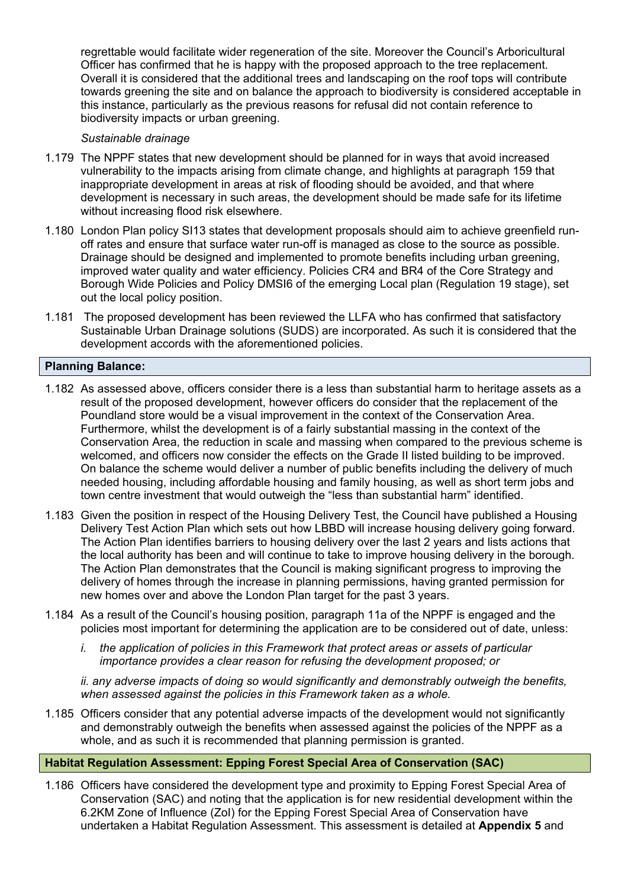regrettable would facilitate wider regeneration of the site. Moreover the Council's Arboricultural Officer has confirmed that he is happy with the proposed approach to the tree replacement. Overall it is considered that the additional trees and landscaping on the roof tops will contribute towards greening the site and on balance the approach to biodiversity is considered acceptable in this instance, particularly as the previous reasons for refusal did not contain reference to biodiversity impacts or urban greening.

#### *Sustainable drainage*

- 1.179 The NPPF states that new development should be planned for in ways that avoid increased vulnerability to the impacts arising from climate change, and highlights at paragraph 159 that inappropriate development in areas at risk of flooding should be avoided, and that where development is necessary in such areas, the development should be made safe for its lifetime without increasing flood risk elsewhere.
- 1.180 London Plan policy SI13 states that development proposals should aim to achieve greenfield runoff rates and ensure that surface water run-off is managed as close to the source as possible. Drainage should be designed and implemented to promote benefits including urban greening, improved water quality and water efficiency. Policies CR4 and BR4 of the Core Strategy and Borough Wide Policies and Policy DMSI6 of the emerging Local plan (Regulation 19 stage), set out the local policy position.
- 1.181 The proposed development has been reviewed the LLFA who has confirmed that satisfactory Sustainable Urban Drainage solutions (SUDS) are incorporated. As such it is considered that the development accords with the aforementioned policies.

## **Planning Balance:**

- 1.182 As assessed above, officers consider there is a less than substantial harm to heritage assets as a result of the proposed development, however officers do consider that the replacement of the Poundland store would be a visual improvement in the context of the Conservation Area. Furthermore, whilst the development is of a fairly substantial massing in the context of the Conservation Area, the reduction in scale and massing when compared to the previous scheme is welcomed, and officers now consider the effects on the Grade II listed building to be improved. On balance the scheme would deliver a number of public benefits including the delivery of much needed housing, including affordable housing and family housing, as well as short term jobs and town centre investment that would outweigh the "less than substantial harm" identified.
- 1.183 Given the position in respect of the Housing Delivery Test, the Council have published a Housing Delivery Test Action Plan which sets out how LBBD will increase housing delivery going forward. The Action Plan identifies barriers to housing delivery over the last 2 years and lists actions that the local authority has been and will continue to take to improve housing delivery in the borough. The Action Plan demonstrates that the Council is making significant progress to improving the delivery of homes through the increase in planning permissions, having granted permission for new homes over and above the London Plan target for the past 3 years.
- 1.184 As a result of the Council's housing position, paragraph 11a of the NPPF is engaged and the policies most important for determining the application are to be considered out of date, unless:
	- *i. the application of policies in this Framework that protect areas or assets of particular importance provides a clear reason for refusing the development proposed; or*

*ii. any adverse impacts of doing so would significantly and demonstrably outweigh the benefits, when assessed against the policies in this Framework taken as a whole.*

1.185 Officers consider that any potential adverse impacts of the development would not significantly and demonstrably outweigh the benefits when assessed against the policies of the NPPF as a whole, and as such it is recommended that planning permission is granted.

## **Habitat Regulation Assessment: Epping Forest Special Area of Conservation (SAC)**

1.186 Officers have considered the development type and proximity to Epping Forest Special Area of Conservation (SAC) and noting that the application is for new residential development within the 6.2KM Zone of Influence (ZoI) for the Epping Forest Special Area of Conservation have undertaken a Habitat Regulation Assessment. This assessment is detailed at **Appendix 5** and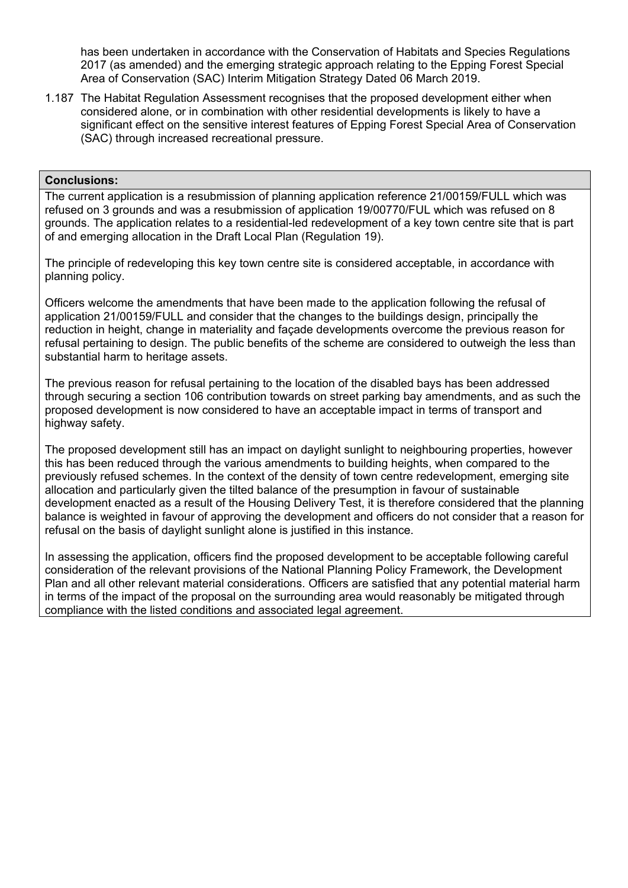has been undertaken in accordance with the Conservation of Habitats and Species Regulations 2017 (as amended) and the emerging strategic approach relating to the Epping Forest Special Area of Conservation (SAC) Interim Mitigation Strategy Dated 06 March 2019.

1.187 The Habitat Regulation Assessment recognises that the proposed development either when considered alone, or in combination with other residential developments is likely to have a significant effect on the sensitive interest features of Epping Forest Special Area of Conservation (SAC) through increased recreational pressure.

#### **Conclusions:**

The current application is a resubmission of planning application reference 21/00159/FULL which was refused on 3 grounds and was a resubmission of application 19/00770/FUL which was refused on 8 grounds. The application relates to a residential-led redevelopment of a key town centre site that is part of and emerging allocation in the Draft Local Plan (Regulation 19).

The principle of redeveloping this key town centre site is considered acceptable, in accordance with planning policy.

Officers welcome the amendments that have been made to the application following the refusal of application 21/00159/FULL and consider that the changes to the buildings design, principally the reduction in height, change in materiality and façade developments overcome the previous reason for refusal pertaining to design. The public benefits of the scheme are considered to outweigh the less than substantial harm to heritage assets.

The previous reason for refusal pertaining to the location of the disabled bays has been addressed through securing a section 106 contribution towards on street parking bay amendments, and as such the proposed development is now considered to have an acceptable impact in terms of transport and highway safety.

The proposed development still has an impact on daylight sunlight to neighbouring properties, however this has been reduced through the various amendments to building heights, when compared to the previously refused schemes. In the context of the density of town centre redevelopment, emerging site allocation and particularly given the tilted balance of the presumption in favour of sustainable development enacted as a result of the Housing Delivery Test, it is therefore considered that the planning balance is weighted in favour of approving the development and officers do not consider that a reason for refusal on the basis of daylight sunlight alone is justified in this instance.

In assessing the application, officers find the proposed development to be acceptable following careful consideration of the relevant provisions of the National Planning Policy Framework, the Development Plan and all other relevant material considerations. Officers are satisfied that any potential material harm in terms of the impact of the proposal on the surrounding area would reasonably be mitigated through compliance with the listed conditions and associated legal agreement.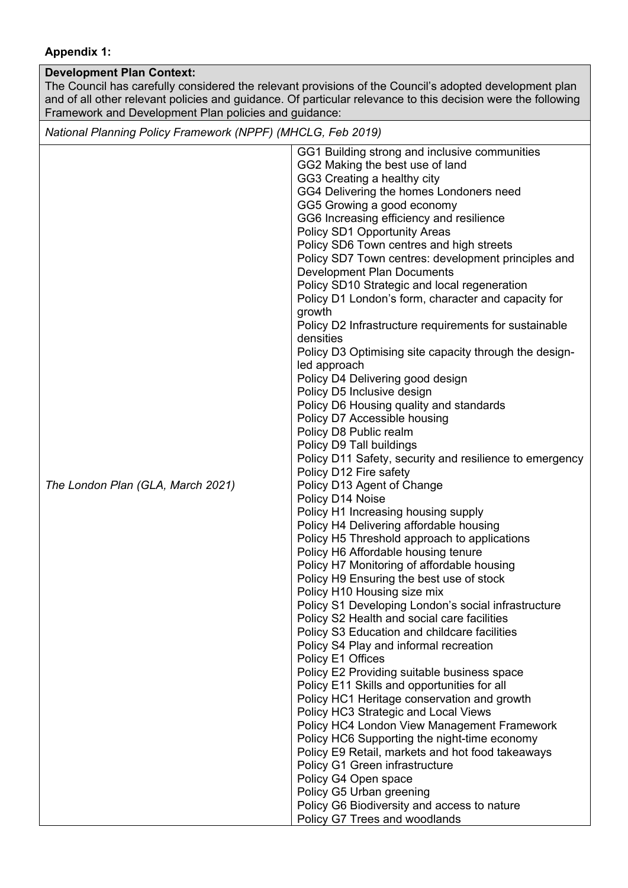## **Appendix 1:**

## **Development Plan Context:**

The Council has carefully considered the relevant provisions of the Council's adopted development plan and of all other relevant policies and guidance. Of particular relevance to this decision were the following Framework and Development Plan policies and guidance:

*National Planning Policy Framework (NPPF) (MHCLG, Feb 2019)*

|                                   | GG1 Building strong and inclusive communities           |
|-----------------------------------|---------------------------------------------------------|
|                                   | GG2 Making the best use of land                         |
|                                   | GG3 Creating a healthy city                             |
|                                   | GG4 Delivering the homes Londoners need                 |
|                                   |                                                         |
|                                   | GG5 Growing a good economy                              |
|                                   | GG6 Increasing efficiency and resilience                |
|                                   | Policy SD1 Opportunity Areas                            |
|                                   | Policy SD6 Town centres and high streets                |
|                                   | Policy SD7 Town centres: development principles and     |
|                                   | <b>Development Plan Documents</b>                       |
|                                   | Policy SD10 Strategic and local regeneration            |
|                                   | Policy D1 London's form, character and capacity for     |
|                                   | growth                                                  |
|                                   | Policy D2 Infrastructure requirements for sustainable   |
|                                   | densities                                               |
|                                   | Policy D3 Optimising site capacity through the design-  |
|                                   | led approach                                            |
|                                   | Policy D4 Delivering good design                        |
|                                   | Policy D5 Inclusive design                              |
|                                   | Policy D6 Housing quality and standards                 |
|                                   | Policy D7 Accessible housing                            |
|                                   | Policy D8 Public realm                                  |
|                                   | Policy D9 Tall buildings                                |
|                                   | Policy D11 Safety, security and resilience to emergency |
|                                   |                                                         |
|                                   | Policy D12 Fire safety                                  |
| The London Plan (GLA, March 2021) | Policy D13 Agent of Change                              |
|                                   | Policy D14 Noise                                        |
|                                   | Policy H1 Increasing housing supply                     |
|                                   | Policy H4 Delivering affordable housing                 |
|                                   | Policy H5 Threshold approach to applications            |
|                                   | Policy H6 Affordable housing tenure                     |
|                                   | Policy H7 Monitoring of affordable housing              |
|                                   | Policy H9 Ensuring the best use of stock                |
|                                   | Policy H10 Housing size mix                             |
|                                   | Policy S1 Developing London's social infrastructure     |
|                                   | Policy S2 Health and social care facilities             |
|                                   | Policy S3 Education and childcare facilities            |
|                                   | Policy S4 Play and informal recreation                  |
|                                   | Policy E1 Offices                                       |
|                                   | Policy E2 Providing suitable business space             |
|                                   | Policy E11 Skills and opportunities for all             |
|                                   | Policy HC1 Heritage conservation and growth             |
|                                   | Policy HC3 Strategic and Local Views                    |
|                                   | Policy HC4 London View Management Framework             |
|                                   | Policy HC6 Supporting the night-time economy            |
|                                   | Policy E9 Retail, markets and hot food takeaways        |
|                                   | Policy G1 Green infrastructure                          |
|                                   | Policy G4 Open space                                    |
|                                   | Policy G5 Urban greening                                |
|                                   | Policy G6 Biodiversity and access to nature             |
|                                   | Policy G7 Trees and woodlands                           |
|                                   |                                                         |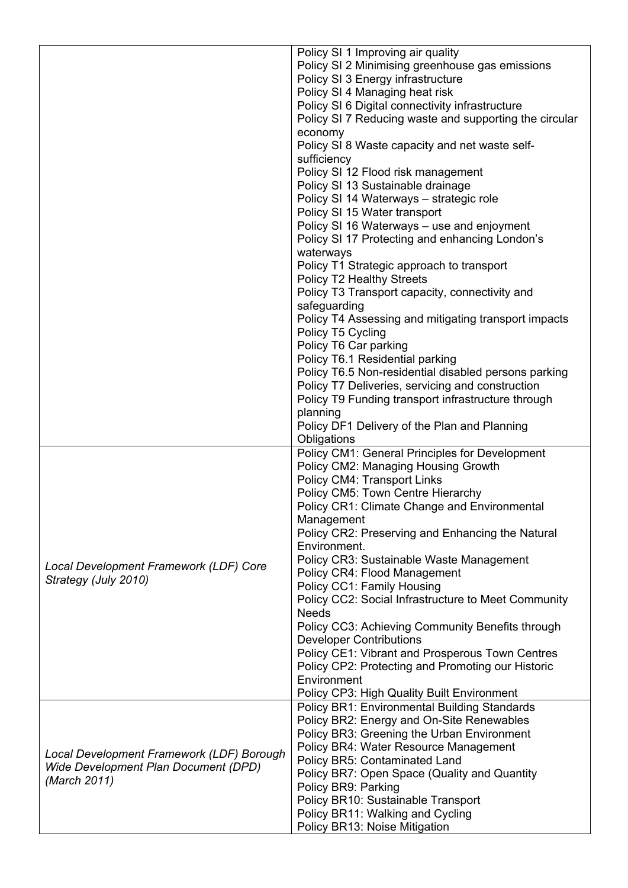|                                           | Policy SI 1 Improving air quality                      |
|-------------------------------------------|--------------------------------------------------------|
|                                           | Policy SI 2 Minimising greenhouse gas emissions        |
|                                           | Policy SI 3 Energy infrastructure                      |
|                                           | Policy SI 4 Managing heat risk                         |
|                                           | Policy SI 6 Digital connectivity infrastructure        |
|                                           | Policy SI 7 Reducing waste and supporting the circular |
|                                           | economy                                                |
|                                           | Policy SI 8 Waste capacity and net waste self-         |
|                                           | sufficiency                                            |
|                                           | Policy SI 12 Flood risk management                     |
|                                           | Policy SI 13 Sustainable drainage                      |
|                                           | Policy SI 14 Waterways - strategic role                |
|                                           | Policy SI 15 Water transport                           |
|                                           | Policy SI 16 Waterways - use and enjoyment             |
|                                           | Policy SI 17 Protecting and enhancing London's         |
|                                           | waterways                                              |
|                                           | Policy T1 Strategic approach to transport              |
|                                           | Policy T2 Healthy Streets                              |
|                                           | Policy T3 Transport capacity, connectivity and         |
|                                           | safeguarding                                           |
|                                           | Policy T4 Assessing and mitigating transport impacts   |
|                                           | Policy T5 Cycling                                      |
|                                           | Policy T6 Car parking                                  |
|                                           | Policy T6.1 Residential parking                        |
|                                           | Policy T6.5 Non-residential disabled persons parking   |
|                                           | Policy T7 Deliveries, servicing and construction       |
|                                           | Policy T9 Funding transport infrastructure through     |
|                                           | planning                                               |
|                                           | Policy DF1 Delivery of the Plan and Planning           |
|                                           | Obligations                                            |
|                                           | Policy CM1: General Principles for Development         |
|                                           | Policy CM2: Managing Housing Growth                    |
|                                           | <b>Policy CM4: Transport Links</b>                     |
|                                           | Policy CM5: Town Centre Hierarchy                      |
|                                           | Policy CR1: Climate Change and Environmental           |
|                                           | Management                                             |
|                                           | Policy CR2: Preserving and Enhancing the Natural       |
|                                           | Environment.                                           |
| Local Development Framework (LDF) Core    | Policy CR3: Sustainable Waste Management               |
| Strategy (July 2010)                      | Policy CR4: Flood Management                           |
|                                           | Policy CC1: Family Housing                             |
|                                           | Policy CC2: Social Infrastructure to Meet Community    |
|                                           | <b>Needs</b>                                           |
|                                           | Policy CC3: Achieving Community Benefits through       |
|                                           | <b>Developer Contributions</b>                         |
|                                           | Policy CE1: Vibrant and Prosperous Town Centres        |
|                                           | Policy CP2: Protecting and Promoting our Historic      |
|                                           | Environment                                            |
|                                           | Policy CP3: High Quality Built Environment             |
|                                           | <b>Policy BR1: Environmental Building Standards</b>    |
|                                           | Policy BR2: Energy and On-Site Renewables              |
|                                           | Policy BR3: Greening the Urban Environment             |
| Local Development Framework (LDF) Borough | Policy BR4: Water Resource Management                  |
| Wide Development Plan Document (DPD)      | Policy BR5: Contaminated Land                          |
| (March 2011)                              | Policy BR7: Open Space (Quality and Quantity           |
|                                           | Policy BR9: Parking                                    |
|                                           | Policy BR10: Sustainable Transport                     |
|                                           | Policy BR11: Walking and Cycling                       |
|                                           | Policy BR13: Noise Mitigation                          |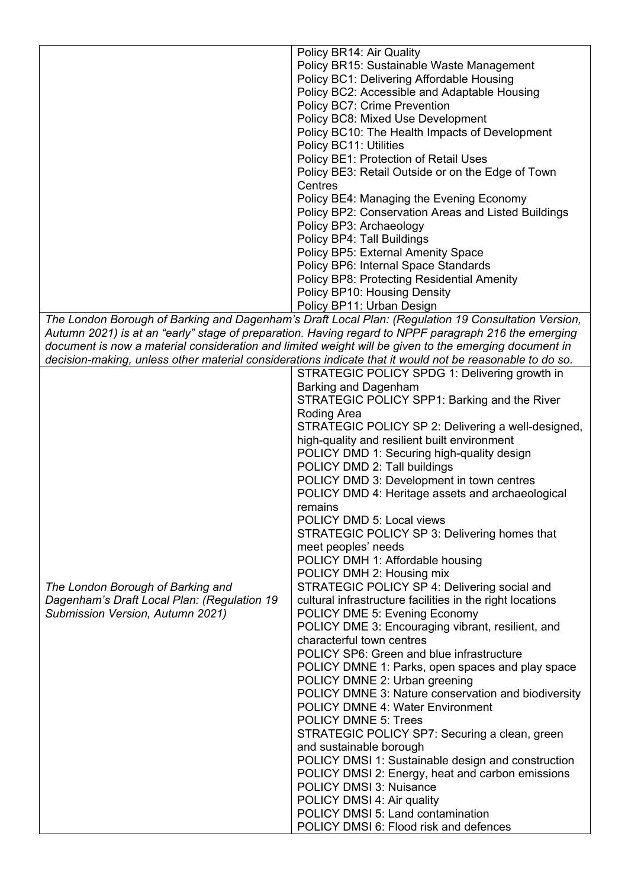|                                             | Policy BR14: Air Quality                                                                                                                                                                                                                                                                                             |  |
|---------------------------------------------|----------------------------------------------------------------------------------------------------------------------------------------------------------------------------------------------------------------------------------------------------------------------------------------------------------------------|--|
|                                             | Policy BR15: Sustainable Waste Management                                                                                                                                                                                                                                                                            |  |
|                                             | Policy BC1: Delivering Affordable Housing                                                                                                                                                                                                                                                                            |  |
|                                             |                                                                                                                                                                                                                                                                                                                      |  |
|                                             | Policy BC2: Accessible and Adaptable Housing                                                                                                                                                                                                                                                                         |  |
|                                             | Policy BC7: Crime Prevention                                                                                                                                                                                                                                                                                         |  |
|                                             | Policy BC8: Mixed Use Development                                                                                                                                                                                                                                                                                    |  |
|                                             | Policy BC10: The Health Impacts of Development                                                                                                                                                                                                                                                                       |  |
|                                             | Policy BC11: Utilities                                                                                                                                                                                                                                                                                               |  |
|                                             | Policy BE1: Protection of Retail Uses                                                                                                                                                                                                                                                                                |  |
|                                             | Policy BE3: Retail Outside or on the Edge of Town                                                                                                                                                                                                                                                                    |  |
|                                             | Centres                                                                                                                                                                                                                                                                                                              |  |
|                                             | Policy BE4: Managing the Evening Economy                                                                                                                                                                                                                                                                             |  |
|                                             | Policy BP2: Conservation Areas and Listed Buildings                                                                                                                                                                                                                                                                  |  |
|                                             | Policy BP3: Archaeology                                                                                                                                                                                                                                                                                              |  |
|                                             | Policy BP4: Tall Buildings                                                                                                                                                                                                                                                                                           |  |
|                                             | Policy BP5: External Amenity Space                                                                                                                                                                                                                                                                                   |  |
|                                             |                                                                                                                                                                                                                                                                                                                      |  |
|                                             | Policy BP6: Internal Space Standards                                                                                                                                                                                                                                                                                 |  |
|                                             | <b>Policy BP8: Protecting Residential Amenity</b>                                                                                                                                                                                                                                                                    |  |
|                                             | Policy BP10: Housing Density                                                                                                                                                                                                                                                                                         |  |
|                                             | Policy BP11: Urban Design                                                                                                                                                                                                                                                                                            |  |
|                                             | The London Borough of Barking and Dagenham's Draft Local Plan: (Regulation 19 Consultation Version,<br>Autumn 2021) is at an "early" stage of preparation. Having regard to NPPF paragraph 216 the emerging<br>document is now a material consideration and limited weight will be given to the emerging document in |  |
|                                             | decision-making, unless other material considerations indicate that it would not be reasonable to do so.                                                                                                                                                                                                             |  |
|                                             | STRATEGIC POLICY SPDG 1: Delivering growth in                                                                                                                                                                                                                                                                        |  |
|                                             | Barking and Dagenham                                                                                                                                                                                                                                                                                                 |  |
|                                             | STRATEGIC POLICY SPP1: Barking and the River                                                                                                                                                                                                                                                                         |  |
|                                             |                                                                                                                                                                                                                                                                                                                      |  |
|                                             | Roding Area                                                                                                                                                                                                                                                                                                          |  |
|                                             | STRATEGIC POLICY SP 2: Delivering a well-designed,                                                                                                                                                                                                                                                                   |  |
|                                             | high-quality and resilient built environment                                                                                                                                                                                                                                                                         |  |
|                                             | POLICY DMD 1: Securing high-quality design                                                                                                                                                                                                                                                                           |  |
|                                             | POLICY DMD 2: Tall buildings                                                                                                                                                                                                                                                                                         |  |
|                                             | POLICY DMD 3: Development in town centres                                                                                                                                                                                                                                                                            |  |
|                                             | POLICY DMD 4: Heritage assets and archaeological                                                                                                                                                                                                                                                                     |  |
|                                             | remains                                                                                                                                                                                                                                                                                                              |  |
|                                             | <b>POLICY DMD 5: Local views</b>                                                                                                                                                                                                                                                                                     |  |
|                                             | STRATEGIC POLICY SP 3: Delivering homes that                                                                                                                                                                                                                                                                         |  |
|                                             | meet peoples' needs                                                                                                                                                                                                                                                                                                  |  |
|                                             | POLICY DMH 1: Affordable housing                                                                                                                                                                                                                                                                                     |  |
|                                             |                                                                                                                                                                                                                                                                                                                      |  |
|                                             | POLICY DMH 2: Housing mix                                                                                                                                                                                                                                                                                            |  |
| The London Borough of Barking and           | STRATEGIC POLICY SP 4: Delivering social and                                                                                                                                                                                                                                                                         |  |
| Dagenham's Draft Local Plan: (Regulation 19 | cultural infrastructure facilities in the right locations                                                                                                                                                                                                                                                            |  |
| Submission Version, Autumn 2021)            | POLICY DME 5: Evening Economy                                                                                                                                                                                                                                                                                        |  |
|                                             | POLICY DME 3: Encouraging vibrant, resilient, and                                                                                                                                                                                                                                                                    |  |
|                                             | characterful town centres                                                                                                                                                                                                                                                                                            |  |
|                                             | POLICY SP6: Green and blue infrastructure                                                                                                                                                                                                                                                                            |  |
|                                             | POLICY DMNE 1: Parks, open spaces and play space                                                                                                                                                                                                                                                                     |  |
|                                             | POLICY DMNE 2: Urban greening                                                                                                                                                                                                                                                                                        |  |
|                                             | POLICY DMNE 3: Nature conservation and biodiversity                                                                                                                                                                                                                                                                  |  |
|                                             | <b>POLICY DMNE 4: Water Environment</b>                                                                                                                                                                                                                                                                              |  |
|                                             | <b>POLICY DMNE 5: Trees</b>                                                                                                                                                                                                                                                                                          |  |
|                                             | STRATEGIC POLICY SP7: Securing a clean, green                                                                                                                                                                                                                                                                        |  |
|                                             |                                                                                                                                                                                                                                                                                                                      |  |
|                                             | and sustainable borough                                                                                                                                                                                                                                                                                              |  |
|                                             | POLICY DMSI 1: Sustainable design and construction                                                                                                                                                                                                                                                                   |  |
|                                             | POLICY DMSI 2: Energy, heat and carbon emissions                                                                                                                                                                                                                                                                     |  |
|                                             | <b>POLICY DMSI 3: Nuisance</b>                                                                                                                                                                                                                                                                                       |  |
|                                             | POLICY DMSI 4: Air quality                                                                                                                                                                                                                                                                                           |  |
|                                             | POLICY DMSI 5: Land contamination                                                                                                                                                                                                                                                                                    |  |
|                                             | POLICY DMSI 6: Flood risk and defences                                                                                                                                                                                                                                                                               |  |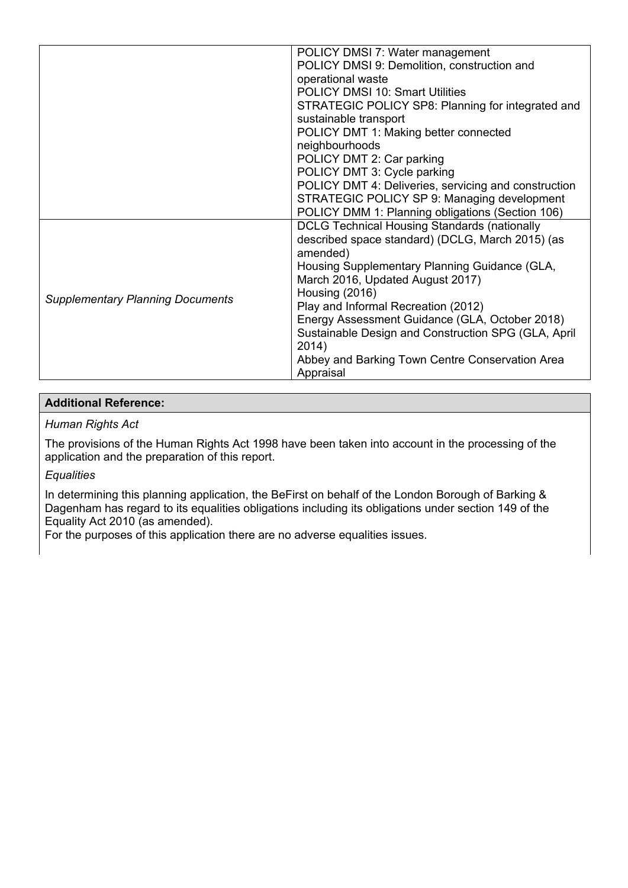|                                         | POLICY DMSI 7: Water management                      |
|-----------------------------------------|------------------------------------------------------|
|                                         | POLICY DMSI 9: Demolition, construction and          |
|                                         | operational waste                                    |
|                                         | <b>POLICY DMSI 10: Smart Utilities</b>               |
|                                         | STRATEGIC POLICY SP8: Planning for integrated and    |
|                                         | sustainable transport                                |
|                                         | POLICY DMT 1: Making better connected                |
|                                         | neighbourhoods                                       |
|                                         | POLICY DMT 2: Car parking                            |
|                                         | POLICY DMT 3: Cycle parking                          |
|                                         | POLICY DMT 4: Deliveries, servicing and construction |
|                                         | STRATEGIC POLICY SP 9: Managing development          |
|                                         | POLICY DMM 1: Planning obligations (Section 106)     |
|                                         | <b>DCLG Technical Housing Standards (nationally</b>  |
|                                         | described space standard) (DCLG, March 2015) (as     |
|                                         | amended)                                             |
|                                         | Housing Supplementary Planning Guidance (GLA,        |
|                                         | March 2016, Updated August 2017)                     |
| <b>Supplementary Planning Documents</b> | Housing (2016)                                       |
|                                         | Play and Informal Recreation (2012)                  |
|                                         | Energy Assessment Guidance (GLA, October 2018)       |
|                                         | Sustainable Design and Construction SPG (GLA, April  |
|                                         | 2014)                                                |
|                                         | Abbey and Barking Town Centre Conservation Area      |
|                                         | Appraisal                                            |

## **Additional Reference:**

### *Human Rights Act*

The provisions of the Human Rights Act 1998 have been taken into account in the processing of the application and the preparation of this report.

## *Equalities*

In determining this planning application, the BeFirst on behalf of the London Borough of Barking & Dagenham has regard to its equalities obligations including its obligations under section 149 of the Equality Act 2010 (as amended).

For the purposes of this application there are no adverse equalities issues.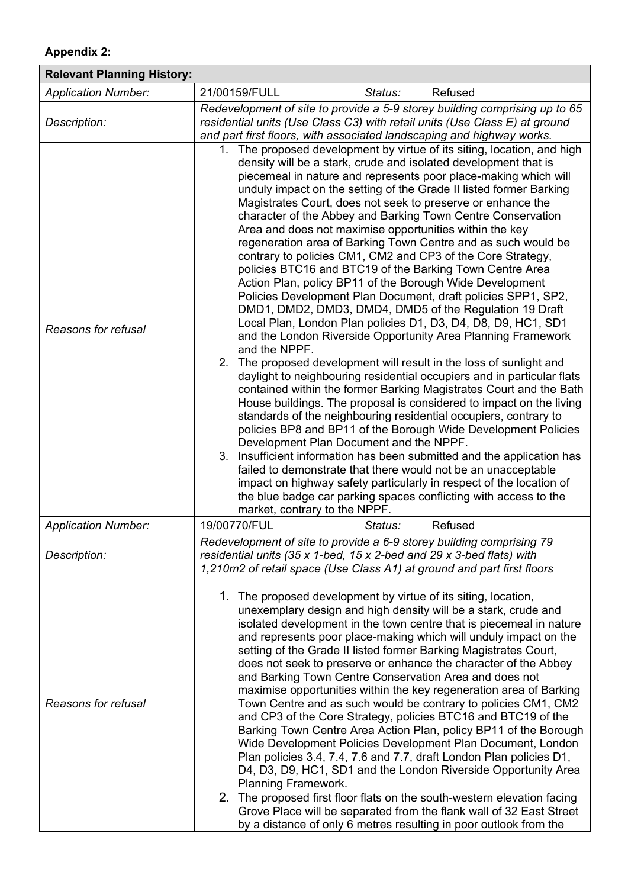## **Appendix 2:**

| <b>Relevant Planning History:</b> |                                                                                                                                                                                                                                                                                                                                                                                                                                                                                                                                                                                                                                                                                                                                                                                                                                                                                                                                                                                                                                                                                                                                                                                                                                                                                                                                                                                                                                                                                                                                                                                                                                                                                                                                                                                                                          |         |                                                                                                                                                                                                                                                                                                                                                                                                                                                                                                                                                                                                                                                                                                                                                                                                                                                                                                                                                                                                                                                                                                                        |
|-----------------------------------|--------------------------------------------------------------------------------------------------------------------------------------------------------------------------------------------------------------------------------------------------------------------------------------------------------------------------------------------------------------------------------------------------------------------------------------------------------------------------------------------------------------------------------------------------------------------------------------------------------------------------------------------------------------------------------------------------------------------------------------------------------------------------------------------------------------------------------------------------------------------------------------------------------------------------------------------------------------------------------------------------------------------------------------------------------------------------------------------------------------------------------------------------------------------------------------------------------------------------------------------------------------------------------------------------------------------------------------------------------------------------------------------------------------------------------------------------------------------------------------------------------------------------------------------------------------------------------------------------------------------------------------------------------------------------------------------------------------------------------------------------------------------------------------------------------------------------|---------|------------------------------------------------------------------------------------------------------------------------------------------------------------------------------------------------------------------------------------------------------------------------------------------------------------------------------------------------------------------------------------------------------------------------------------------------------------------------------------------------------------------------------------------------------------------------------------------------------------------------------------------------------------------------------------------------------------------------------------------------------------------------------------------------------------------------------------------------------------------------------------------------------------------------------------------------------------------------------------------------------------------------------------------------------------------------------------------------------------------------|
| <b>Application Number:</b>        | 21/00159/FULL                                                                                                                                                                                                                                                                                                                                                                                                                                                                                                                                                                                                                                                                                                                                                                                                                                                                                                                                                                                                                                                                                                                                                                                                                                                                                                                                                                                                                                                                                                                                                                                                                                                                                                                                                                                                            | Status: | Refused                                                                                                                                                                                                                                                                                                                                                                                                                                                                                                                                                                                                                                                                                                                                                                                                                                                                                                                                                                                                                                                                                                                |
| Description:                      | Redevelopment of site to provide a 5-9 storey building comprising up to 65<br>residential units (Use Class C3) with retail units (Use Class E) at ground<br>and part first floors, with associated landscaping and highway works.                                                                                                                                                                                                                                                                                                                                                                                                                                                                                                                                                                                                                                                                                                                                                                                                                                                                                                                                                                                                                                                                                                                                                                                                                                                                                                                                                                                                                                                                                                                                                                                        |         |                                                                                                                                                                                                                                                                                                                                                                                                                                                                                                                                                                                                                                                                                                                                                                                                                                                                                                                                                                                                                                                                                                                        |
| Reasons for refusal               | 1. The proposed development by virtue of its siting, location, and high<br>density will be a stark, crude and isolated development that is<br>piecemeal in nature and represents poor place-making which will<br>unduly impact on the setting of the Grade II listed former Barking<br>Magistrates Court, does not seek to preserve or enhance the<br>character of the Abbey and Barking Town Centre Conservation<br>Area and does not maximise opportunities within the key<br>regeneration area of Barking Town Centre and as such would be<br>contrary to policies CM1, CM2 and CP3 of the Core Strategy,<br>policies BTC16 and BTC19 of the Barking Town Centre Area<br>Action Plan, policy BP11 of the Borough Wide Development<br>Policies Development Plan Document, draft policies SPP1, SP2,<br>DMD1, DMD2, DMD3, DMD4, DMD5 of the Regulation 19 Draft<br>Local Plan, London Plan policies D1, D3, D4, D8, D9, HC1, SD1<br>and the London Riverside Opportunity Area Planning Framework<br>and the NPPF.<br>2. The proposed development will result in the loss of sunlight and<br>daylight to neighbouring residential occupiers and in particular flats<br>contained within the former Barking Magistrates Court and the Bath<br>House buildings. The proposal is considered to impact on the living<br>standards of the neighbouring residential occupiers, contrary to<br>policies BP8 and BP11 of the Borough Wide Development Policies<br>Development Plan Document and the NPPF.<br>3. Insufficient information has been submitted and the application has<br>failed to demonstrate that there would not be an unacceptable<br>impact on highway safety particularly in respect of the location of<br>the blue badge car parking spaces conflicting with access to the<br>market, contrary to the NPPF. |         |                                                                                                                                                                                                                                                                                                                                                                                                                                                                                                                                                                                                                                                                                                                                                                                                                                                                                                                                                                                                                                                                                                                        |
| <b>Application Number:</b>        | 19/00770/FUL                                                                                                                                                                                                                                                                                                                                                                                                                                                                                                                                                                                                                                                                                                                                                                                                                                                                                                                                                                                                                                                                                                                                                                                                                                                                                                                                                                                                                                                                                                                                                                                                                                                                                                                                                                                                             | Status: | Refused                                                                                                                                                                                                                                                                                                                                                                                                                                                                                                                                                                                                                                                                                                                                                                                                                                                                                                                                                                                                                                                                                                                |
| Description:                      | Redevelopment of site to provide a 6-9 storey building comprising 79<br>residential units (35 x 1-bed, 15 x 2-bed and 29 x 3-bed flats) with<br>1,210m2 of retail space (Use Class A1) at ground and part first floors                                                                                                                                                                                                                                                                                                                                                                                                                                                                                                                                                                                                                                                                                                                                                                                                                                                                                                                                                                                                                                                                                                                                                                                                                                                                                                                                                                                                                                                                                                                                                                                                   |         |                                                                                                                                                                                                                                                                                                                                                                                                                                                                                                                                                                                                                                                                                                                                                                                                                                                                                                                                                                                                                                                                                                                        |
| Reasons for refusal               | 1. The proposed development by virtue of its siting, location,<br>Planning Framework.                                                                                                                                                                                                                                                                                                                                                                                                                                                                                                                                                                                                                                                                                                                                                                                                                                                                                                                                                                                                                                                                                                                                                                                                                                                                                                                                                                                                                                                                                                                                                                                                                                                                                                                                    |         | unexemplary design and high density will be a stark, crude and<br>isolated development in the town centre that is piecemeal in nature<br>and represents poor place-making which will unduly impact on the<br>setting of the Grade II listed former Barking Magistrates Court,<br>does not seek to preserve or enhance the character of the Abbey<br>and Barking Town Centre Conservation Area and does not<br>maximise opportunities within the key regeneration area of Barking<br>Town Centre and as such would be contrary to policies CM1, CM2<br>and CP3 of the Core Strategy, policies BTC16 and BTC19 of the<br>Barking Town Centre Area Action Plan, policy BP11 of the Borough<br>Wide Development Policies Development Plan Document, London<br>Plan policies 3.4, 7.4, 7.6 and 7.7, draft London Plan policies D1,<br>D4, D3, D9, HC1, SD1 and the London Riverside Opportunity Area<br>2. The proposed first floor flats on the south-western elevation facing<br>Grove Place will be separated from the flank wall of 32 East Street<br>by a distance of only 6 metres resulting in poor outlook from the |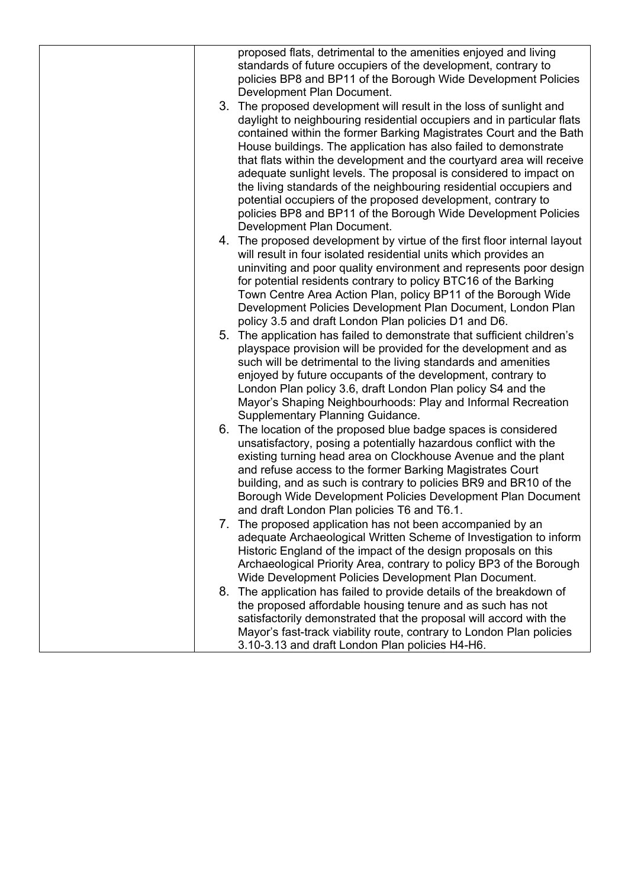|  | proposed flats, detrimental to the amenities enjoyed and living                                                                         |
|--|-----------------------------------------------------------------------------------------------------------------------------------------|
|  | standards of future occupiers of the development, contrary to                                                                           |
|  | policies BP8 and BP11 of the Borough Wide Development Policies                                                                          |
|  | Development Plan Document.                                                                                                              |
|  | 3. The proposed development will result in the loss of sunlight and                                                                     |
|  | daylight to neighbouring residential occupiers and in particular flats                                                                  |
|  | contained within the former Barking Magistrates Court and the Bath                                                                      |
|  | House buildings. The application has also failed to demonstrate                                                                         |
|  | that flats within the development and the courtyard area will receive                                                                   |
|  | adequate sunlight levels. The proposal is considered to impact on<br>the living standards of the neighbouring residential occupiers and |
|  | potential occupiers of the proposed development, contrary to                                                                            |
|  | policies BP8 and BP11 of the Borough Wide Development Policies                                                                          |
|  | Development Plan Document.                                                                                                              |
|  | 4. The proposed development by virtue of the first floor internal layout                                                                |
|  | will result in four isolated residential units which provides an                                                                        |
|  | uninviting and poor quality environment and represents poor design                                                                      |
|  | for potential residents contrary to policy BTC16 of the Barking                                                                         |
|  | Town Centre Area Action Plan, policy BP11 of the Borough Wide                                                                           |
|  | Development Policies Development Plan Document, London Plan                                                                             |
|  | policy 3.5 and draft London Plan policies D1 and D6.                                                                                    |
|  | 5. The application has failed to demonstrate that sufficient children's                                                                 |
|  | playspace provision will be provided for the development and as                                                                         |
|  | such will be detrimental to the living standards and amenities                                                                          |
|  | enjoyed by future occupants of the development, contrary to                                                                             |
|  | London Plan policy 3.6, draft London Plan policy S4 and the                                                                             |
|  | Mayor's Shaping Neighbourhoods: Play and Informal Recreation<br><b>Supplementary Planning Guidance.</b>                                 |
|  | 6. The location of the proposed blue badge spaces is considered                                                                         |
|  | unsatisfactory, posing a potentially hazardous conflict with the                                                                        |
|  | existing turning head area on Clockhouse Avenue and the plant                                                                           |
|  | and refuse access to the former Barking Magistrates Court                                                                               |
|  | building, and as such is contrary to policies BR9 and BR10 of the                                                                       |
|  | Borough Wide Development Policies Development Plan Document                                                                             |
|  | and draft London Plan policies T6 and T6.1.                                                                                             |
|  | 7. The proposed application has not been accompanied by an                                                                              |
|  | adequate Archaeological Written Scheme of Investigation to inform                                                                       |
|  | Historic England of the impact of the design proposals on this                                                                          |
|  | Archaeological Priority Area, contrary to policy BP3 of the Borough                                                                     |
|  | Wide Development Policies Development Plan Document.                                                                                    |
|  | 8. The application has failed to provide details of the breakdown of                                                                    |
|  | the proposed affordable housing tenure and as such has not                                                                              |
|  | satisfactorily demonstrated that the proposal will accord with the                                                                      |
|  | Mayor's fast-track viability route, contrary to London Plan policies                                                                    |
|  | 3.10-3.13 and draft London Plan policies H4-H6.                                                                                         |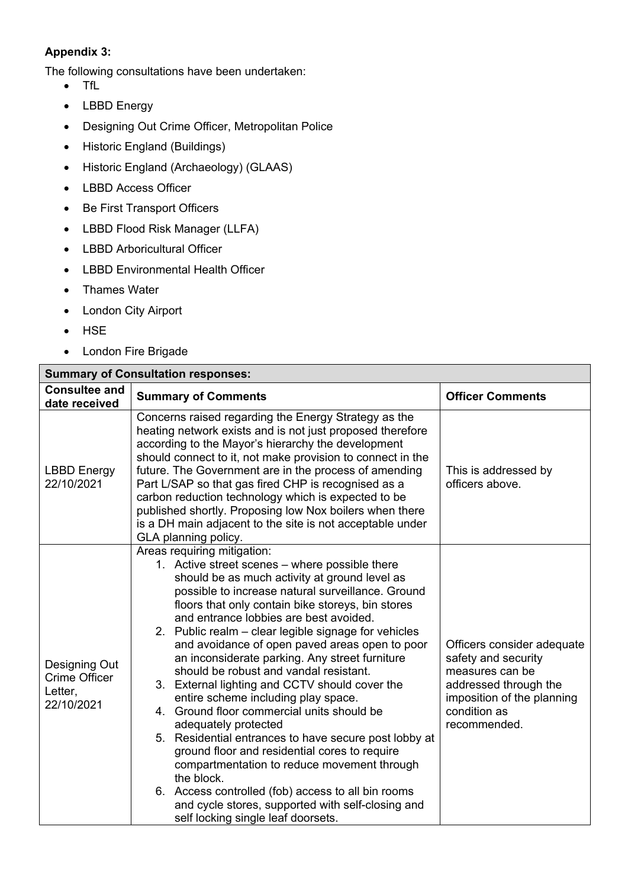# **Appendix 3:**

The following consultations have been undertaken:

- TfL
- LBBD Energy
- Designing Out Crime Officer, Metropolitan Police
- Historic England (Buildings)
- Historic England (Archaeology) (GLAAS)
- LBBD Access Officer
- Be First Transport Officers
- LBBD Flood Risk Manager (LLFA)
- LBBD Arboricultural Officer
- LBBD Environmental Health Officer
- Thames Water
- London City Airport
- HSE
- London Fire Brigade

| <b>Summary of Consultation responses:</b>                      |                                                                                                                                                                                                                                                                                                                                                                                                                                                                                                                                                                                                                                                                                                                                                                                                                                                                                                                                                                                 |                                                                                                                                                             |  |  |
|----------------------------------------------------------------|---------------------------------------------------------------------------------------------------------------------------------------------------------------------------------------------------------------------------------------------------------------------------------------------------------------------------------------------------------------------------------------------------------------------------------------------------------------------------------------------------------------------------------------------------------------------------------------------------------------------------------------------------------------------------------------------------------------------------------------------------------------------------------------------------------------------------------------------------------------------------------------------------------------------------------------------------------------------------------|-------------------------------------------------------------------------------------------------------------------------------------------------------------|--|--|
| <b>Consultee and</b><br>date received                          | <b>Summary of Comments</b>                                                                                                                                                                                                                                                                                                                                                                                                                                                                                                                                                                                                                                                                                                                                                                                                                                                                                                                                                      | <b>Officer Comments</b>                                                                                                                                     |  |  |
| <b>LBBD</b> Energy<br>22/10/2021                               | Concerns raised regarding the Energy Strategy as the<br>heating network exists and is not just proposed therefore<br>according to the Mayor's hierarchy the development<br>should connect to it, not make provision to connect in the<br>future. The Government are in the process of amending<br>Part L/SAP so that gas fired CHP is recognised as a<br>carbon reduction technology which is expected to be<br>published shortly. Proposing low Nox boilers when there<br>is a DH main adjacent to the site is not acceptable under<br>GLA planning policy.                                                                                                                                                                                                                                                                                                                                                                                                                    | This is addressed by<br>officers above.                                                                                                                     |  |  |
| Designing Out<br><b>Crime Officer</b><br>Letter,<br>22/10/2021 | Areas requiring mitigation:<br>1. Active street scenes - where possible there<br>should be as much activity at ground level as<br>possible to increase natural surveillance. Ground<br>floors that only contain bike storeys, bin stores<br>and entrance lobbies are best avoided.<br>2. Public realm – clear legible signage for vehicles<br>and avoidance of open paved areas open to poor<br>an inconsiderate parking. Any street furniture<br>should be robust and vandal resistant.<br>3. External lighting and CCTV should cover the<br>entire scheme including play space.<br>4. Ground floor commercial units should be<br>adequately protected<br>5. Residential entrances to have secure post lobby at<br>ground floor and residential cores to require<br>compartmentation to reduce movement through<br>the block.<br>6. Access controlled (fob) access to all bin rooms<br>and cycle stores, supported with self-closing and<br>self locking single leaf doorsets. | Officers consider adequate<br>safety and security<br>measures can be<br>addressed through the<br>imposition of the planning<br>condition as<br>recommended. |  |  |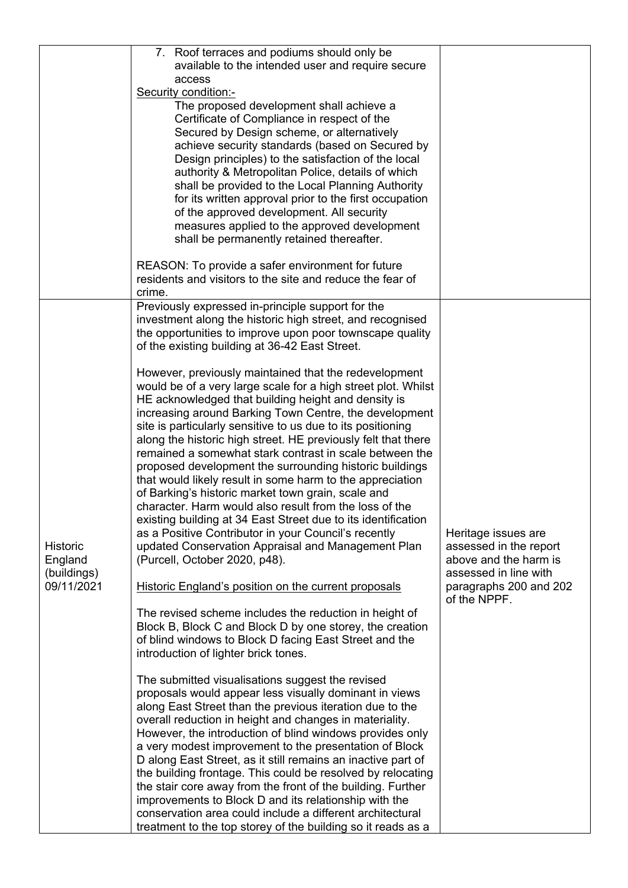|                                                         | 7. Roof terraces and podiums should only be<br>available to the intended user and require secure<br>access<br>Security condition:-<br>The proposed development shall achieve a<br>Certificate of Compliance in respect of the<br>Secured by Design scheme, or alternatively<br>achieve security standards (based on Secured by<br>Design principles) to the satisfaction of the local<br>authority & Metropolitan Police, details of which<br>shall be provided to the Local Planning Authority<br>for its written approval prior to the first occupation<br>of the approved development. All security<br>measures applied to the approved development                                                                                                                                                                                                                                                                                                                                                                                                                                                                                                                                                                                                                                                                                                                                                                                                                                                                                                                                                                                                                                                                                                                                                                                                                                                                                                                                                                                                                                                                                                    |                                                                                                                                           |
|---------------------------------------------------------|-----------------------------------------------------------------------------------------------------------------------------------------------------------------------------------------------------------------------------------------------------------------------------------------------------------------------------------------------------------------------------------------------------------------------------------------------------------------------------------------------------------------------------------------------------------------------------------------------------------------------------------------------------------------------------------------------------------------------------------------------------------------------------------------------------------------------------------------------------------------------------------------------------------------------------------------------------------------------------------------------------------------------------------------------------------------------------------------------------------------------------------------------------------------------------------------------------------------------------------------------------------------------------------------------------------------------------------------------------------------------------------------------------------------------------------------------------------------------------------------------------------------------------------------------------------------------------------------------------------------------------------------------------------------------------------------------------------------------------------------------------------------------------------------------------------------------------------------------------------------------------------------------------------------------------------------------------------------------------------------------------------------------------------------------------------------------------------------------------------------------------------------------------------|-------------------------------------------------------------------------------------------------------------------------------------------|
|                                                         | shall be permanently retained thereafter.<br>REASON: To provide a safer environment for future<br>residents and visitors to the site and reduce the fear of<br>crime.                                                                                                                                                                                                                                                                                                                                                                                                                                                                                                                                                                                                                                                                                                                                                                                                                                                                                                                                                                                                                                                                                                                                                                                                                                                                                                                                                                                                                                                                                                                                                                                                                                                                                                                                                                                                                                                                                                                                                                                     |                                                                                                                                           |
| <b>Historic</b><br>England<br>(buildings)<br>09/11/2021 | Previously expressed in-principle support for the<br>investment along the historic high street, and recognised<br>the opportunities to improve upon poor townscape quality<br>of the existing building at 36-42 East Street.<br>However, previously maintained that the redevelopment<br>would be of a very large scale for a high street plot. Whilst<br>HE acknowledged that building height and density is<br>increasing around Barking Town Centre, the development<br>site is particularly sensitive to us due to its positioning<br>along the historic high street. HE previously felt that there<br>remained a somewhat stark contrast in scale between the<br>proposed development the surrounding historic buildings<br>that would likely result in some harm to the appreciation<br>of Barking's historic market town grain, scale and<br>character. Harm would also result from the loss of the<br>existing building at 34 East Street due to its identification<br>as a Positive Contributor in your Council's recently<br>updated Conservation Appraisal and Management Plan<br>(Purcell, October 2020, p48).<br>Historic England's position on the current proposals<br>The revised scheme includes the reduction in height of<br>Block B, Block C and Block D by one storey, the creation<br>of blind windows to Block D facing East Street and the<br>introduction of lighter brick tones.<br>The submitted visualisations suggest the revised<br>proposals would appear less visually dominant in views<br>along East Street than the previous iteration due to the<br>overall reduction in height and changes in materiality.<br>However, the introduction of blind windows provides only<br>a very modest improvement to the presentation of Block<br>D along East Street, as it still remains an inactive part of<br>the building frontage. This could be resolved by relocating<br>the stair core away from the front of the building. Further<br>improvements to Block D and its relationship with the<br>conservation area could include a different architectural<br>treatment to the top storey of the building so it reads as a | Heritage issues are<br>assessed in the report<br>above and the harm is<br>assessed in line with<br>paragraphs 200 and 202<br>of the NPPF. |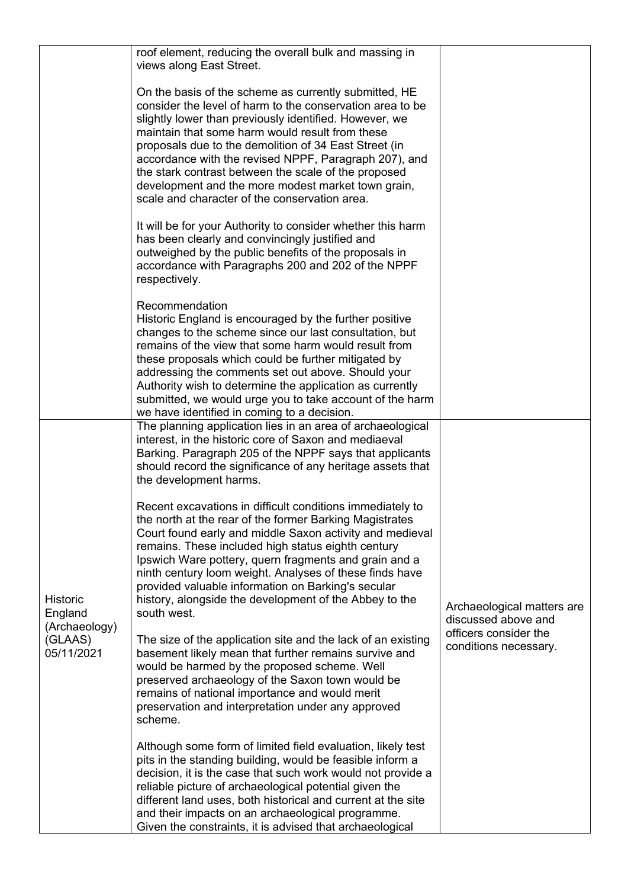|                                             | roof element, reducing the overall bulk and massing in<br>views along East Street.                                                                                                                                                                                                                                                                                                                                                                                                                               |                                                   |  |
|---------------------------------------------|------------------------------------------------------------------------------------------------------------------------------------------------------------------------------------------------------------------------------------------------------------------------------------------------------------------------------------------------------------------------------------------------------------------------------------------------------------------------------------------------------------------|---------------------------------------------------|--|
|                                             | On the basis of the scheme as currently submitted, HE<br>consider the level of harm to the conservation area to be<br>slightly lower than previously identified. However, we<br>maintain that some harm would result from these<br>proposals due to the demolition of 34 East Street (in<br>accordance with the revised NPPF, Paragraph 207), and<br>the stark contrast between the scale of the proposed<br>development and the more modest market town grain,<br>scale and character of the conservation area. |                                                   |  |
|                                             | It will be for your Authority to consider whether this harm<br>has been clearly and convincingly justified and<br>outweighed by the public benefits of the proposals in<br>accordance with Paragraphs 200 and 202 of the NPPF<br>respectively.                                                                                                                                                                                                                                                                   |                                                   |  |
|                                             | Recommendation<br>Historic England is encouraged by the further positive<br>changes to the scheme since our last consultation, but<br>remains of the view that some harm would result from<br>these proposals which could be further mitigated by<br>addressing the comments set out above. Should your<br>Authority wish to determine the application as currently<br>submitted, we would urge you to take account of the harm<br>we have identified in coming to a decision.                                   |                                                   |  |
|                                             | The planning application lies in an area of archaeological<br>interest, in the historic core of Saxon and mediaeval<br>Barking. Paragraph 205 of the NPPF says that applicants<br>should record the significance of any heritage assets that<br>the development harms.                                                                                                                                                                                                                                           |                                                   |  |
| <b>Historic</b><br>England<br>(Archaeology) | Recent excavations in difficult conditions immediately to<br>the north at the rear of the former Barking Magistrates<br>Court found early and middle Saxon activity and medieval<br>remains. These included high status eighth century<br>Ipswich Ware pottery, quern fragments and grain and a<br>ninth century loom weight. Analyses of these finds have<br>provided valuable information on Barking's secular<br>history, alongside the development of the Abbey to the<br>south west.                        | Archaeological matters are<br>discussed above and |  |
| (GLAAS)<br>05/11/2021                       | The size of the application site and the lack of an existing<br>basement likely mean that further remains survive and<br>would be harmed by the proposed scheme. Well<br>preserved archaeology of the Saxon town would be<br>remains of national importance and would merit<br>preservation and interpretation under any approved<br>scheme.                                                                                                                                                                     | officers consider the<br>conditions necessary.    |  |
|                                             | Although some form of limited field evaluation, likely test<br>pits in the standing building, would be feasible inform a<br>decision, it is the case that such work would not provide a<br>reliable picture of archaeological potential given the<br>different land uses, both historical and current at the site<br>and their impacts on an archaeological programme.<br>Given the constraints, it is advised that archaeological                                                                               |                                                   |  |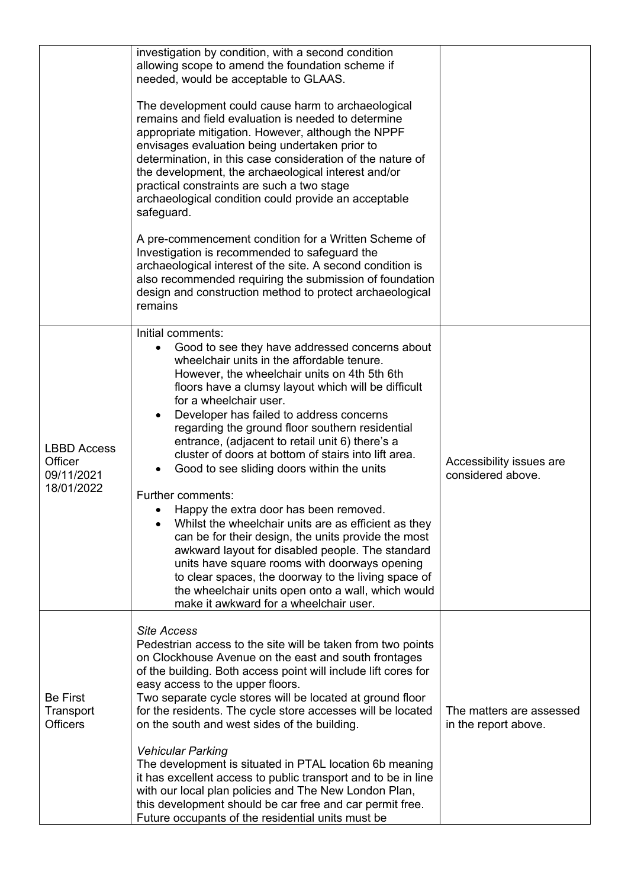|                                                           | investigation by condition, with a second condition<br>allowing scope to amend the foundation scheme if<br>needed, would be acceptable to GLAAS.                                                                                                                                                                                                                                                                                                                                                                                                                                                                                                                                                                                                                                                                                                                                                                                                     |                                                  |
|-----------------------------------------------------------|------------------------------------------------------------------------------------------------------------------------------------------------------------------------------------------------------------------------------------------------------------------------------------------------------------------------------------------------------------------------------------------------------------------------------------------------------------------------------------------------------------------------------------------------------------------------------------------------------------------------------------------------------------------------------------------------------------------------------------------------------------------------------------------------------------------------------------------------------------------------------------------------------------------------------------------------------|--------------------------------------------------|
|                                                           | The development could cause harm to archaeological<br>remains and field evaluation is needed to determine<br>appropriate mitigation. However, although the NPPF<br>envisages evaluation being undertaken prior to<br>determination, in this case consideration of the nature of<br>the development, the archaeological interest and/or<br>practical constraints are such a two stage<br>archaeological condition could provide an acceptable<br>safeguard.                                                                                                                                                                                                                                                                                                                                                                                                                                                                                           |                                                  |
|                                                           | A pre-commencement condition for a Written Scheme of<br>Investigation is recommended to safeguard the<br>archaeological interest of the site. A second condition is<br>also recommended requiring the submission of foundation<br>design and construction method to protect archaeological<br>remains                                                                                                                                                                                                                                                                                                                                                                                                                                                                                                                                                                                                                                                |                                                  |
| <b>LBBD Access</b><br>Officer<br>09/11/2021<br>18/01/2022 | Initial comments:<br>Good to see they have addressed concerns about<br>wheelchair units in the affordable tenure.<br>However, the wheelchair units on 4th 5th 6th<br>floors have a clumsy layout which will be difficult<br>for a wheelchair user.<br>Developer has failed to address concerns<br>regarding the ground floor southern residential<br>entrance, (adjacent to retail unit 6) there's a<br>cluster of doors at bottom of stairs into lift area.<br>Good to see sliding doors within the units<br>Further comments:<br>Happy the extra door has been removed.<br>Whilst the wheelchair units are as efficient as they<br>can be for their design, the units provide the most<br>awkward layout for disabled people. The standard<br>units have square rooms with doorways opening<br>to clear spaces, the doorway to the living space of<br>the wheelchair units open onto a wall, which would<br>make it awkward for a wheelchair user. | Accessibility issues are<br>considered above.    |
| <b>Be First</b><br>Transport<br><b>Officers</b>           | <b>Site Access</b><br>Pedestrian access to the site will be taken from two points<br>on Clockhouse Avenue on the east and south frontages<br>of the building. Both access point will include lift cores for<br>easy access to the upper floors.<br>Two separate cycle stores will be located at ground floor<br>for the residents. The cycle store accesses will be located<br>on the south and west sides of the building.<br><b>Vehicular Parking</b><br>The development is situated in PTAL location 6b meaning<br>it has excellent access to public transport and to be in line<br>with our local plan policies and The New London Plan,<br>this development should be car free and car permit free.<br>Future occupants of the residential units must be                                                                                                                                                                                        | The matters are assessed<br>in the report above. |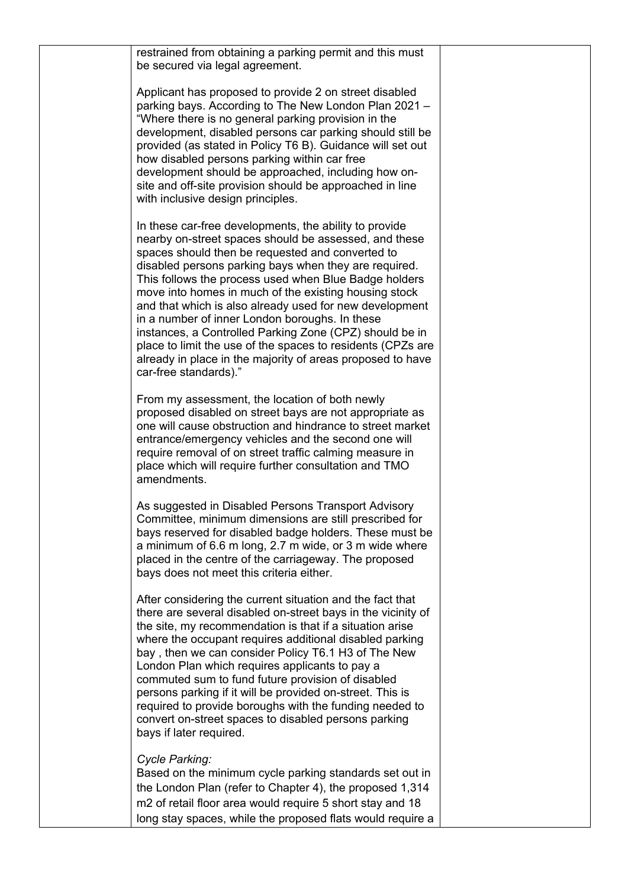restrained from obtaining a parking permit and this must be secured via legal agreement.

Applicant has proposed to provide 2 on street disabled parking bays. According to The New London Plan 2021 – "Where there is no general parking provision in the development, disabled persons car parking should still be provided (as stated in Policy T6 B). Guidance will set out how disabled persons parking within car free development should be approached, including how onsite and off-site provision should be approached in line with inclusive design principles.

In these car-free developments, the ability to provide nearby on-street spaces should be assessed, and these spaces should then be requested and converted to disabled persons parking bays when they are required. This follows the process used when Blue Badge holders move into homes in much of the existing housing stock and that which is also already used for new development in a number of inner London boroughs. In these instances, a Controlled Parking Zone (CPZ) should be in place to limit the use of the spaces to residents (CPZs are already in place in the majority of areas proposed to have car-free standards)."

From my assessment, the location of both newly proposed disabled on street bays are not appropriate as one will cause obstruction and hindrance to street market entrance/emergency vehicles and the second one will require removal of on street traffic calming measure in place which will require further consultation and TMO amendments.

As suggested in Disabled Persons Transport Advisory Committee, minimum dimensions are still prescribed for bays reserved for disabled badge holders. These must be a minimum of 6.6 m long, 2.7 m wide, or 3 m wide where placed in the centre of the carriageway. The proposed bays does not meet this criteria either.

After considering the current situation and the fact that there are several disabled on-street bays in the vicinity of the site, my recommendation is that if a situation arise where the occupant requires additional disabled parking bay , then we can consider Policy T6.1 H3 of The New London Plan which requires applicants to pay a commuted sum to fund future provision of disabled persons parking if it will be provided on-street. This is required to provide boroughs with the funding needed to convert on-street spaces to disabled persons parking bays if later required.

#### *Cycle Parking:*

Based on the minimum cycle parking standards set out in the London Plan (refer to Chapter 4), the proposed 1,314 m2 of retail floor area would require 5 short stay and 18 long stay spaces, while the proposed flats would require a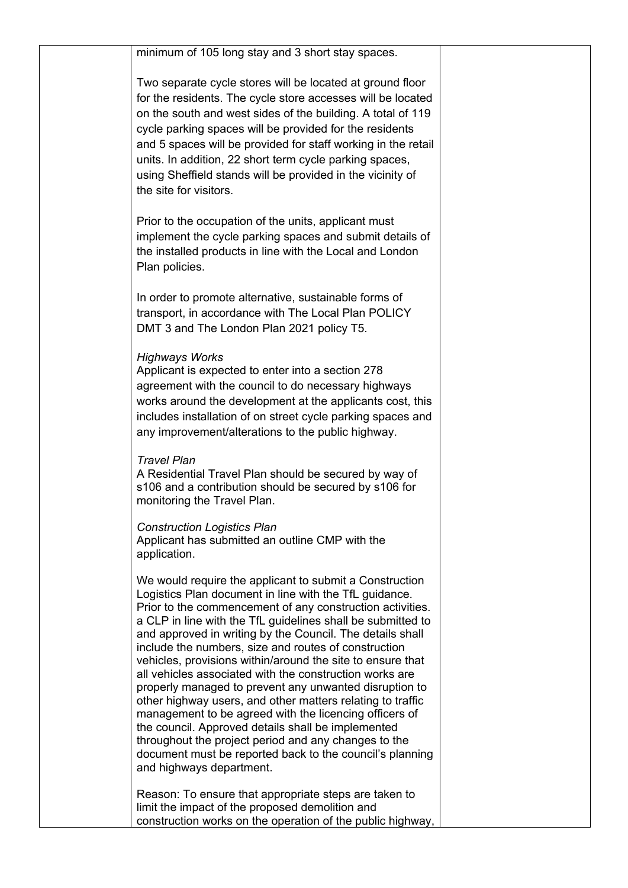| minimum of 105 long stay and 3 short stay spaces.                                                                                                                                                                                                                                                                                                                                                                                                                                                                                                                                                                                                                                                                                                                                                                                                                                   |  |
|-------------------------------------------------------------------------------------------------------------------------------------------------------------------------------------------------------------------------------------------------------------------------------------------------------------------------------------------------------------------------------------------------------------------------------------------------------------------------------------------------------------------------------------------------------------------------------------------------------------------------------------------------------------------------------------------------------------------------------------------------------------------------------------------------------------------------------------------------------------------------------------|--|
| Two separate cycle stores will be located at ground floor<br>for the residents. The cycle store accesses will be located<br>on the south and west sides of the building. A total of 119<br>cycle parking spaces will be provided for the residents<br>and 5 spaces will be provided for staff working in the retail<br>units. In addition, 22 short term cycle parking spaces,<br>using Sheffield stands will be provided in the vicinity of<br>the site for visitors.                                                                                                                                                                                                                                                                                                                                                                                                              |  |
| Prior to the occupation of the units, applicant must<br>implement the cycle parking spaces and submit details of<br>the installed products in line with the Local and London<br>Plan policies.                                                                                                                                                                                                                                                                                                                                                                                                                                                                                                                                                                                                                                                                                      |  |
| In order to promote alternative, sustainable forms of<br>transport, in accordance with The Local Plan POLICY<br>DMT 3 and The London Plan 2021 policy T5.                                                                                                                                                                                                                                                                                                                                                                                                                                                                                                                                                                                                                                                                                                                           |  |
| <b>Highways Works</b><br>Applicant is expected to enter into a section 278<br>agreement with the council to do necessary highways<br>works around the development at the applicants cost, this<br>includes installation of on street cycle parking spaces and<br>any improvement/alterations to the public highway.                                                                                                                                                                                                                                                                                                                                                                                                                                                                                                                                                                 |  |
| <b>Travel Plan</b><br>A Residential Travel Plan should be secured by way of<br>s106 and a contribution should be secured by s106 for<br>monitoring the Travel Plan.                                                                                                                                                                                                                                                                                                                                                                                                                                                                                                                                                                                                                                                                                                                 |  |
| <b>Construction Logistics Plan</b><br>Applicant has submitted an outline CMP with the<br>application.                                                                                                                                                                                                                                                                                                                                                                                                                                                                                                                                                                                                                                                                                                                                                                               |  |
| We would require the applicant to submit a Construction<br>Logistics Plan document in line with the TfL guidance.<br>Prior to the commencement of any construction activities.<br>a CLP in line with the TfL guidelines shall be submitted to<br>and approved in writing by the Council. The details shall<br>include the numbers, size and routes of construction<br>vehicles, provisions within/around the site to ensure that<br>all vehicles associated with the construction works are<br>properly managed to prevent any unwanted disruption to<br>other highway users, and other matters relating to traffic<br>management to be agreed with the licencing officers of<br>the council. Approved details shall be implemented<br>throughout the project period and any changes to the<br>document must be reported back to the council's planning<br>and highways department. |  |
| Reason: To ensure that appropriate steps are taken to<br>limit the impact of the proposed demolition and<br>construction works on the operation of the public highway,                                                                                                                                                                                                                                                                                                                                                                                                                                                                                                                                                                                                                                                                                                              |  |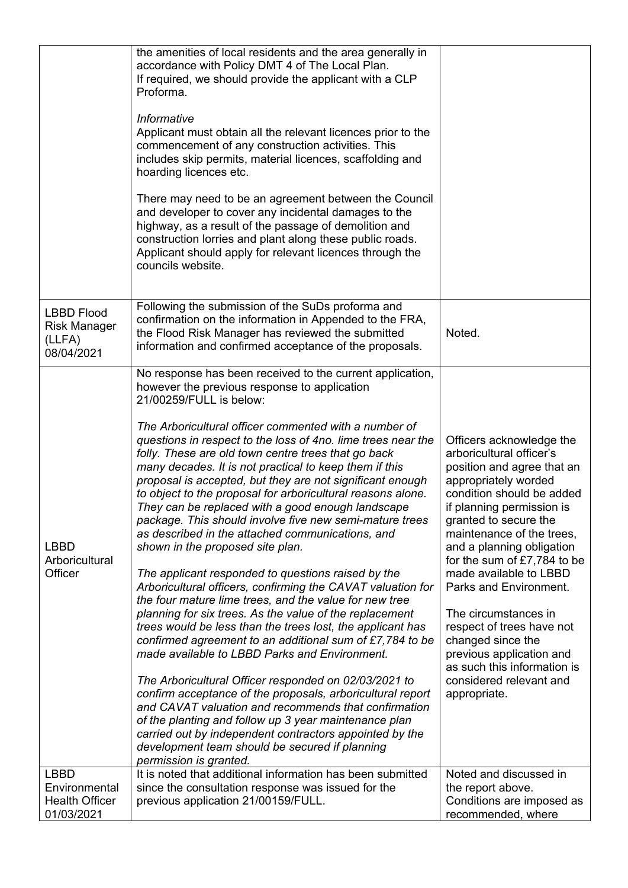|                                                                     | the amenities of local residents and the area generally in<br>accordance with Policy DMT 4 of The Local Plan.<br>If required, we should provide the applicant with a CLP<br>Proforma.<br>Informative<br>Applicant must obtain all the relevant licences prior to the<br>commencement of any construction activities. This<br>includes skip permits, material licences, scaffolding and<br>hoarding licences etc.<br>There may need to be an agreement between the Council<br>and developer to cover any incidental damages to the<br>highway, as a result of the passage of demolition and<br>construction lorries and plant along these public roads.<br>Applicant should apply for relevant licences through the<br>councils website.                                                                                                                                                                                                                                                                                                                                                                                                                                                                                                                                                                                                                                                                                                                                                                                |                                                                                                                                                                                                                                                                                                                                                                                                                                                                                                                              |
|---------------------------------------------------------------------|------------------------------------------------------------------------------------------------------------------------------------------------------------------------------------------------------------------------------------------------------------------------------------------------------------------------------------------------------------------------------------------------------------------------------------------------------------------------------------------------------------------------------------------------------------------------------------------------------------------------------------------------------------------------------------------------------------------------------------------------------------------------------------------------------------------------------------------------------------------------------------------------------------------------------------------------------------------------------------------------------------------------------------------------------------------------------------------------------------------------------------------------------------------------------------------------------------------------------------------------------------------------------------------------------------------------------------------------------------------------------------------------------------------------------------------------------------------------------------------------------------------------|------------------------------------------------------------------------------------------------------------------------------------------------------------------------------------------------------------------------------------------------------------------------------------------------------------------------------------------------------------------------------------------------------------------------------------------------------------------------------------------------------------------------------|
| <b>LBBD Flood</b><br><b>Risk Manager</b><br>(LLFA)<br>08/04/2021    | Following the submission of the SuDs proforma and<br>confirmation on the information in Appended to the FRA,<br>the Flood Risk Manager has reviewed the submitted<br>information and confirmed acceptance of the proposals.                                                                                                                                                                                                                                                                                                                                                                                                                                                                                                                                                                                                                                                                                                                                                                                                                                                                                                                                                                                                                                                                                                                                                                                                                                                                                            | Noted.                                                                                                                                                                                                                                                                                                                                                                                                                                                                                                                       |
| <b>LBBD</b><br>Arboricultural<br>Officer                            | No response has been received to the current application,<br>however the previous response to application<br>21/00259/FULL is below:<br>The Arboricultural officer commented with a number of<br>questions in respect to the loss of 4no. lime trees near the<br>folly. These are old town centre trees that go back<br>many decades. It is not practical to keep them if this<br>proposal is accepted, but they are not significant enough<br>to object to the proposal for arboricultural reasons alone.<br>They can be replaced with a good enough landscape<br>package. This should involve five new semi-mature trees<br>as described in the attached communications, and<br>shown in the proposed site plan.<br>The applicant responded to questions raised by the<br>Arboricultural officers, confirming the CAVAT valuation for<br>the four mature lime trees, and the value for new tree<br>planning for six trees. As the value of the replacement<br>trees would be less than the trees lost, the applicant has<br>confirmed agreement to an additional sum of £7,784 to be<br>made available to LBBD Parks and Environment.<br>The Arboricultural Officer responded on 02/03/2021 to<br>confirm acceptance of the proposals, arboricultural report<br>and CAVAT valuation and recommends that confirmation<br>of the planting and follow up 3 year maintenance plan<br>carried out by independent contractors appointed by the<br>development team should be secured if planning<br>permission is granted. | Officers acknowledge the<br>arboricultural officer's<br>position and agree that an<br>appropriately worded<br>condition should be added<br>if planning permission is<br>granted to secure the<br>maintenance of the trees,<br>and a planning obligation<br>for the sum of $£7,784$ to be<br>made available to LBBD<br>Parks and Environment.<br>The circumstances in<br>respect of trees have not<br>changed since the<br>previous application and<br>as such this information is<br>considered relevant and<br>appropriate. |
| <b>LBBD</b><br>Environmental<br><b>Health Officer</b><br>01/03/2021 | It is noted that additional information has been submitted<br>since the consultation response was issued for the<br>previous application 21/00159/FULL.                                                                                                                                                                                                                                                                                                                                                                                                                                                                                                                                                                                                                                                                                                                                                                                                                                                                                                                                                                                                                                                                                                                                                                                                                                                                                                                                                                | Noted and discussed in<br>the report above.<br>Conditions are imposed as<br>recommended, where                                                                                                                                                                                                                                                                                                                                                                                                                               |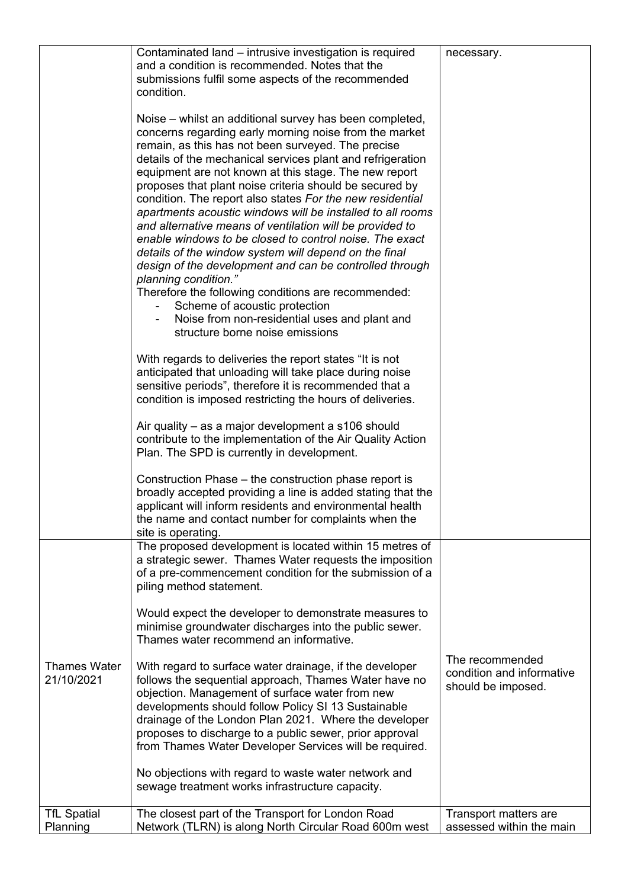|                                   | Contaminated land – intrusive investigation is required<br>and a condition is recommended. Notes that the<br>submissions fulfil some aspects of the recommended<br>condition.<br>Noise – whilst an additional survey has been completed,<br>concerns regarding early morning noise from the market<br>remain, as this has not been surveyed. The precise<br>details of the mechanical services plant and refrigeration<br>equipment are not known at this stage. The new report<br>proposes that plant noise criteria should be secured by<br>condition. The report also states For the new residential<br>apartments acoustic windows will be installed to all rooms<br>and alternative means of ventilation will be provided to<br>enable windows to be closed to control noise. The exact<br>details of the window system will depend on the final<br>design of the development and can be controlled through<br>planning condition."<br>Therefore the following conditions are recommended:<br>Scheme of acoustic protection<br>Noise from non-residential uses and plant and<br>structure borne noise emissions<br>With regards to deliveries the report states "It is not<br>anticipated that unloading will take place during noise<br>sensitive periods", therefore it is recommended that a<br>condition is imposed restricting the hours of deliveries.<br>Air quality – as a major development a s106 should<br>contribute to the implementation of the Air Quality Action<br>Plan. The SPD is currently in development. | necessary.                                                         |
|-----------------------------------|-------------------------------------------------------------------------------------------------------------------------------------------------------------------------------------------------------------------------------------------------------------------------------------------------------------------------------------------------------------------------------------------------------------------------------------------------------------------------------------------------------------------------------------------------------------------------------------------------------------------------------------------------------------------------------------------------------------------------------------------------------------------------------------------------------------------------------------------------------------------------------------------------------------------------------------------------------------------------------------------------------------------------------------------------------------------------------------------------------------------------------------------------------------------------------------------------------------------------------------------------------------------------------------------------------------------------------------------------------------------------------------------------------------------------------------------------------------------------------------------------------------------------------------|--------------------------------------------------------------------|
|                                   | Construction Phase – the construction phase report is<br>broadly accepted providing a line is added stating that the<br>applicant will inform residents and environmental health<br>the name and contact number for complaints when the<br>site is operating.                                                                                                                                                                                                                                                                                                                                                                                                                                                                                                                                                                                                                                                                                                                                                                                                                                                                                                                                                                                                                                                                                                                                                                                                                                                                       |                                                                    |
| <b>Thames Water</b><br>21/10/2021 | The proposed development is located within 15 metres of<br>a strategic sewer. Thames Water requests the imposition<br>of a pre-commencement condition for the submission of a<br>piling method statement.<br>Would expect the developer to demonstrate measures to<br>minimise groundwater discharges into the public sewer.<br>Thames water recommend an informative.<br>With regard to surface water drainage, if the developer<br>follows the sequential approach, Thames Water have no<br>objection. Management of surface water from new<br>developments should follow Policy SI 13 Sustainable<br>drainage of the London Plan 2021. Where the developer<br>proposes to discharge to a public sewer, prior approval<br>from Thames Water Developer Services will be required.<br>No objections with regard to waste water network and<br>sewage treatment works infrastructure capacity.                                                                                                                                                                                                                                                                                                                                                                                                                                                                                                                                                                                                                                       | The recommended<br>condition and informative<br>should be imposed. |
| <b>TfL Spatial</b><br>Planning    | The closest part of the Transport for London Road<br>Network (TLRN) is along North Circular Road 600m west                                                                                                                                                                                                                                                                                                                                                                                                                                                                                                                                                                                                                                                                                                                                                                                                                                                                                                                                                                                                                                                                                                                                                                                                                                                                                                                                                                                                                          | Transport matters are<br>assessed within the main                  |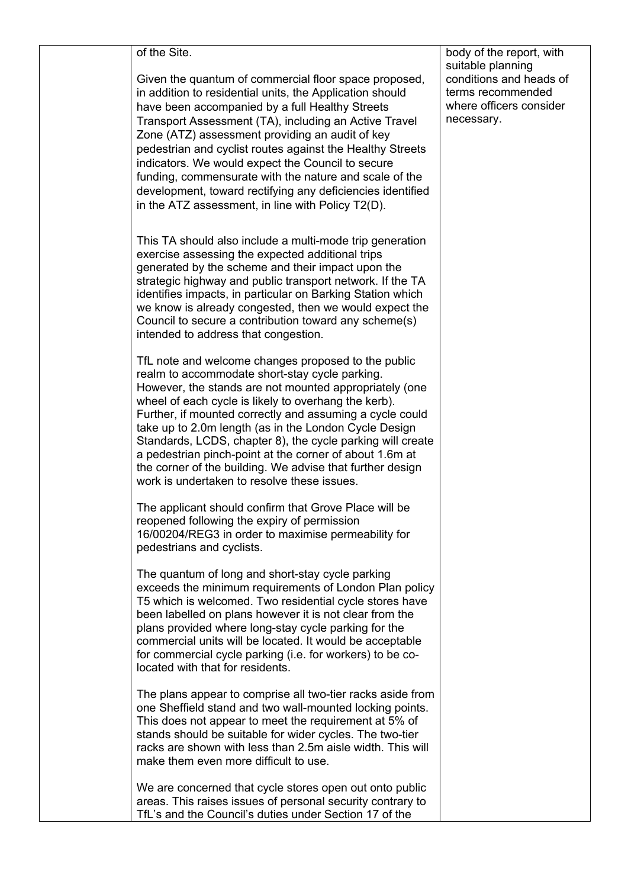of the Site.

Given the quantum of commercial floor space proposed, in addition to residential units, the Application should have been accompanied by a full Healthy Streets Transport Assessment (TA), including an Active Travel Zone (ATZ) assessment providing an audit of key pedestrian and cyclist routes against the Healthy Streets indicators. We would expect the Council to secure funding, commensurate with the nature and scale of the development, toward rectifying any deficiencies identified in the ATZ assessment, in line with Policy T2(D).

This TA should also include a multi-mode trip generation exercise assessing the expected additional trips generated by the scheme and their impact upon the strategic highway and public transport network. If the TA identifies impacts, in particular on Barking Station which we know is already congested, then we would expect the Council to secure a contribution toward any scheme(s) intended to address that congestion.

TfL note and welcome changes proposed to the public realm to accommodate short-stay cycle parking. However, the stands are not mounted appropriately (one wheel of each cycle is likely to overhang the kerb). Further, if mounted correctly and assuming a cycle could take up to 2.0m length (as in the London Cycle Design Standards, LCDS, chapter 8), the cycle parking will create a pedestrian pinch-point at the corner of about 1.6m at the corner of the building. We advise that further design work is undertaken to resolve these issues.

The applicant should confirm that Grove Place will be reopened following the expiry of permission 16/00204/REG3 in order to maximise permeability for pedestrians and cyclists.

The quantum of long and short-stay cycle parking exceeds the minimum requirements of London Plan policy T5 which is welcomed. Two residential cycle stores have been labelled on plans however it is not clear from the plans provided where long-stay cycle parking for the commercial units will be located. It would be acceptable for commercial cycle parking (i.e. for workers) to be colocated with that for residents.

The plans appear to comprise all two-tier racks aside from one Sheffield stand and two wall-mounted locking points. This does not appear to meet the requirement at 5% of stands should be suitable for wider cycles. The two-tier racks are shown with less than 2.5m aisle width. This will make them even more difficult to use.

We are concerned that cycle stores open out onto public areas. This raises issues of personal security contrary to TfL's and the Council's duties under Section 17 of the

body of the report, with suitable planning conditions and heads of terms recommended where officers consider necessary.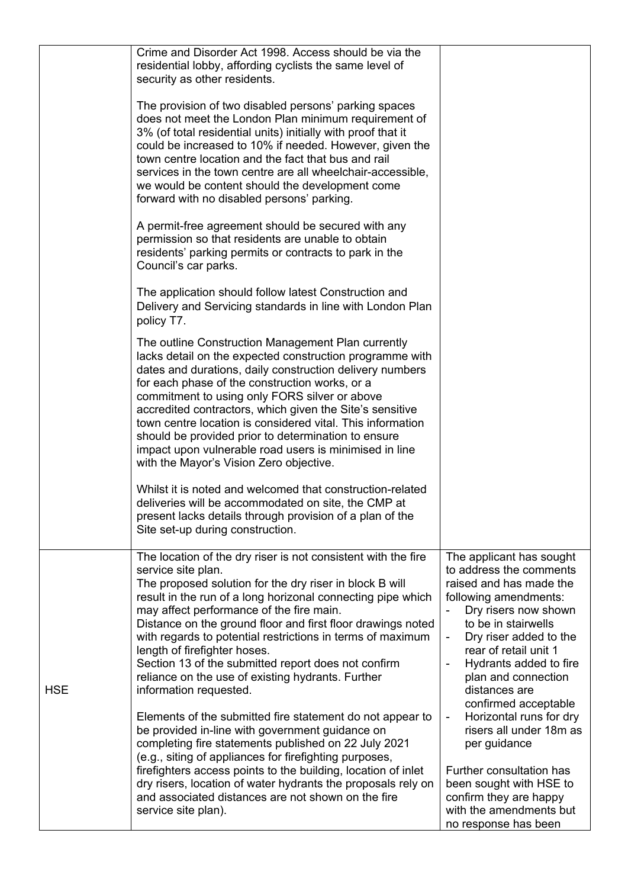|            | Crime and Disorder Act 1998. Access should be via the<br>residential lobby, affording cyclists the same level of<br>security as other residents.<br>The provision of two disabled persons' parking spaces<br>does not meet the London Plan minimum requirement of<br>3% (of total residential units) initially with proof that it<br>could be increased to 10% if needed. However, given the<br>town centre location and the fact that bus and rail<br>services in the town centre are all wheelchair-accessible,<br>we would be content should the development come<br>forward with no disabled persons' parking.<br>A permit-free agreement should be secured with any<br>permission so that residents are unable to obtain<br>residents' parking permits or contracts to park in the<br>Council's car parks.<br>The application should follow latest Construction and<br>Delivery and Servicing standards in line with London Plan<br>policy T7.<br>The outline Construction Management Plan currently<br>lacks detail on the expected construction programme with<br>dates and durations, daily construction delivery numbers<br>for each phase of the construction works, or a<br>commitment to using only FORS silver or above<br>accredited contractors, which given the Site's sensitive<br>town centre location is considered vital. This information<br>should be provided prior to determination to ensure<br>impact upon vulnerable road users is minimised in line<br>with the Mayor's Vision Zero objective.<br>Whilst it is noted and welcomed that construction-related<br>deliveries will be accommodated on site, the CMP at<br>present lacks details through provision of a plan of the |                                                                                                                                                                                                                                                                                                                                                                                                                                                                                                                                                                     |
|------------|------------------------------------------------------------------------------------------------------------------------------------------------------------------------------------------------------------------------------------------------------------------------------------------------------------------------------------------------------------------------------------------------------------------------------------------------------------------------------------------------------------------------------------------------------------------------------------------------------------------------------------------------------------------------------------------------------------------------------------------------------------------------------------------------------------------------------------------------------------------------------------------------------------------------------------------------------------------------------------------------------------------------------------------------------------------------------------------------------------------------------------------------------------------------------------------------------------------------------------------------------------------------------------------------------------------------------------------------------------------------------------------------------------------------------------------------------------------------------------------------------------------------------------------------------------------------------------------------------------------------------------------------------------------------------------------------------------|---------------------------------------------------------------------------------------------------------------------------------------------------------------------------------------------------------------------------------------------------------------------------------------------------------------------------------------------------------------------------------------------------------------------------------------------------------------------------------------------------------------------------------------------------------------------|
| <b>HSE</b> | Site set-up during construction.<br>The location of the dry riser is not consistent with the fire<br>service site plan.<br>The proposed solution for the dry riser in block B will<br>result in the run of a long horizonal connecting pipe which<br>may affect performance of the fire main.<br>Distance on the ground floor and first floor drawings noted<br>with regards to potential restrictions in terms of maximum<br>length of firefighter hoses.<br>Section 13 of the submitted report does not confirm<br>reliance on the use of existing hydrants. Further<br>information requested.<br>Elements of the submitted fire statement do not appear to<br>be provided in-line with government guidance on<br>completing fire statements published on 22 July 2021<br>(e.g., siting of appliances for firefighting purposes,<br>firefighters access points to the building, location of inlet<br>dry risers, location of water hydrants the proposals rely on<br>and associated distances are not shown on the fire<br>service site plan).                                                                                                                                                                                                                                                                                                                                                                                                                                                                                                                                                                                                                                                           | The applicant has sought<br>to address the comments<br>raised and has made the<br>following amendments:<br>Dry risers now shown<br>to be in stairwells<br>Dry riser added to the<br>$\blacksquare$<br>rear of retail unit 1<br>Hydrants added to fire<br>$\overline{a}$<br>plan and connection<br>distances are<br>confirmed acceptable<br>Horizontal runs for dry<br>$\blacksquare$<br>risers all under 18m as<br>per guidance<br>Further consultation has<br>been sought with HSE to<br>confirm they are happy<br>with the amendments but<br>no response has been |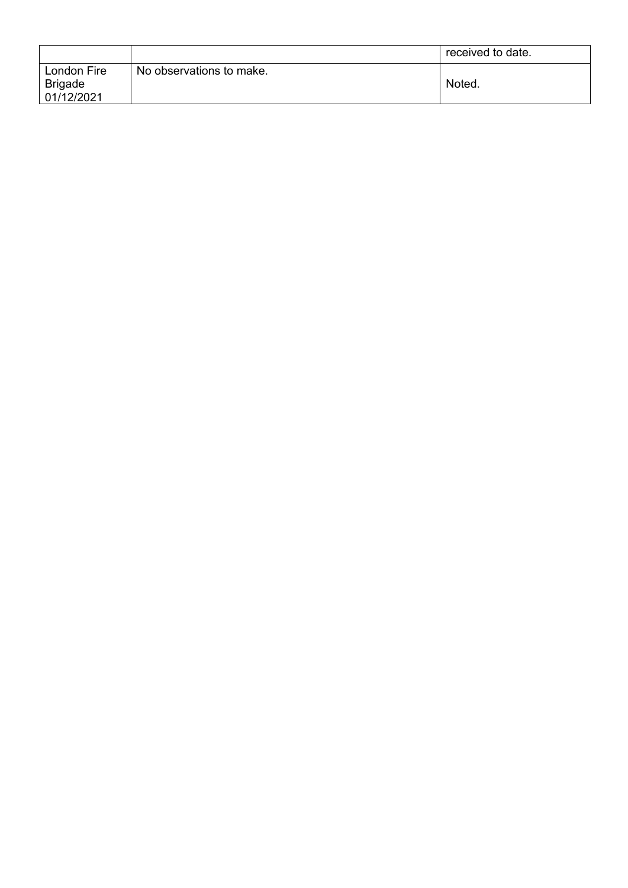|                |                          | received to date. |
|----------------|--------------------------|-------------------|
| London Fire    | No observations to make. |                   |
| <b>Brigade</b> |                          | Noted.            |
| 01/12/2021     |                          |                   |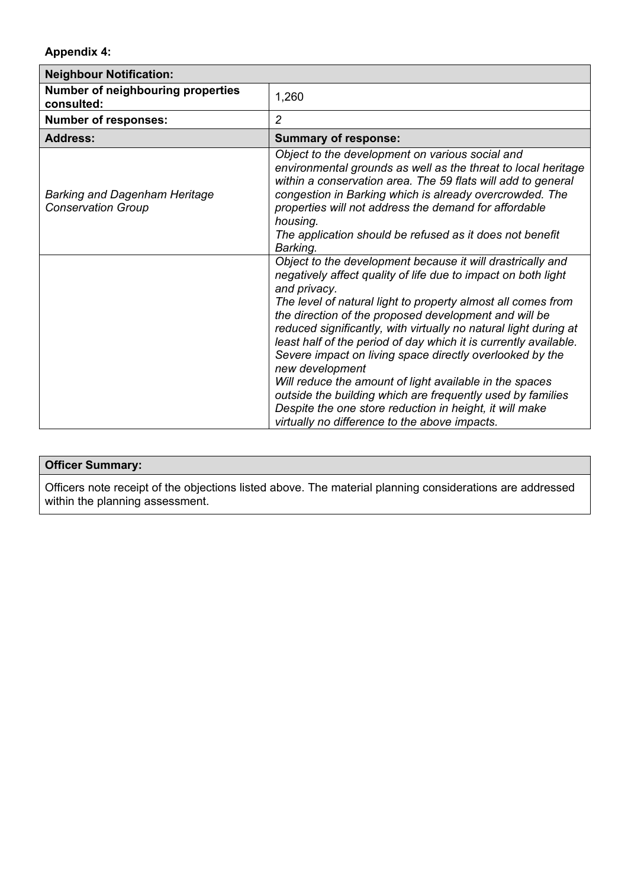## **Appendix 4:**

| <b>Neighbour Notification:</b>                                    |                                                                                                                                                                                                                                                                                                                                                                                                                                                                                                                                                                                                                                                                                                                                  |  |  |  |
|-------------------------------------------------------------------|----------------------------------------------------------------------------------------------------------------------------------------------------------------------------------------------------------------------------------------------------------------------------------------------------------------------------------------------------------------------------------------------------------------------------------------------------------------------------------------------------------------------------------------------------------------------------------------------------------------------------------------------------------------------------------------------------------------------------------|--|--|--|
| Number of neighbouring properties<br>consulted:                   | 1,260                                                                                                                                                                                                                                                                                                                                                                                                                                                                                                                                                                                                                                                                                                                            |  |  |  |
| <b>Number of responses:</b>                                       | $\overline{2}$                                                                                                                                                                                                                                                                                                                                                                                                                                                                                                                                                                                                                                                                                                                   |  |  |  |
| <b>Address:</b>                                                   | <b>Summary of response:</b>                                                                                                                                                                                                                                                                                                                                                                                                                                                                                                                                                                                                                                                                                                      |  |  |  |
| <b>Barking and Dagenham Heritage</b><br><b>Conservation Group</b> | Object to the development on various social and<br>environmental grounds as well as the threat to local heritage<br>within a conservation area. The 59 flats will add to general<br>congestion in Barking which is already overcrowded. The<br>properties will not address the demand for affordable<br>housing.<br>The application should be refused as it does not benefit<br>Barking.                                                                                                                                                                                                                                                                                                                                         |  |  |  |
|                                                                   | Object to the development because it will drastrically and<br>negatively affect quality of life due to impact on both light<br>and privacy.<br>The level of natural light to property almost all comes from<br>the direction of the proposed development and will be<br>reduced significantly, with virtually no natural light during at<br>least half of the period of day which it is currently available.<br>Severe impact on living space directly overlooked by the<br>new development<br>Will reduce the amount of light available in the spaces<br>outside the building which are frequently used by families<br>Despite the one store reduction in height, it will make<br>virtually no difference to the above impacts. |  |  |  |

## **Officer Summary:**

Officers note receipt of the objections listed above. The material planning considerations are addressed within the planning assessment.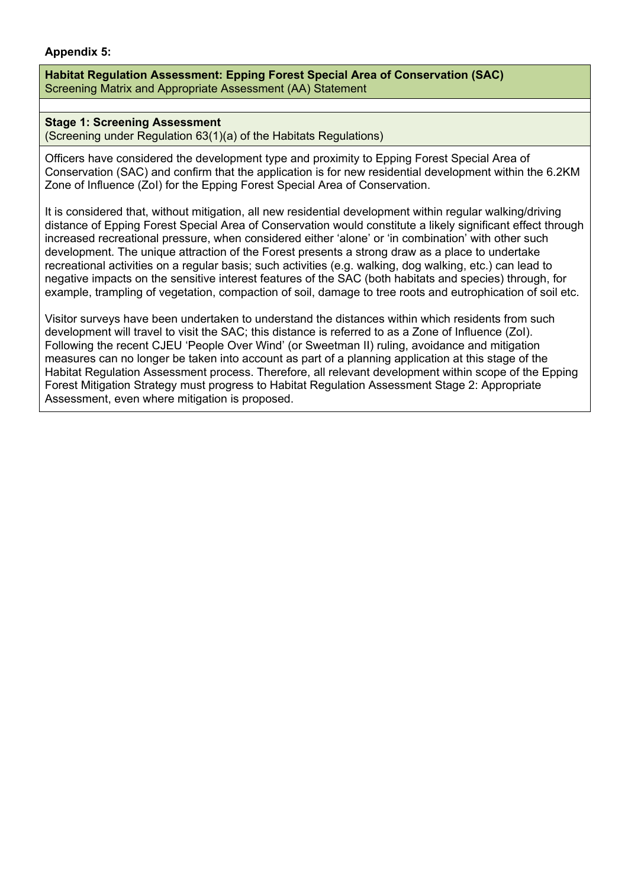### **Appendix 5:**

**Habitat Regulation Assessment: Epping Forest Special Area of Conservation (SAC)** Screening Matrix and Appropriate Assessment (AA) Statement

### **Stage 1: Screening Assessment**

(Screening under Regulation 63(1)(a) of the Habitats Regulations)

Officers have considered the development type and proximity to Epping Forest Special Area of Conservation (SAC) and confirm that the application is for new residential development within the 6.2KM Zone of Influence (ZoI) for the Epping Forest Special Area of Conservation.

It is considered that, without mitigation, all new residential development within regular walking/driving distance of Epping Forest Special Area of Conservation would constitute a likely significant effect through increased recreational pressure, when considered either 'alone' or 'in combination' with other such development. The unique attraction of the Forest presents a strong draw as a place to undertake recreational activities on a regular basis; such activities (e.g. walking, dog walking, etc.) can lead to negative impacts on the sensitive interest features of the SAC (both habitats and species) through, for example, trampling of vegetation, compaction of soil, damage to tree roots and eutrophication of soil etc.

Visitor surveys have been undertaken to understand the distances within which residents from such development will travel to visit the SAC; this distance is referred to as a Zone of Influence (ZoI). Following the recent CJEU 'People Over Wind' (or Sweetman II) ruling, avoidance and mitigation measures can no longer be taken into account as part of a planning application at this stage of the Habitat Regulation Assessment process. Therefore, all relevant development within scope of the Epping Forest Mitigation Strategy must progress to Habitat Regulation Assessment Stage 2: Appropriate Assessment, even where mitigation is proposed.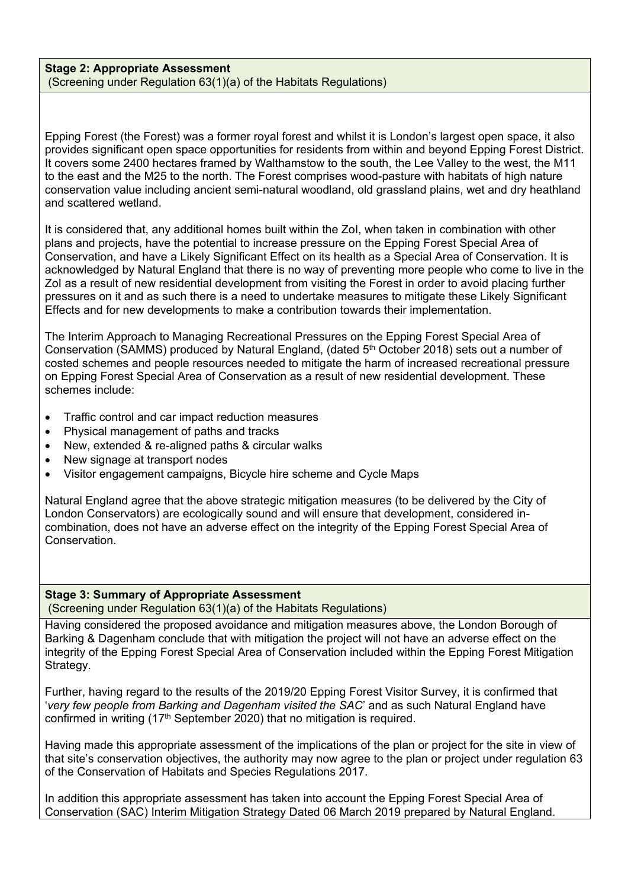#### **Stage 2: Appropriate Assessment** (Screening under Regulation 63(1)(a) of the Habitats Regulations)

Epping Forest (the Forest) was a former royal forest and whilst it is London's largest open space, it also provides significant open space opportunities for residents from within and beyond Epping Forest District. It covers some 2400 hectares framed by Walthamstow to the south, the Lee Valley to the west, the M11 to the east and the M25 to the north. The Forest comprises wood-pasture with habitats of high nature conservation value including ancient semi-natural woodland, old grassland plains, wet and dry heathland and scattered wetland.

It is considered that, any additional homes built within the ZoI, when taken in combination with other plans and projects, have the potential to increase pressure on the Epping Forest Special Area of Conservation, and have a Likely Significant Effect on its health as a Special Area of Conservation. It is acknowledged by Natural England that there is no way of preventing more people who come to live in the ZoI as a result of new residential development from visiting the Forest in order to avoid placing further pressures on it and as such there is a need to undertake measures to mitigate these Likely Significant Effects and for new developments to make a contribution towards their implementation.

The Interim Approach to Managing Recreational Pressures on the Epping Forest Special Area of Conservation (SAMMS) produced by Natural England, (dated 5<sup>th</sup> October 2018) sets out a number of costed schemes and people resources needed to mitigate the harm of increased recreational pressure on Epping Forest Special Area of Conservation as a result of new residential development. These schemes include:

- Traffic control and car impact reduction measures
- Physical management of paths and tracks
- New, extended & re-aligned paths & circular walks
- New signage at transport nodes
- Visitor engagement campaigns, Bicycle hire scheme and Cycle Maps

Natural England agree that the above strategic mitigation measures (to be delivered by the City of London Conservators) are ecologically sound and will ensure that development, considered incombination, does not have an adverse effect on the integrity of the Epping Forest Special Area of Conservation.

## **Stage 3: Summary of Appropriate Assessment**

(Screening under Regulation 63(1)(a) of the Habitats Regulations)

Having considered the proposed avoidance and mitigation measures above, the London Borough of Barking & Dagenham conclude that with mitigation the project will not have an adverse effect on the integrity of the Epping Forest Special Area of Conservation included within the Epping Forest Mitigation Strategy.

Further, having regard to the results of the 2019/20 Epping Forest Visitor Survey, it is confirmed that '*very few people from Barking and Dagenham visited the SAC*' and as such Natural England have confirmed in writing (17th September 2020) that no mitigation is required.

Having made this appropriate assessment of the implications of the plan or project for the site in view of that site's conservation objectives, the authority may now agree to the plan or project under regulation 63 of the Conservation of Habitats and Species Regulations 2017.

In addition this appropriate assessment has taken into account the Epping Forest Special Area of Conservation (SAC) Interim Mitigation Strategy Dated 06 March 2019 prepared by Natural England.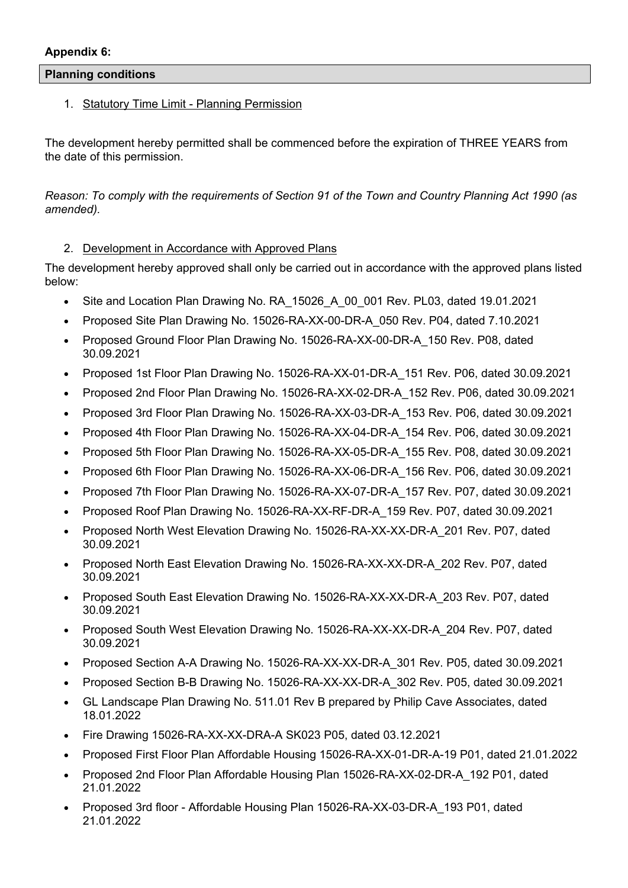### **Planning conditions**

## 1. Statutory Time Limit - Planning Permission

The development hereby permitted shall be commenced before the expiration of THREE YEARS from the date of this permission.

Reason: To comply with the requirements of Section 91 of the Town and Country Planning Act 1990 (as *amended).*

## 2. Development in Accordance with Approved Plans

The development hereby approved shall only be carried out in accordance with the approved plans listed below:

- Site and Location Plan Drawing No. RA\_15026\_A\_00\_001 Rev. PL03, dated 19.01.2021
- Proposed Site Plan Drawing No. 15026-RA-XX-00-DR-A\_050 Rev. P04, dated 7.10.2021
- Proposed Ground Floor Plan Drawing No. 15026-RA-XX-00-DR-A\_150 Rev. P08, dated 30.09.2021
- Proposed 1st Floor Plan Drawing No. 15026-RA-XX-01-DR-A 151 Rev. P06, dated 30.09.2021
- Proposed 2nd Floor Plan Drawing No. 15026-RA-XX-02-DR-A\_152 Rev. P06, dated 30.09.2021
- Proposed 3rd Floor Plan Drawing No. 15026-RA-XX-03-DR-A\_153 Rev. P06, dated 30.09.2021
- Proposed 4th Floor Plan Drawing No. 15026-RA-XX-04-DR-A\_154 Rev. P06, dated 30.09.2021
- Proposed 5th Floor Plan Drawing No. 15026-RA-XX-05-DR-A\_155 Rev. P08, dated 30.09.2021
- Proposed 6th Floor Plan Drawing No. 15026-RA-XX-06-DR-A\_156 Rev. P06, dated 30.09.2021
- Proposed 7th Floor Plan Drawing No. 15026-RA-XX-07-DR-A\_157 Rev. P07, dated 30.09.2021
- Proposed Roof Plan Drawing No. 15026-RA-XX-RF-DR-A\_159 Rev. P07, dated 30.09.2021
- Proposed North West Elevation Drawing No. 15026-RA-XX-XX-DR-A\_201 Rev. P07, dated 30.09.2021
- Proposed North East Elevation Drawing No. 15026-RA-XX-XX-DR-A\_202 Rev. P07, dated 30.09.2021
- Proposed South East Elevation Drawing No. 15026-RA-XX-XX-DR-A\_203 Rev. P07, dated 30.09.2021
- Proposed South West Elevation Drawing No. 15026-RA-XX-XX-DR-A\_204 Rev. P07, dated 30.09.2021
- Proposed Section A-A Drawing No. 15026-RA-XX-XX-DR-A\_301 Rev. P05, dated 30.09.2021
- Proposed Section B-B Drawing No. 15026-RA-XX-XX-DR-A\_302 Rev. P05, dated 30.09.2021
- GL Landscape Plan Drawing No. 511.01 Rev B prepared by Philip Cave Associates, dated 18.01.2022
- Fire Drawing 15026-RA-XX-XX-DRA-A SK023 P05, dated 03.12.2021
- Proposed First Floor Plan Affordable Housing 15026-RA-XX-01-DR-A-19 P01, dated 21.01.2022
- Proposed 2nd Floor Plan Affordable Housing Plan 15026-RA-XX-02-DR-A\_192 P01, dated 21.01.2022
- Proposed 3rd floor Affordable Housing Plan 15026-RA-XX-03-DR-A\_193 P01, dated 21.01.2022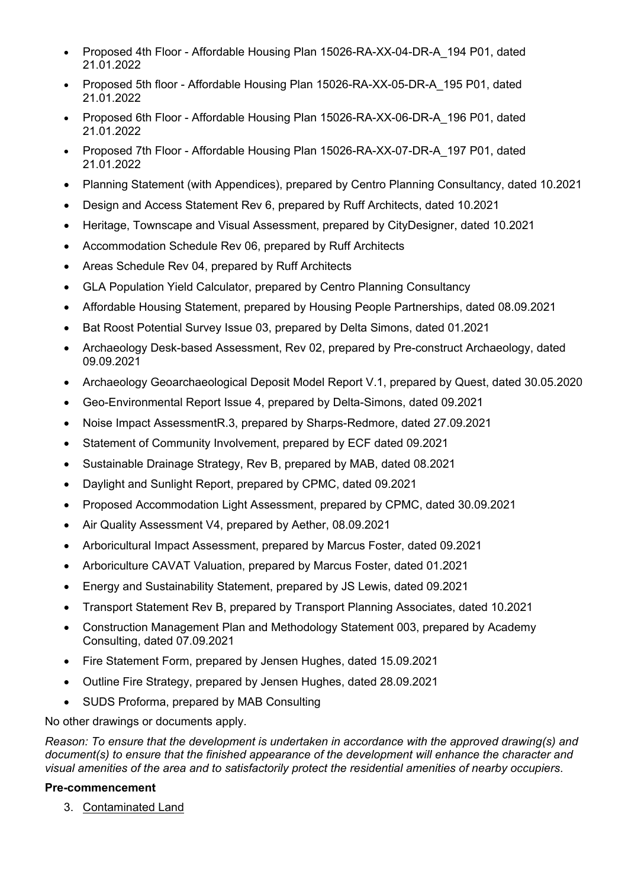- Proposed 4th Floor Affordable Housing Plan 15026-RA-XX-04-DR-A\_194 P01, dated 21.01.2022
- Proposed 5th floor Affordable Housing Plan 15026-RA-XX-05-DR-A\_195 P01, dated 21.01.2022
- Proposed 6th Floor Affordable Housing Plan 15026-RA-XX-06-DR-A\_196 P01, dated 21.01.2022
- Proposed 7th Floor Affordable Housing Plan 15026-RA-XX-07-DR-A\_197 P01, dated 21.01.2022
- Planning Statement (with Appendices), prepared by Centro Planning Consultancy, dated 10.2021
- Design and Access Statement Rev 6, prepared by Ruff Architects, dated 10.2021
- Heritage, Townscape and Visual Assessment, prepared by CityDesigner, dated 10.2021
- Accommodation Schedule Rev 06, prepared by Ruff Architects
- Areas Schedule Rev 04, prepared by Ruff Architects
- GLA Population Yield Calculator, prepared by Centro Planning Consultancy
- Affordable Housing Statement, prepared by Housing People Partnerships, dated 08.09.2021
- Bat Roost Potential Survey Issue 03, prepared by Delta Simons, dated 01.2021
- Archaeology Desk-based Assessment, Rev 02, prepared by Pre-construct Archaeology, dated 09.09.2021
- Archaeology Geoarchaeological Deposit Model Report V.1, prepared by Quest, dated 30.05.2020
- Geo-Environmental Report Issue 4, prepared by Delta-Simons, dated 09.2021
- Noise Impact AssessmentR.3, prepared by Sharps-Redmore, dated 27.09.2021
- Statement of Community Involvement, prepared by ECF dated 09.2021
- Sustainable Drainage Strategy, Rev B, prepared by MAB, dated 08.2021
- Daylight and Sunlight Report, prepared by CPMC, dated 09.2021
- Proposed Accommodation Light Assessment, prepared by CPMC, dated 30.09.2021
- Air Quality Assessment V4, prepared by Aether, 08.09.2021
- Arboricultural Impact Assessment, prepared by Marcus Foster, dated 09.2021
- Arboriculture CAVAT Valuation, prepared by Marcus Foster, dated 01.2021
- Energy and Sustainability Statement, prepared by JS Lewis, dated 09.2021
- Transport Statement Rev B, prepared by Transport Planning Associates, dated 10.2021
- Construction Management Plan and Methodology Statement 003, prepared by Academy Consulting, dated 07.09.2021
- Fire Statement Form, prepared by Jensen Hughes, dated 15.09.2021
- Outline Fire Strategy, prepared by Jensen Hughes, dated 28.09.2021
- SUDS Proforma, prepared by MAB Consulting

No other drawings or documents apply.

*Reason: To ensure that the development is undertaken in accordance with the approved drawing(s) and document(s) to ensure that the finished appearance of the development will enhance the character and visual amenities of the area and to satisfactorily protect the residential amenities of nearby occupiers*.

## **Pre-commencement**

3. Contaminated Land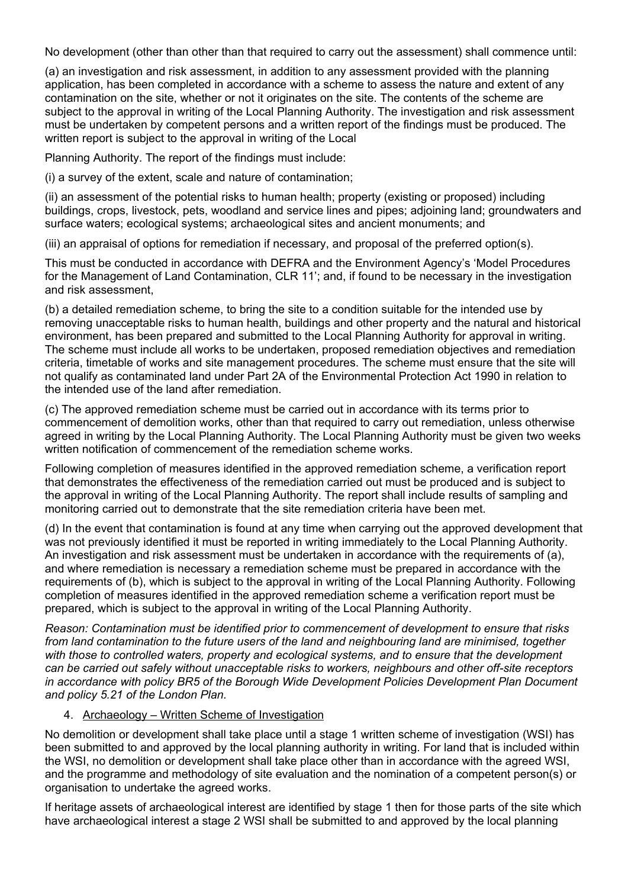No development (other than other than that required to carry out the assessment) shall commence until:

(a) an investigation and risk assessment, in addition to any assessment provided with the planning application, has been completed in accordance with a scheme to assess the nature and extent of any contamination on the site, whether or not it originates on the site. The contents of the scheme are subject to the approval in writing of the Local Planning Authority. The investigation and risk assessment must be undertaken by competent persons and a written report of the findings must be produced. The written report is subject to the approval in writing of the Local

Planning Authority. The report of the findings must include:

(i) a survey of the extent, scale and nature of contamination;

(ii) an assessment of the potential risks to human health; property (existing or proposed) including buildings, crops, livestock, pets, woodland and service lines and pipes; adjoining land; groundwaters and surface waters; ecological systems; archaeological sites and ancient monuments; and

(iii) an appraisal of options for remediation if necessary, and proposal of the preferred option(s).

This must be conducted in accordance with DEFRA and the Environment Agency's 'Model Procedures for the Management of Land Contamination, CLR 11'; and, if found to be necessary in the investigation and risk assessment,

(b) a detailed remediation scheme, to bring the site to a condition suitable for the intended use by removing unacceptable risks to human health, buildings and other property and the natural and historical environment, has been prepared and submitted to the Local Planning Authority for approval in writing. The scheme must include all works to be undertaken, proposed remediation objectives and remediation criteria, timetable of works and site management procedures. The scheme must ensure that the site will not qualify as contaminated land under Part 2A of the Environmental Protection Act 1990 in relation to the intended use of the land after remediation.

(c) The approved remediation scheme must be carried out in accordance with its terms prior to commencement of demolition works, other than that required to carry out remediation, unless otherwise agreed in writing by the Local Planning Authority. The Local Planning Authority must be given two weeks written notification of commencement of the remediation scheme works.

Following completion of measures identified in the approved remediation scheme, a verification report that demonstrates the effectiveness of the remediation carried out must be produced and is subject to the approval in writing of the Local Planning Authority. The report shall include results of sampling and monitoring carried out to demonstrate that the site remediation criteria have been met.

(d) In the event that contamination is found at any time when carrying out the approved development that was not previously identified it must be reported in writing immediately to the Local Planning Authority. An investigation and risk assessment must be undertaken in accordance with the requirements of (a), and where remediation is necessary a remediation scheme must be prepared in accordance with the requirements of (b), which is subject to the approval in writing of the Local Planning Authority. Following completion of measures identified in the approved remediation scheme a verification report must be prepared, which is subject to the approval in writing of the Local Planning Authority.

*Reason: Contamination must be identified prior to commencement of development to ensure that risks from land contamination to the future users of the land and neighbouring land are minimised, together with those to controlled waters, property and ecological systems, and to ensure that the development can be carried out safely without unacceptable risks to workers, neighbours and other off-site receptors in accordance with policy BR5 of the Borough Wide Development Policies Development Plan Document and policy 5.21 of the London Plan.*

#### 4. Archaeology – Written Scheme of Investigation

No demolition or development shall take place until a stage 1 written scheme of investigation (WSI) has been submitted to and approved by the local planning authority in writing. For land that is included within the WSI, no demolition or development shall take place other than in accordance with the agreed WSI, and the programme and methodology of site evaluation and the nomination of a competent person(s) or organisation to undertake the agreed works.

If heritage assets of archaeological interest are identified by stage 1 then for those parts of the site which have archaeological interest a stage 2 WSI shall be submitted to and approved by the local planning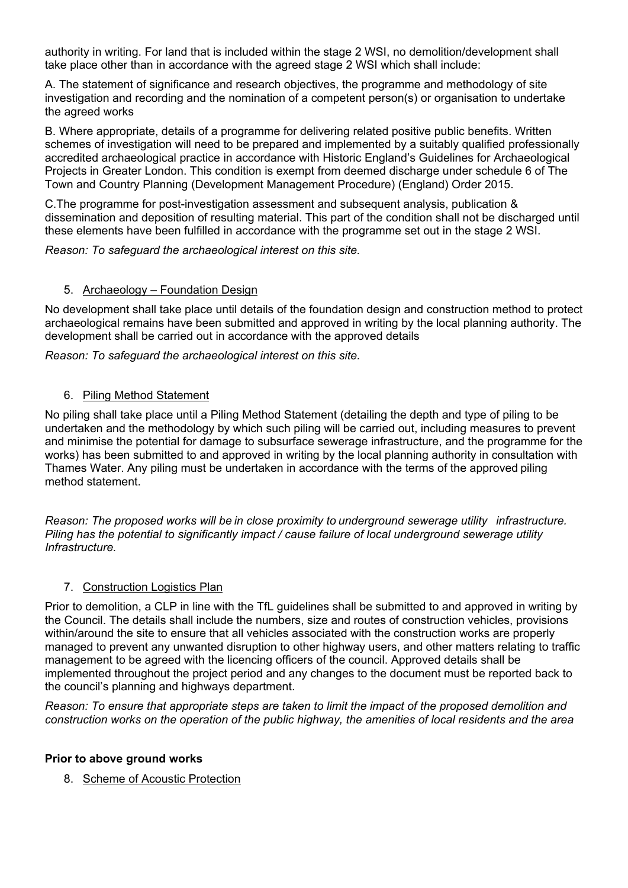authority in writing. For land that is included within the stage 2 WSI, no demolition/development shall take place other than in accordance with the agreed stage 2 WSI which shall include:

A. The statement of significance and research objectives, the programme and methodology of site investigation and recording and the nomination of a competent person(s) or organisation to undertake the agreed works

B. Where appropriate, details of a programme for delivering related positive public benefits. Written schemes of investigation will need to be prepared and implemented by a suitably qualified professionally accredited archaeological practice in accordance with Historic England's Guidelines for Archaeological Projects in Greater London. This condition is exempt from deemed discharge under schedule 6 of The Town and Country Planning (Development Management Procedure) (England) Order 2015.

C.The programme for post-investigation assessment and subsequent analysis, publication & dissemination and deposition of resulting material. This part of the condition shall not be discharged until these elements have been fulfilled in accordance with the programme set out in the stage 2 WSI.

*Reason: To safeguard the archaeological interest on this site.*

#### 5. Archaeology – Foundation Design

No development shall take place until details of the foundation design and construction method to protect archaeological remains have been submitted and approved in writing by the local planning authority. The development shall be carried out in accordance with the approved details

*Reason: To safeguard the archaeological interest on this site.*

### 6. Piling Method Statement

No piling shall take place until a Piling Method Statement (detailing the depth and type of piling to be undertaken and the methodology by which such piling will be carried out, including measures to prevent and minimise the potential for damage to subsurface sewerage infrastructure, and the programme for the works) has been submitted to and approved in writing by the local planning authority in consultation with Thames Water. Any piling must be undertaken in accordance with the terms of the approved piling method statement.

*Reason: The proposed works will be in close proximity to underground sewerage utility infrastructure. Piling has the potential to significantly impact / cause failure of local underground sewerage utility Infrastructure.*

## 7. Construction Logistics Plan

Prior to demolition, a CLP in line with the TfL guidelines shall be submitted to and approved in writing by the Council. The details shall include the numbers, size and routes of construction vehicles, provisions within/around the site to ensure that all vehicles associated with the construction works are properly managed to prevent any unwanted disruption to other highway users, and other matters relating to traffic management to be agreed with the licencing officers of the council. Approved details shall be implemented throughout the project period and any changes to the document must be reported back to the council's planning and highways department.

*Reason: To ensure that appropriate steps are taken to limit the impact of the proposed demolition and construction works on the operation of the public highway, the amenities of local residents and the area*

#### **Prior to above ground works**

8. Scheme of Acoustic Protection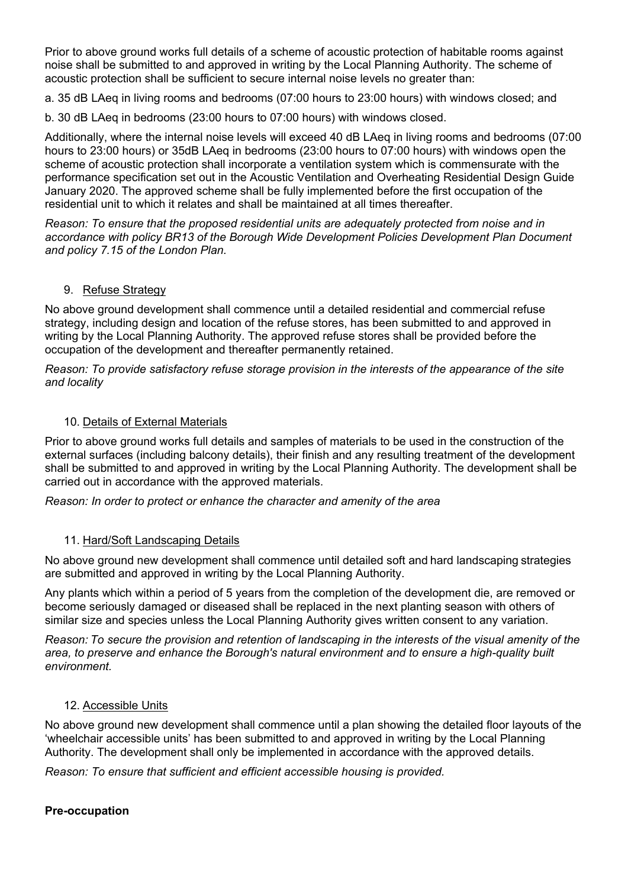Prior to above ground works full details of a scheme of acoustic protection of habitable rooms against noise shall be submitted to and approved in writing by the Local Planning Authority. The scheme of acoustic protection shall be sufficient to secure internal noise levels no greater than:

a. 35 dB LAeq in living rooms and bedrooms (07:00 hours to 23:00 hours) with windows closed; and

b. 30 dB LAeq in bedrooms (23:00 hours to 07:00 hours) with windows closed.

Additionally, where the internal noise levels will exceed 40 dB LAeq in living rooms and bedrooms (07:00 hours to 23:00 hours) or 35dB LAeq in bedrooms (23:00 hours to 07:00 hours) with windows open the scheme of acoustic protection shall incorporate a ventilation system which is commensurate with the performance specification set out in the Acoustic Ventilation and Overheating Residential Design Guide January 2020. The approved scheme shall be fully implemented before the first occupation of the residential unit to which it relates and shall be maintained at all times thereafter.

*Reason: To ensure that the proposed residential units are adequately protected from noise and in accordance with policy BR13 of the Borough Wide Development Policies Development Plan Document and policy 7.15 of the London Plan.*

## 9. Refuse Strategy

No above ground development shall commence until a detailed residential and commercial refuse strategy, including design and location of the refuse stores, has been submitted to and approved in writing by the Local Planning Authority. The approved refuse stores shall be provided before the occupation of the development and thereafter permanently retained.

*Reason: To provide satisfactory refuse storage provision in the interests of the appearance of the site and locality*

#### 10. Details of External Materials

Prior to above ground works full details and samples of materials to be used in the construction of the external surfaces (including balcony details), their finish and any resulting treatment of the development shall be submitted to and approved in writing by the Local Planning Authority. The development shall be carried out in accordance with the approved materials.

*Reason: In order to protect or enhance the character and amenity of the area*

#### 11. Hard/Soft Landscaping Details

No above ground new development shall commence until detailed soft and hard landscaping strategies are submitted and approved in writing by the Local Planning Authority. 

Any plants which within a period of 5 years from the completion of the development die, are removed or become seriously damaged or diseased shall be replaced in the next planting season with others of similar size and species unless the Local Planning Authority gives written consent to any variation.

Reason: To secure the provision and retention of landscaping in the interests of the visual amenity of the *area, to preserve and enhance the Borough's natural environment and to ensure a high-quality built environment.*

#### 12. Accessible Units

No above ground new development shall commence until a plan showing the detailed floor layouts of the 'wheelchair accessible units' has been submitted to and approved in writing by the Local Planning Authority. The development shall only be implemented in accordance with the approved details.

*Reason: To ensure that sufficient and efficient accessible housing is provided.*

## **Pre-occupation**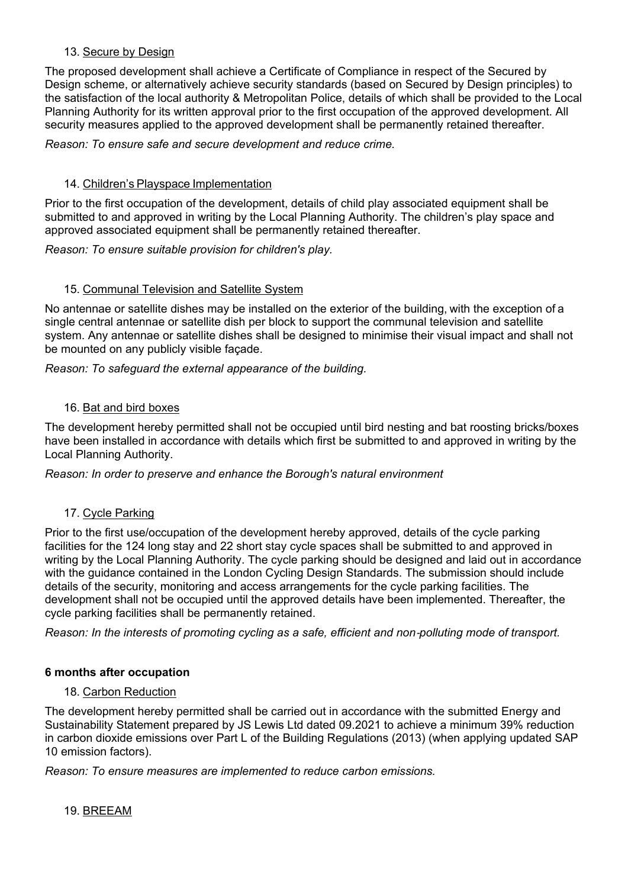## 13. Secure by Design

The proposed development shall achieve a Certificate of Compliance in respect of the Secured by Design scheme, or alternatively achieve security standards (based on Secured by Design principles) to the satisfaction of the local authority & Metropolitan Police, details of which shall be provided to the Local Planning Authority for its written approval prior to the first occupation of the approved development. All security measures applied to the approved development shall be permanently retained thereafter.

*Reason: To ensure safe and secure development and reduce crime.*

## 14. Children's Playspace Implementation

Prior to the first occupation of the development, details of child play associated equipment shall be submitted to and approved in writing by the Local Planning Authority. The children's play space and approved associated equipment shall be permanently retained thereafter. 

*Reason: To ensure suitable provision for children's play.*

#### 15. Communal Television and Satellite System

No antennae or satellite dishes may be installed on the exterior of the building, with the exception of a single central antennae or satellite dish per block to support the communal television and satellite system. Any antennae or satellite dishes shall be designed to minimise their visual impact and shall not be mounted on any publicly visible façade.

*Reason: To safeguard the external appearance of the building.*

#### 16. Bat and bird boxes

The development hereby permitted shall not be occupied until bird nesting and bat roosting bricks/boxes have been installed in accordance with details which first be submitted to and approved in writing by the Local Planning Authority.

*Reason: In order to preserve and enhance the Borough's natural environment*

## 17. Cycle Parking

Prior to the first use/occupation of the development hereby approved, details of the cycle parking facilities for the 124 long stay and 22 short stay cycle spaces shall be submitted to and approved in writing by the Local Planning Authority. The cycle parking should be designed and laid out in accordance with the guidance contained in the London Cycling Design Standards. The submission should include details of the security, monitoring and access arrangements for the cycle parking facilities. The development shall not be occupied until the approved details have been implemented. Thereafter, the cycle parking facilities shall be permanently retained.

Reason: In the interests of promoting cycling as a safe, efficient and non-polluting mode of transport.

## **6 months after occupation**

## 18. Carbon Reduction

The development hereby permitted shall be carried out in accordance with the submitted Energy and Sustainability Statement prepared by JS Lewis Ltd dated 09.2021 to achieve a minimum 39% reduction in carbon dioxide emissions over Part L of the Building Regulations (2013) (when applying updated SAP 10 emission factors). 

*Reason: To ensure measures are implemented to reduce carbon emissions.*

19. BREEAM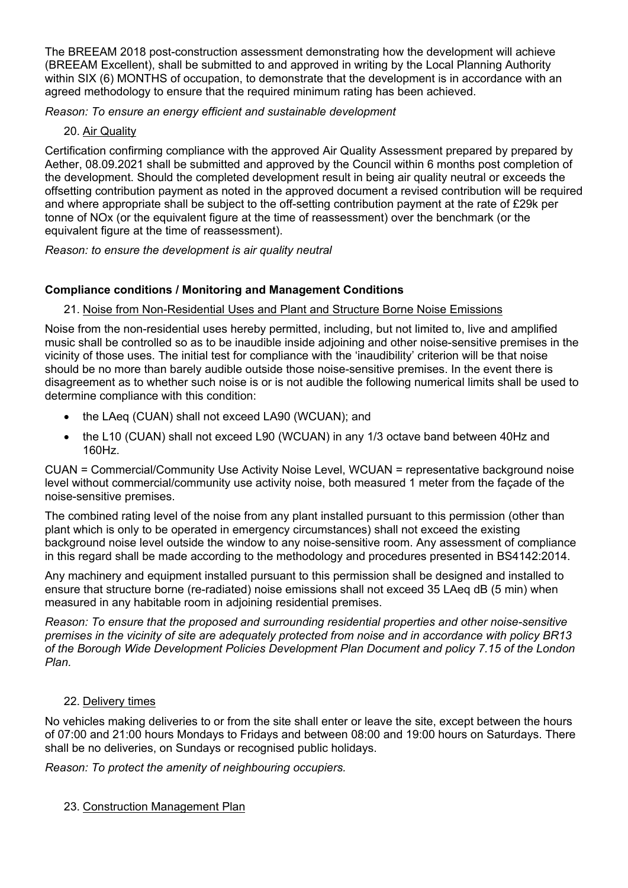The BREEAM 2018 post-construction assessment demonstrating how the development will achieve (BREEAM Excellent), shall be submitted to and approved in writing by the Local Planning Authority within SIX (6) MONTHS of occupation, to demonstrate that the development is in accordance with an agreed methodology to ensure that the required minimum rating has been achieved.

*Reason: To ensure an energy efficient and sustainable development*

## 20. Air Quality

Certification confirming compliance with the approved Air Quality Assessment prepared by prepared by Aether, 08.09.2021 shall be submitted and approved by the Council within 6 months post completion of the development. Should the completed development result in being air quality neutral or exceeds the offsetting contribution payment as noted in the approved document a revised contribution will be required and where appropriate shall be subject to the off-setting contribution payment at the rate of £29k per tonne of NOx (or the equivalent figure at the time of reassessment) over the benchmark (or the equivalent figure at the time of reassessment).

*Reason: to ensure the development is air quality neutral*

## **Compliance conditions / Monitoring and Management Conditions**

## 21. Noise from Non-Residential Uses and Plant and Structure Borne Noise Emissions

Noise from the non-residential uses hereby permitted, including, but not limited to, live and amplified music shall be controlled so as to be inaudible inside adjoining and other noise-sensitive premises in the vicinity of those uses. The initial test for compliance with the 'inaudibility' criterion will be that noise should be no more than barely audible outside those noise-sensitive premises. In the event there is disagreement as to whether such noise is or is not audible the following numerical limits shall be used to determine compliance with this condition:

- the LAeq (CUAN) shall not exceed LA90 (WCUAN); and
- the L10 (CUAN) shall not exceed L90 (WCUAN) in any 1/3 octave band between 40Hz and 160Hz.

CUAN = Commercial/Community Use Activity Noise Level, WCUAN = representative background noise level without commercial/community use activity noise, both measured 1 meter from the façade of the noise-sensitive premises.

The combined rating level of the noise from any plant installed pursuant to this permission (other than plant which is only to be operated in emergency circumstances) shall not exceed the existing background noise level outside the window to any noise-sensitive room. Any assessment of compliance in this regard shall be made according to the methodology and procedures presented in BS4142:2014.

Any machinery and equipment installed pursuant to this permission shall be designed and installed to ensure that structure borne (re-radiated) noise emissions shall not exceed 35 LAeq dB (5 min) when measured in any habitable room in adjoining residential premises.

*Reason: To ensure that the proposed and surrounding residential properties and other noise-sensitive premises in the vicinity of site are adequately protected from noise and in accordance with policy BR13 of the Borough Wide Development Policies Development Plan Document and policy 7.15 of the London Plan.*

## 22. Delivery times

No vehicles making deliveries to or from the site shall enter or leave the site, except between the hours of 07:00 and 21:00 hours Mondays to Fridays and between 08:00 and 19:00 hours on Saturdays. There shall be no deliveries, on Sundays or recognised public holidays.

*Reason: To protect the amenity of neighbouring occupiers.*

## 23. Construction Management Plan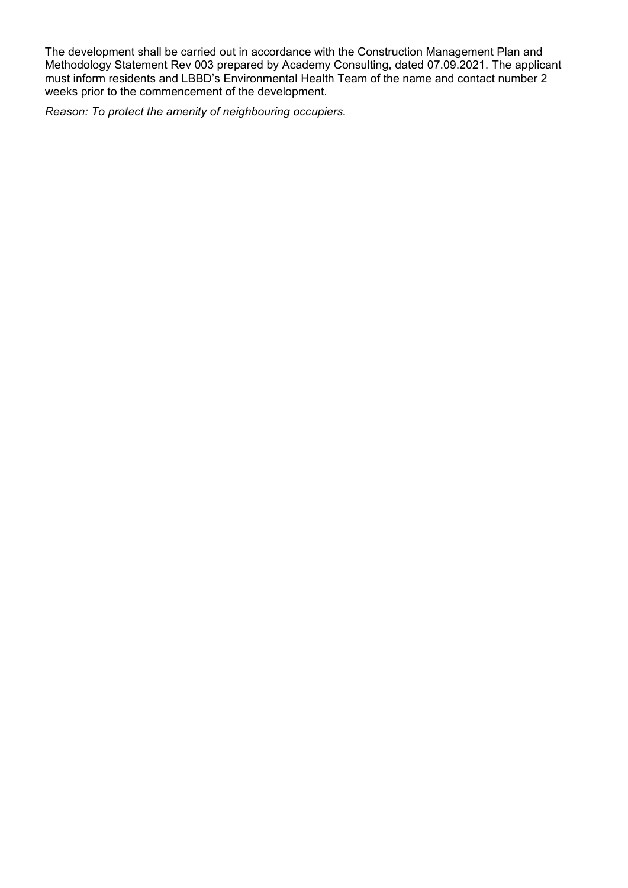The development shall be carried out in accordance with the Construction Management Plan and Methodology Statement Rev 003 prepared by Academy Consulting, dated 07.09.2021. The applicant must inform residents and LBBD's Environmental Health Team of the name and contact number 2 weeks prior to the commencement of the development.

*Reason: To protect the amenity of neighbouring occupiers.*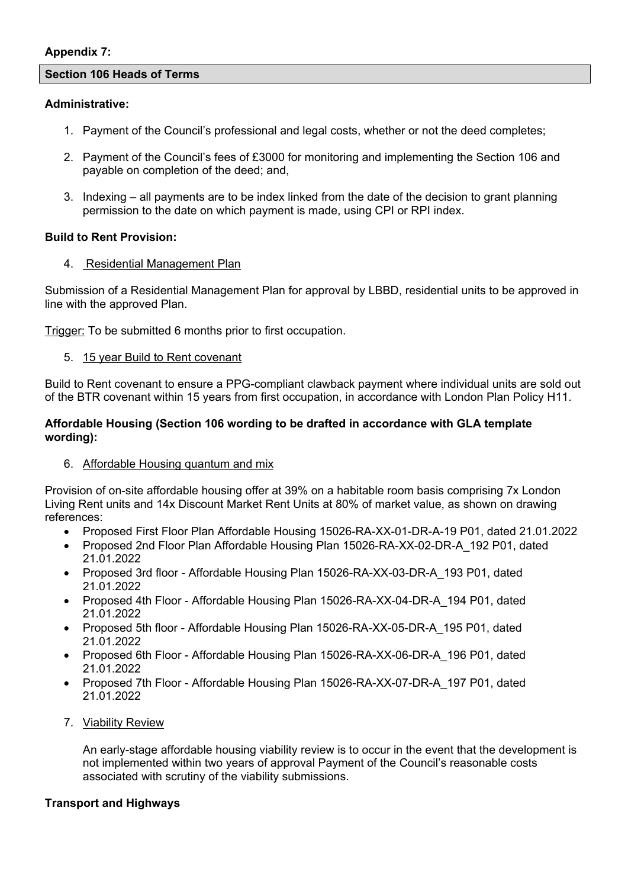#### **Appendix 7:**

#### **Section 106 Heads of Terms**

### **Administrative:**

- 1. Payment of the Council's professional and legal costs, whether or not the deed completes;
- 2. Payment of the Council's fees of £3000 for monitoring and implementing the Section 106 and payable on completion of the deed; and,
- 3. Indexing all payments are to be index linked from the date of the decision to grant planning permission to the date on which payment is made, using CPI or RPI index.

## **Build to Rent Provision:**

## 4. Residential Management Plan

Submission of a Residential Management Plan for approval by LBBD, residential units to be approved in line with the approved Plan.

Trigger: To be submitted 6 months prior to first occupation.

5. 15 year Build to Rent covenant

Build to Rent covenant to ensure a PPG-compliant clawback payment where individual units are sold out of the BTR covenant within 15 years from first occupation, in accordance with London Plan Policy H11.

### **Affordable Housing (Section 106 wording to be drafted in accordance with GLA template wording):**

## 6. Affordable Housing quantum and mix

Provision of on-site affordable housing offer at 39% on a habitable room basis comprising 7x London Living Rent units and 14x Discount Market Rent Units at 80% of market value, as shown on drawing references:

- Proposed First Floor Plan Affordable Housing 15026-RA-XX-01-DR-A-19 P01, dated 21.01.2022
- Proposed 2nd Floor Plan Affordable Housing Plan 15026-RA-XX-02-DR-A\_192 P01, dated 21.01.2022
- Proposed 3rd floor Affordable Housing Plan 15026-RA-XX-03-DR-A 193 P01, dated 21.01.2022
- Proposed 4th Floor Affordable Housing Plan 15026-RA-XX-04-DR-A\_194 P01, dated 21.01.2022
- Proposed 5th floor Affordable Housing Plan 15026-RA-XX-05-DR-A\_195 P01, dated 21.01.2022
- Proposed 6th Floor Affordable Housing Plan 15026-RA-XX-06-DR-A\_196 P01, dated 21.01.2022
- Proposed 7th Floor Affordable Housing Plan 15026-RA-XX-07-DR-A\_197 P01, dated 21.01.2022

## 7. Viability Review

An early-stage affordable housing viability review is to occur in the event that the development is not implemented within two years of approval Payment of the Council's reasonable costs associated with scrutiny of the viability submissions.

## **Transport and Highways**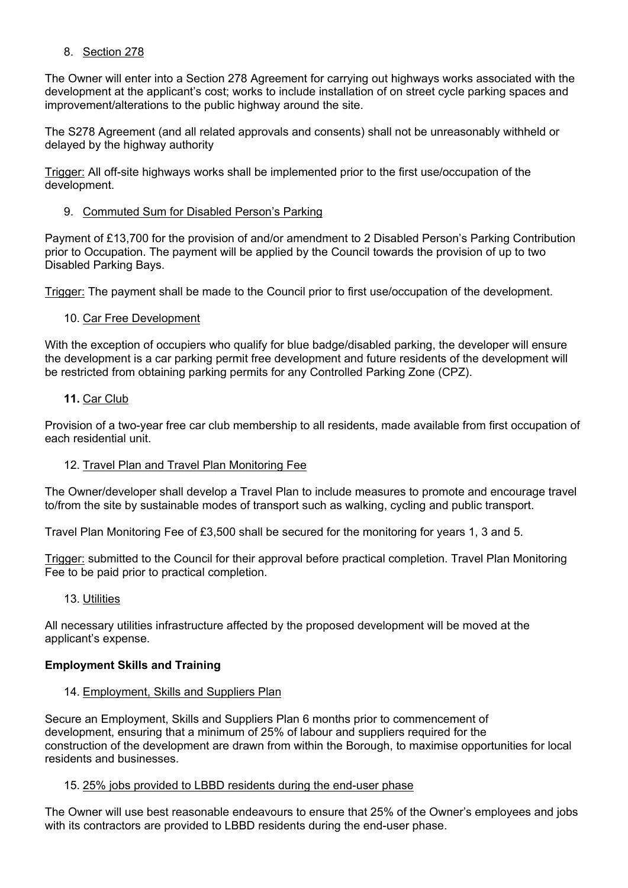## 8. Section 278

The Owner will enter into a Section 278 Agreement for carrying out highways works associated with the development at the applicant's cost; works to include installation of on street cycle parking spaces and improvement/alterations to the public highway around the site.

The S278 Agreement (and all related approvals and consents) shall not be unreasonably withheld or delayed by the highway authority

Trigger: All off-site highways works shall be implemented prior to the first use/occupation of the development.

## 9. Commuted Sum for Disabled Person's Parking

Payment of £13,700 for the provision of and/or amendment to 2 Disabled Person's Parking Contribution prior to Occupation. The payment will be applied by the Council towards the provision of up to two Disabled Parking Bays.

Trigger: The payment shall be made to the Council prior to first use/occupation of the development.

## 10. Car Free Development

With the exception of occupiers who qualify for blue badge/disabled parking, the developer will ensure the development is a car parking permit free development and future residents of the development will be restricted from obtaining parking permits for any Controlled Parking Zone (CPZ).

## **11.** Car Club

Provision of a two-year free car club membership to all residents, made available from first occupation of each residential unit.

## 12. Travel Plan and Travel Plan Monitoring Fee

The Owner/developer shall develop a Travel Plan to include measures to promote and encourage travel to/from the site by sustainable modes of transport such as walking, cycling and public transport.

Travel Plan Monitoring Fee of £3,500 shall be secured for the monitoring for years 1, 3 and 5.

Trigger: submitted to the Council for their approval before practical completion. Travel Plan Monitoring Fee to be paid prior to practical completion.

## 13. Utilities

All necessary utilities infrastructure affected by the proposed development will be moved at the applicant's expense.

## **Employment Skills and Training**

## 14. Employment, Skills and Suppliers Plan

Secure an Employment, Skills and Suppliers Plan 6 months prior to commencement of development, ensuring that a minimum of 25% of labour and suppliers required for the construction of the development are drawn from within the Borough, to maximise opportunities for local residents and businesses.

## 15. 25% jobs provided to LBBD residents during the end-user phase

The Owner will use best reasonable endeavours to ensure that 25% of the Owner's employees and jobs with its contractors are provided to LBBD residents during the end-user phase.